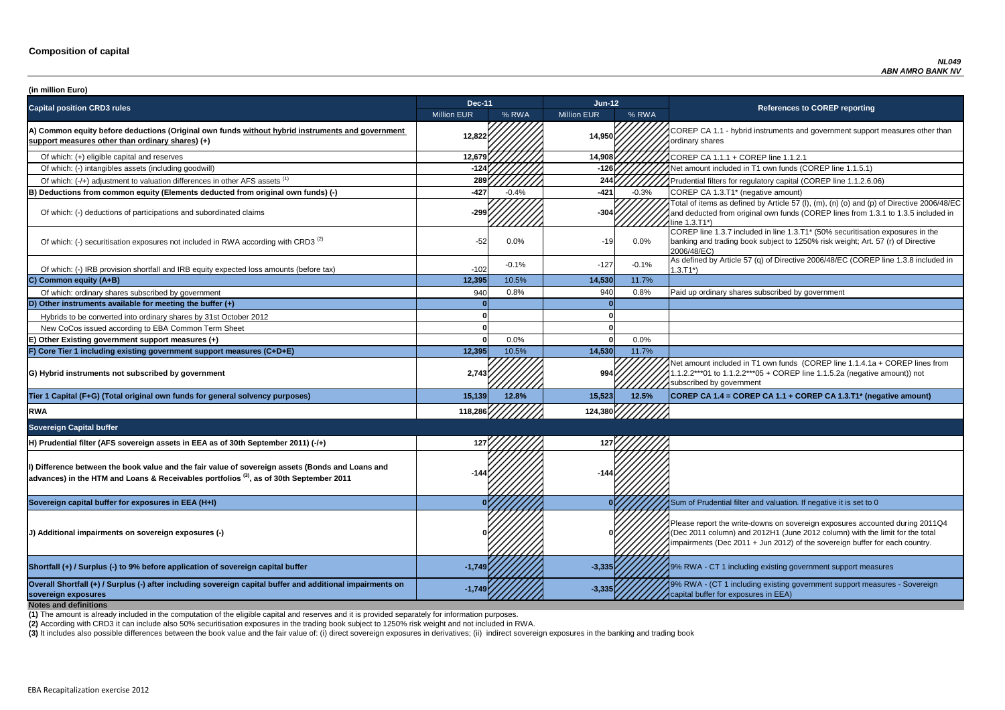**P CA 1.1 - hybrid instruments and government support measures other than** ry shares

of which: filters for regulatory capital (COREP line 1.1.2.6.06)

of items as defined by Article 57 (I), (m), (n) (o) and (p) of Directive 2006/48/EC educted from original own funds (COREP lines from 1.3.1 to 1.3.5 included in  $3.71^*$ 

 $\overline{C}$  line 1.3.7 included in line 1.3.T1\* (50% securitisation exposures in the g and trading book subject to 1250% risk weight; Art. 57 (r) of Directive 8/EC)

of which: IRB provided and IRB provided in and IRB equity expected and IRB equity expected in the tax of Directive 2006/48/EC (COREP line 1.3.8 included in

nount included in T1 own funds (COREP line 1.1.4.1a + COREP lines from  $2***01$  to 1.1.2.2\*\*\*05 + COREP line 1.1.5.2a (negative amount)) not ibed by government

| (in million Euro)                                                                                                                                                                                      |                    |         |                    |         |                                                                                                                                                                                   |
|--------------------------------------------------------------------------------------------------------------------------------------------------------------------------------------------------------|--------------------|---------|--------------------|---------|-----------------------------------------------------------------------------------------------------------------------------------------------------------------------------------|
| <b>Capital position CRD3 rules</b>                                                                                                                                                                     | <b>Dec-11</b>      |         | <b>Jun-12</b>      |         | <b>References to COREP reporting</b>                                                                                                                                              |
|                                                                                                                                                                                                        | <b>Million EUR</b> | % RWA   | <b>Million EUR</b> | % RWA   |                                                                                                                                                                                   |
| A) Common equity before deductions (Original own funds without hybrid instruments and government<br>support measures other than ordinary shares) (+)                                                   | 12,822             |         | 14,950             |         | COREP CA 1.1 - hybrid instruments and government suppo<br>ordinary shares                                                                                                         |
| Of which: (+) eligible capital and reserves                                                                                                                                                            | 12,679             |         | 14,908             |         | COREP CA 1.1.1 + COREP line 1.1.2.1                                                                                                                                               |
| Of which: (-) intangibles assets (including goodwill)                                                                                                                                                  | $-124$             |         | $-126$             |         | Net amount included in T1 own funds (COREP line 1.1.5.1)                                                                                                                          |
| Of which: (-/+) adjustment to valuation differences in other AFS assets <sup>(1)</sup>                                                                                                                 | 289                |         | 244                |         | Prudential filters for regulatory capital (COREP line 1.1.2.6.                                                                                                                    |
| B) Deductions from common equity (Elements deducted from original own funds) (-)                                                                                                                       | -427               | $-0.4%$ | $-421$             | $-0.3%$ | COREP CA 1.3.T1* (negative amount)                                                                                                                                                |
| Of which: (-) deductions of participations and subordinated claims                                                                                                                                     | $-299$             |         | $-304$             |         | Total of items as defined by Article 57 (I), (m), (n) (o) and (p<br>and deducted from original own funds (COREP lines from 1<br>line 1.3.T1*)                                     |
| Of which: (-) securitisation exposures not included in RWA according with CRD3 <sup>(2)</sup>                                                                                                          | $-52$              | 0.0%    | $-19$              | $0.0\%$ | COREP line 1.3.7 included in line 1.3.T1* (50% securitisation<br>banking and trading book subject to 1250% risk weight; Art.<br>2006/48/EC)                                       |
| Of which: (-) IRB provision shortfall and IRB equity expected loss amounts (before tax)                                                                                                                | $-102$             | $-0.1%$ | $-127$             | $-0.1%$ | As defined by Article 57 (q) of Directive 2006/48/EC (CORE<br>$1.3.T1*)$                                                                                                          |
| C) Common equity (A+B)                                                                                                                                                                                 | 12,395             | 10.5%   | 14,530             | 11.7%   |                                                                                                                                                                                   |
| Of which: ordinary shares subscribed by government                                                                                                                                                     | 940                | 0.8%    | 940                | 0.8%    | Paid up ordinary shares subscribed by government                                                                                                                                  |
| D) Other instruments available for meeting the buffer $(+)$                                                                                                                                            |                    |         |                    |         |                                                                                                                                                                                   |
| Hybrids to be converted into ordinary shares by 31st October 2012                                                                                                                                      |                    |         |                    |         |                                                                                                                                                                                   |
| New CoCos issued according to EBA Common Term Sheet                                                                                                                                                    |                    |         |                    |         |                                                                                                                                                                                   |
| E) Other Existing government support measures (+)                                                                                                                                                      |                    | 0.0%    |                    | 0.0%    |                                                                                                                                                                                   |
| F) Core Tier 1 including existing government support measures (C+D+E)                                                                                                                                  | 12,395             | 10.5%   | 14,530             | 11.7%   |                                                                                                                                                                                   |
| G) Hybrid instruments not subscribed by government                                                                                                                                                     | 2,743              |         | 994                |         | Net amount included in T1 own funds (COREP line 1.1.4.1a<br>1.1.2.2***01 to 1.1.2.2***05 + COREP line 1.1.5.2a (negativ<br>subscribed by government                               |
| Tier 1 Capital (F+G) (Total original own funds for general solvency purposes)                                                                                                                          | 15,139             | 12.8%   | 15,523             | 12.5%   | COREP CA 1.4 = COREP CA 1.1 + COREP CA 1.3.T1* (ne                                                                                                                                |
| <b>RWA</b>                                                                                                                                                                                             | 118,286            |         | 124,380            |         |                                                                                                                                                                                   |
| <b>Sovereign Capital buffer</b>                                                                                                                                                                        |                    |         |                    |         |                                                                                                                                                                                   |
| H) Prudential filter (AFS sovereign assets in EEA as of 30th September 2011) (-/+)                                                                                                                     | 127                |         |                    |         |                                                                                                                                                                                   |
| I) Difference between the book value and the fair value of sovereign assets (Bonds and Loans and<br>advances) in the HTM and Loans & Receivables portfolios <sup>(3)</sup> , as of 30th September 2011 |                    |         |                    |         |                                                                                                                                                                                   |
| Sovereign capital buffer for exposures in EEA (H+I)                                                                                                                                                    |                    |         |                    |         | Sum of Prudential filter and valuation. If negative it is set to                                                                                                                  |
| (J) Additional impairments on sovereign exposures (-)                                                                                                                                                  |                    |         |                    |         | Please report the write-downs on sovereign exposures acco<br>(Dec 2011 column) and 2012H1 (June 2012 column) with th<br>impairments (Dec 2011 + Jun 2012) of the sovereign buffer |
| Shortfall (+) / Surplus (-) to 9% before application of sovereign capital buffer                                                                                                                       | $-1,749$           |         | $-3,335$           |         | 19% RWA - CT 1 including existing government support mea                                                                                                                          |
| Overall Shortfall (+) / Surplus (-) after including sovereign capital buffer and additional impairments on<br>sovereign exposures<br><b>Notes and definitions</b>                                      | $-1,749$           |         | $-3,335$           |         | 9% RWA - (CT 1 including existing government support mea<br>capital buffer for exposures in EEA)                                                                                  |

**Tier 1 Capital (F+G) (Total original own funds for general solvency purposes) 15,139 12.8% 15,523 12.5% COREP CA 1.4 = COREP CA 1.1 + COREP CA 1.3.T1\* (negative amount)**

report the write-downs on sovereign exposures accounted during 2011Q4 (011 column) and 2012H1 (June 2012 column) with the limit for the total ments (Dec 2011 + Jun 2012) of the sovereign buffer for each country.

**A** - CT 1 including existing government support measures

**A** - (CT 1 including existing government support measures - Sovereign buffer for exposures in EEA)

**(2)** According with CRD3 it can include also 50% securitisation exposures in the trading book subject to 1250% risk weight and not included in RWA.

(3) It includes also possible differences between the book value and the fair value of: (i) direct sovereign exposures in derivatives; (ii) indirect sovereign exposures in the banking and trading book

**(1)** The amount is already included in the computation of the eligible capital and reserves and it is provided separately for information purposes.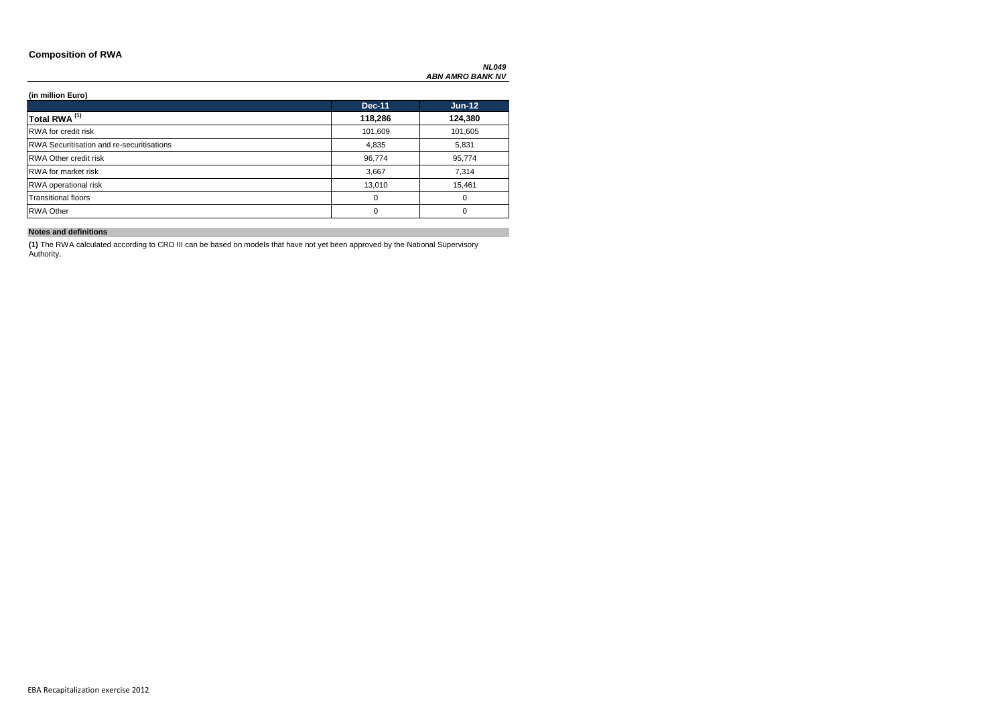### **Composition of RWA**

### **(in million Euro)**

|                                                  | <b>Dec-11</b> | $Jun-12$ |
|--------------------------------------------------|---------------|----------|
| Total RWA <sup>(1)</sup>                         | 118,286       | 124,380  |
| <b>RWA</b> for credit risk                       | 101,609       | 101,605  |
| <b>RWA Securitisation and re-securitisations</b> | 4,835         | 5,831    |
| <b>RWA Other credit risk</b>                     | 96,774        | 95,774   |
| <b>RWA</b> for market risk                       | 3,667         | 7,314    |
| <b>RWA</b> operational risk                      | 13,010        | 15,461   |
| <b>Transitional floors</b>                       | 0             | 0        |
| <b>RWA Other</b>                                 | 0             | $\Omega$ |

### **Notes and definitions**

**(1)** The RWA calculated according to CRD III can be based on models that have not yet been approved by the National Supervisory Authority.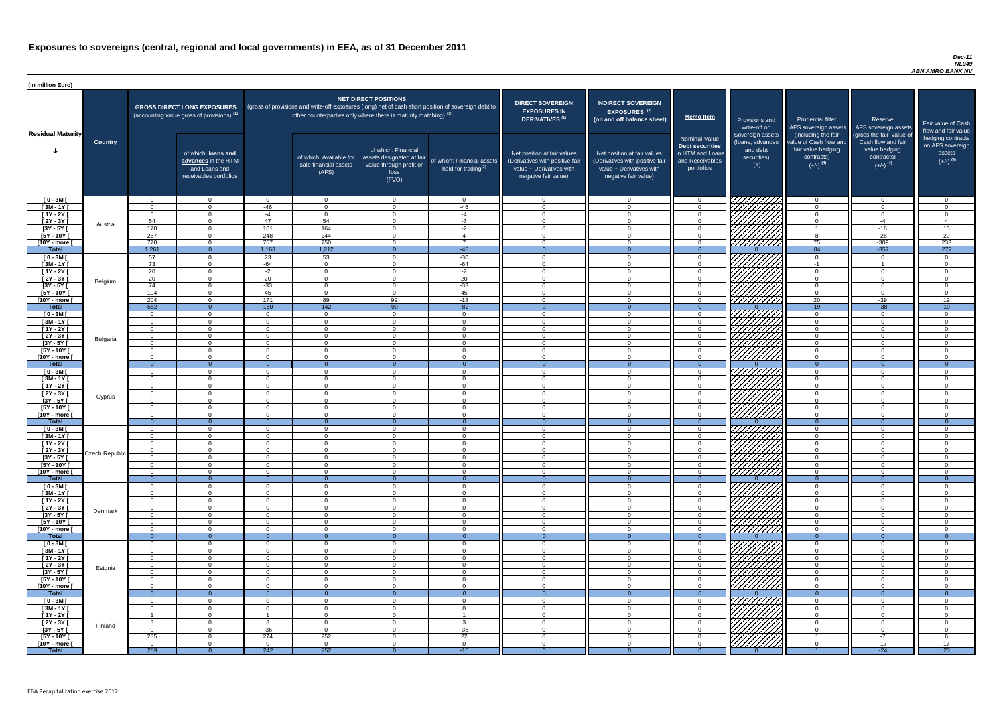#### *Dec-11 NL049 ABN AMRO BANK NV*

| (in million Euro)             |                |                                  |                                                                                             |                       |                                                                            |                                                                                              |                                                                                                     |                                                                                                                    |                                                                                                                    |                                                                                              |                                                                          |                                                                                                             |                                                                                                         |                                                                           |
|-------------------------------|----------------|----------------------------------|---------------------------------------------------------------------------------------------|-----------------------|----------------------------------------------------------------------------|----------------------------------------------------------------------------------------------|-----------------------------------------------------------------------------------------------------|--------------------------------------------------------------------------------------------------------------------|--------------------------------------------------------------------------------------------------------------------|----------------------------------------------------------------------------------------------|--------------------------------------------------------------------------|-------------------------------------------------------------------------------------------------------------|---------------------------------------------------------------------------------------------------------|---------------------------------------------------------------------------|
| <b>Residual Maturity</b>      |                |                                  | <b>GROSS DIRECT LONG EXPOSURES</b><br>(accounting value gross of provisions) <sup>(1)</sup> |                       | other counterparties only where there is maturity matching) <sup>(1)</sup> | <b>NET DIRECT POSITIONS</b>                                                                  | (gross of provisions and write-off exposures (long) net of cash short position of sovereign debt to | <b>DIRECT SOVEREIGN</b><br><b>EXPOSURES IN</b><br><b>DERIVATIVES (1)</b>                                           | <b>INDIRECT SOVEREIGN</b><br><b>EXPOSURES<sup>(3)</sup></b><br>(on and off balance sheet)                          | <b>Memo Item</b>                                                                             | Provisions and<br>write-off on                                           | <b>Prudential filter</b>                                                                                    | Reserve<br>AFS sovereign assets AFS sovereign assets                                                    | Fair value of Cash<br>flow and fair value                                 |
|                               | <b>Country</b> |                                  | of which: loans and<br>advances in the HTM<br>and Loans and<br>receivables portfolios       |                       | of which: Available for<br>sale financial assets<br>(AFS)                  | of which: Financial<br>assets designated at fair<br>value through profit or<br>loss<br>(FVO) | of which: Financial assets<br>held for trading $(2)$                                                | Net position at fair values<br>(Derivatives with positive fair<br>value + Derivatives with<br>negative fair value) | Net position at fair values<br>(Derivatives with positive fair<br>value + Derivatives with<br>negative fair value) | <b>Nominal Value</b><br>Debt securities<br>in HTM and Loans<br>and Receivables<br>portfolios | Sovereign assets<br>(loans, advances<br>and debt<br>securities)<br>$(+)$ | (including the fair<br>value of Cash flow and<br>fair value hedging<br>contracts)<br>$(+/-)$ <sup>(4)</sup> | (gross the fair value of<br>Cash flow and fair<br>value hedging<br>contracts)<br>$(+/-)$ <sup>(4)</sup> | hedging contracts<br>on AFS sovereign<br>assets<br>$(+/-)$ <sup>(4)</sup> |
| $[0 - 3M]$                    |                | $\Omega$                         | $\Omega$                                                                                    | $\Omega$              | $\Omega$                                                                   | $\Omega$                                                                                     | $\overline{0}$                                                                                      | $\Omega$<br>$\Omega$                                                                                               | $\overline{0}$                                                                                                     | $\Omega$                                                                                     |                                                                          | $\cap$<br>$\Omega$                                                                                          | $\overline{0}$                                                                                          | $\Omega$<br>$\Omega$                                                      |
| $[3M - 1Y]$<br>$[1Y - 2Y]$    |                | $\Omega$<br>$\Omega$             | $\Omega$<br>$\Omega$                                                                        | $-46$<br>$-4$         | $\Omega$<br>$\Omega$                                                       | $\Omega$<br>$\cap$                                                                           | $-46$<br>$-4$                                                                                       | $\cap$                                                                                                             | $\Omega$<br>$\Omega$                                                                                               |                                                                                              |                                                                          | $\Omega$                                                                                                    | $\Omega$<br>$\Omega$                                                                                    | $\Omega$                                                                  |
| [2Y - 3Y [                    |                | 54                               | $\Omega$                                                                                    | 47                    | 54                                                                         | $\cap$                                                                                       | $-7$                                                                                                | $\Omega$                                                                                                           | $\Omega$                                                                                                           |                                                                                              |                                                                          | $\Omega$                                                                                                    | $-4$                                                                                                    | $\boldsymbol{\Delta}$                                                     |
| $\overline{3Y - 5Y}$          | Austria        | 170                              | $\Omega$                                                                                    | 161                   | 164                                                                        |                                                                                              | $-2$                                                                                                | $\Omega$                                                                                                           | $\Omega$                                                                                                           |                                                                                              | IIIIII<br>IIIIIIII                                                       |                                                                                                             | $-16$                                                                                                   | 15                                                                        |
| [5Y - 10Y [                   |                | 267                              | റ                                                                                           | 248                   | 244                                                                        |                                                                                              | $\overline{4}$                                                                                      |                                                                                                                    | $\Omega$                                                                                                           |                                                                                              |                                                                          |                                                                                                             | $-28$                                                                                                   | 20                                                                        |
| [10Y - more [                 |                | 770                              | $\cap$                                                                                      | 757                   | 750                                                                        | $\cap$                                                                                       | $\overline{z}$                                                                                      | $\Omega$                                                                                                           | $\Omega$                                                                                                           | $\cap$                                                                                       |                                                                          | 75                                                                                                          | $-309$                                                                                                  | 233                                                                       |
| <b>Total</b><br>$[0 - 3M]$    |                | 1,261<br>57                      | $\overline{0}$<br>$\Omega$                                                                  | 1,163<br>23           | 1,212<br>53                                                                | $\cap$                                                                                       | $-48$<br>$-30$                                                                                      | $\Omega$                                                                                                           | $\Omega$<br>$\Omega$                                                                                               | $\Omega$<br>$\cap$                                                                           | 777777777                                                                | 84<br>$\cap$                                                                                                | $-357$<br>$\Omega$                                                                                      | 272<br>$\Omega$                                                           |
| $[3M-1Y]$                     |                | 73                               | $\Omega$                                                                                    | $-64$                 | $\overline{0}$                                                             | $\cap$                                                                                       | $-64$                                                                                               | $\cap$                                                                                                             | $\Omega$                                                                                                           | $\Omega$                                                                                     |                                                                          | $-1$                                                                                                        |                                                                                                         | $\Omega$                                                                  |
| $[1Y - 2Y]$                   |                | 20                               | $\overline{0}$                                                                              | $-2$                  | $\overline{0}$                                                             | $\cap$                                                                                       | $-2$                                                                                                | $\Omega$                                                                                                           | $\Omega$                                                                                                           | $\Omega$                                                                                     | ШШ                                                                       | $\overline{0}$                                                                                              | $\Omega$                                                                                                | $\Omega$                                                                  |
| [2Y - 3Y [                    | Belgium        | 20                               | $\Omega$                                                                                    | 20                    | $\Omega$                                                                   | $\cap$                                                                                       | 20                                                                                                  | $\Omega$                                                                                                           | $\Omega$                                                                                                           | $\Omega$                                                                                     | HHHH                                                                     | $\Omega$                                                                                                    | $\Omega$                                                                                                | $\Omega$                                                                  |
| $[3Y - 5Y]$                   |                | 74                               | $\overline{0}$                                                                              | $-33$                 | $\Omega$                                                                   | $\Omega$                                                                                     | $-33$                                                                                               | $\Omega$                                                                                                           | $\Omega$                                                                                                           | $\Omega$                                                                                     |                                                                          | $\overline{0}$                                                                                              | $\Omega$                                                                                                | $\Omega$                                                                  |
| $[5Y - 10Y]$<br>[10Y - more [ |                | 104<br>204                       | $\overline{0}$<br>$\overline{0}$                                                            | 45<br>171             | $\overline{0}$<br>89                                                       | $\Omega$<br>99                                                                               | 45<br>$-18$                                                                                         | $\overline{0}$<br>$\Omega$                                                                                         | $\Omega$<br>$\Omega$                                                                                               | $\Omega$<br>- റ                                                                              |                                                                          | $\overline{0}$<br>20                                                                                        | $\overline{0}$<br>$-39$                                                                                 | $\overline{0}$<br>19                                                      |
| <b>Total</b>                  |                | 552                              | $\overline{0}$                                                                              | 160                   | 142                                                                        | 99                                                                                           | $-82$                                                                                               | ം വ                                                                                                                |                                                                                                                    | $\Omega$                                                                                     |                                                                          | 19                                                                                                          | $-38$                                                                                                   | 19                                                                        |
| $[0 - 3M]$                    |                | $\Omega$                         | $\overline{0}$                                                                              | $\Omega$              | $\overline{0}$                                                             | $\Omega$                                                                                     | $\overline{0}$                                                                                      | - 0                                                                                                                | $\Omega$                                                                                                           | $\Omega$                                                                                     |                                                                          | $\Omega$                                                                                                    | $\overline{0}$                                                                                          | $\Omega$                                                                  |
| $[3M - 1Y]$                   |                | $\Omega$                         | $\Omega$                                                                                    | $\Omega$              | $\Omega$                                                                   | $\Omega$                                                                                     | $\overline{0}$                                                                                      | $\Omega$                                                                                                           | $\Omega$                                                                                                           | $\cap$                                                                                       | <u>V//////</u> //                                                        | $\Omega$                                                                                                    | $\overline{0}$                                                                                          | $\Omega$                                                                  |
| $[1Y - 2Y]$<br>[2Y - 3Y [     |                | $\Omega$<br>$\Omega$             | $\Omega$<br>$\Omega$                                                                        | $\cap$<br>$\Omega$    | $\Omega$<br>$\Omega$                                                       | $\Omega$<br>$\Omega$                                                                         | $\Omega$<br>$\Omega$                                                                                | $\cap$<br>$\Omega$                                                                                                 | $\Omega$<br>$\Omega$                                                                                               | $\sqrt{ }$<br>$\cap$                                                                         |                                                                          | $\Omega$<br>$\Omega$                                                                                        | $\Omega$<br>$\Omega$                                                                                    | $\Omega$<br>$\Omega$                                                      |
| [3Y - 5Y ]                    | Bulgaria       |                                  |                                                                                             |                       | - ( )                                                                      |                                                                                              | $\mathbf{U}$                                                                                        |                                                                                                                    |                                                                                                                    |                                                                                              | <i>ШША</i> Л                                                             |                                                                                                             | O                                                                                                       |                                                                           |
| $[5Y - 10Y]$                  |                | $\Omega$                         | $\Omega$                                                                                    | $\Omega$              | $\Omega$                                                                   | $\Omega$                                                                                     | $\Omega$                                                                                            | $\cap$                                                                                                             | $\Omega$                                                                                                           |                                                                                              | Y <i>HHHHH</i>                                                           | $\Omega$                                                                                                    | $\overline{0}$                                                                                          |                                                                           |
| [10Y - more [                 |                | $\Omega$                         | $\Omega$                                                                                    | $\Omega$              | $\Omega$                                                                   | $\Omega$                                                                                     | $\Omega$                                                                                            | $\cap$                                                                                                             | $\Omega$                                                                                                           | $\cap$                                                                                       | <i>UMMM</i>                                                              | $\cap$                                                                                                      | $\Omega$                                                                                                | $\cap$                                                                    |
| <b>Total</b>                  |                | $\Omega$                         | $\overline{0}$                                                                              | $\Omega$              | $\Omega$                                                                   | $\Omega$                                                                                     | $\overline{0}$                                                                                      | $\Omega$<br>$\Omega$                                                                                               | $\Omega$                                                                                                           | $\Omega$<br>$\Omega$                                                                         |                                                                          | $\overline{0}$<br>$\Omega$                                                                                  | $\overline{0}$                                                                                          | $\overline{0}$<br>$\cap$                                                  |
| $[0 - 3M]$<br>$[3M - 1Y]$     |                | $\Omega$<br>$\Omega$             | $\Omega$<br>$\Omega$                                                                        | $\Omega$<br>$\Omega$  | $\Omega$<br>$\Omega$                                                       | $\Omega$<br>$\Omega$                                                                         | $\Omega$<br>$\Omega$                                                                                | $\Omega$                                                                                                           | $\Omega$<br>$\Omega$                                                                                               | $\Omega$                                                                                     |                                                                          | $\Omega$                                                                                                    | $\Omega$<br>$\overline{0}$                                                                              | $\Omega$                                                                  |
| $[1Y - 2Y]$                   |                | $\Omega$                         | $\Omega$                                                                                    | $\Omega$              | $\Omega$                                                                   | $\Omega$                                                                                     | $\Omega$                                                                                            | $\Omega$                                                                                                           | $\Omega$                                                                                                           |                                                                                              |                                                                          | $\cap$                                                                                                      | $\Omega$                                                                                                |                                                                           |
| [2Y - 3Y [                    | Cyprus         | $\Omega$                         | $\Omega$                                                                                    | $\Omega$              | $\Omega$                                                                   | $\Omega$                                                                                     | $\Omega$                                                                                            | $\Omega$                                                                                                           | $\Omega$                                                                                                           |                                                                                              | 77777777                                                                 | $\cap$                                                                                                      | $\Omega$                                                                                                |                                                                           |
| $[3Y - 5Y]$                   |                | $\Omega$                         | $\cap$                                                                                      | $\Omega$              | $\Omega$                                                                   |                                                                                              | $\Omega$                                                                                            | $\Omega$                                                                                                           | $\Omega$                                                                                                           |                                                                                              |                                                                          |                                                                                                             | $\Omega$                                                                                                |                                                                           |
| $[5Y - 10Y]$                  |                | - 0                              | $\cap$                                                                                      | $\Omega$<br>$\Omega$  | $\Omega$<br>$\Omega$                                                       | $\cap$                                                                                       | $\Omega$<br>$\Omega$                                                                                | $\Omega$                                                                                                           | $\Omega$<br>$\Omega$                                                                                               | $\Omega$                                                                                     | 77777777                                                                 | $\Omega$                                                                                                    | $\Omega$<br>$\Omega$                                                                                    | $\Omega$                                                                  |
| [10Y - more [<br><b>Total</b> |                | - റ<br>$\Omega$                  | $\Omega$                                                                                    | $\Omega$              | <u>_ N</u>                                                                 |                                                                                              | $\Omega$                                                                                            |                                                                                                                    |                                                                                                                    | $\Omega$                                                                                     | 777777777                                                                | $\Omega$                                                                                                    | $\Omega$                                                                                                |                                                                           |
| $[0 - 3M]$                    |                | - റ                              | $\Omega$                                                                                    | $\Omega$              | $\Omega$                                                                   | $\Omega$                                                                                     | $\Omega$                                                                                            | $\Omega$                                                                                                           | $\Omega$                                                                                                           | $\cap$                                                                                       |                                                                          | $\Omega$                                                                                                    | $\Omega$                                                                                                | ∩                                                                         |
| $[3M - 1Y]$                   |                | $\Omega$                         | $\Omega$                                                                                    | $\Omega$              | $\Omega$                                                                   | $\Omega$                                                                                     | $\Omega$                                                                                            | $\Omega$                                                                                                           | $\Omega$                                                                                                           | $\Omega$                                                                                     | 777777777                                                                | $\overline{0}$                                                                                              | $\Omega$                                                                                                | $\Omega$                                                                  |
| $[1Y - 2Y]$                   |                | $\overline{0}$                   | $\Omega$                                                                                    | $\Omega$              | $\Omega$                                                                   | $\Omega$                                                                                     | $\Omega$                                                                                            | $\Omega$                                                                                                           | $\Omega$                                                                                                           | $\Omega$                                                                                     | //////////                                                               | $\Omega$                                                                                                    | $\Omega$                                                                                                | $\Omega$                                                                  |
| $[2Y - 3Y]$<br>$[3Y - 5Y]$    | Czech Republic | $\Omega$<br>$\Omega$             | $\Omega$<br>$\Omega$                                                                        | $\Omega$<br>$\Omega$  | $\Omega$<br>$\Omega$                                                       | $\Omega$<br>$\Omega$                                                                         | $\Omega$<br>$\Omega$                                                                                | $\Omega$<br>$\Omega$                                                                                               | $\Omega$<br>$\Omega$                                                                                               | $\Omega$<br>$\Omega$                                                                         | 77777777<br>77777777                                                     | $\Omega$<br>$\overline{0}$                                                                                  | $\Omega$<br>$\overline{0}$                                                                              | $\Omega$<br>$\Omega$                                                      |
| $[5Y - 10Y]$                  |                | $\Omega$                         | $\Omega$                                                                                    | $\Omega$              | $\Omega$                                                                   | $\Omega$                                                                                     | $\overline{0}$                                                                                      | - 0                                                                                                                | $\Omega$                                                                                                           | $\Omega$                                                                                     | 777777777                                                                | $\Omega$                                                                                                    | $\overline{0}$                                                                                          | $\Omega$                                                                  |
| [10Y - more [                 |                | $\Omega$                         | $\Omega$                                                                                    | $\Omega$              | $\Omega$                                                                   | $\Omega$                                                                                     | $\Omega$                                                                                            | $\Omega$                                                                                                           | $\Omega$                                                                                                           | $\Omega$                                                                                     | ///////////                                                              | $\Omega$                                                                                                    | $\Omega$                                                                                                | $\Omega$                                                                  |
| <b>Total</b>                  |                | $\Omega$                         | $\overline{0}$                                                                              | $\Omega$              | $\Omega$                                                                   |                                                                                              | $\overline{0}$                                                                                      |                                                                                                                    |                                                                                                                    | $\Omega$                                                                                     |                                                                          | $\overline{0}$                                                                                              | $\Omega$                                                                                                |                                                                           |
| $[0 - 3M]$<br>$[3M - 1Y]$     |                | $\overline{0}$<br>$\overline{0}$ | $\Omega$<br>$\Omega$                                                                        | $\Omega$<br>$\Omega$  | $\Omega$<br>$\Omega$                                                       | $\Omega$<br>$\Omega$                                                                         | $\Omega$<br>$\overline{0}$                                                                          | $\Omega$<br>- 0                                                                                                    | $\Omega$<br>$\Omega$                                                                                               | $\Omega$<br>$\Omega$                                                                         | 777777777<br>777777777                                                   | $\Omega$<br>- 0                                                                                             | $\overline{0}$<br>$\overline{0}$                                                                        | $\Omega$<br>$\Omega$                                                      |
| $[1Y - 2Y]$                   |                | $\overline{0}$                   | $\Omega$                                                                                    | $\overline{0}$        | $\Omega$                                                                   | $\Omega$                                                                                     | $\overline{0}$                                                                                      | - 0                                                                                                                | $\Omega$                                                                                                           | $\Omega$                                                                                     | 77777777                                                                 | - 0                                                                                                         | $\overline{0}$                                                                                          | $\Omega$                                                                  |
| [2Y - 3Y [                    | Denmark        | $\Omega$                         | $\Omega$                                                                                    | $\Omega$              | $\Omega$                                                                   | - റ                                                                                          | $\overline{0}$                                                                                      | $\Omega$                                                                                                           | $\Omega$                                                                                                           | $\cap$                                                                                       |                                                                          | $\Omega$                                                                                                    | $\overline{0}$                                                                                          | $\Omega$                                                                  |
| $[3Y - 5Y]$                   |                | $\Omega$                         | $\overline{0}$                                                                              | $\Omega$              | $\Omega$                                                                   | $\Omega$                                                                                     | $\overline{0}$                                                                                      | $\Omega$                                                                                                           | $\Omega$                                                                                                           | $\cap$                                                                                       | 77777777                                                                 | $\Omega$                                                                                                    | $\overline{0}$                                                                                          | $\Omega$                                                                  |
| $[5Y - 10Y]$<br>[10Y - more [ |                | $\Omega$<br>$\Omega$             | $\overline{0}$<br>$\Omega$                                                                  | $\Omega$<br>$\Omega$  | $\Omega$<br>$\Omega$                                                       | $\Omega$<br>$\Omega$                                                                         | $\overline{0}$<br>$\Omega$                                                                          | - 0<br>$\cap$                                                                                                      | $\Omega$<br>$\Omega$                                                                                               | $\cap$<br>$\cap$                                                                             | HHHHH                                                                    | $\overline{0}$<br>$\Omega$                                                                                  | $\overline{0}$<br>$\overline{0}$                                                                        | $\Omega$<br>$\cap$                                                        |
| <b>Total</b>                  |                | - റ                              | $\overline{0}$                                                                              | $\Omega$              | $\Omega$                                                                   |                                                                                              | $\Omega$                                                                                            | . വ                                                                                                                | $\Omega$                                                                                                           | $\Omega$                                                                                     |                                                                          | $\Omega$                                                                                                    | $\overline{0}$                                                                                          | $\overline{0}$                                                            |
| $[0 - 3M]$                    |                | $\Omega$                         | $\Omega$                                                                                    | $\Omega$              | $\Omega$                                                                   | $\Omega$                                                                                     | $\overline{0}$                                                                                      | $\Omega$                                                                                                           | $\Omega$                                                                                                           | $\cap$                                                                                       |                                                                          | $\Omega$                                                                                                    | $\overline{0}$                                                                                          | $\Omega$                                                                  |
| $[3M - 1Y]$                   |                | $\Omega$                         | $\Omega$                                                                                    | $\Omega$              | $\Omega$                                                                   | $\Omega$                                                                                     | $\Omega$                                                                                            | $\Omega$                                                                                                           | $\Omega$                                                                                                           | $\Omega$                                                                                     |                                                                          | $\Omega$                                                                                                    | $\overline{0}$                                                                                          | $\Omega$                                                                  |
| $[1Y - 2Y]$                   |                | $\Omega$                         | $\Omega$<br>$\Omega$                                                                        | $\Omega$<br>$\Omega$  | $\Omega$<br>$\Omega$                                                       | $\Omega$<br>$\Omega$                                                                         | $\Omega$<br>$\Omega$                                                                                | $\Omega$<br>$\Omega$                                                                                               | $\Omega$<br>$\Omega$                                                                                               |                                                                                              |                                                                          | $\cap$<br>$\cap$                                                                                            | $\Omega$<br>$\Omega$                                                                                    | $\cap$                                                                    |
| [2Y - 3Y [<br>$[3Y - 5Y]$     | Estonia        | $\Omega$<br>$\Omega$             | $\cap$                                                                                      | $\Omega$              | $\Omega$                                                                   | $\Omega$                                                                                     | $\Omega$                                                                                            | $\Omega$                                                                                                           | $\Omega$                                                                                                           |                                                                                              | <i>VIIIIIII</i>                                                          |                                                                                                             | $\Omega$                                                                                                | ∩                                                                         |
| $[5Y - 10Y]$                  |                | $\Omega$                         | $\Omega$                                                                                    | $\Omega$              | $\Omega$                                                                   | $\Omega$                                                                                     | $\Omega$                                                                                            |                                                                                                                    | $\Omega$                                                                                                           |                                                                                              |                                                                          |                                                                                                             | $\Omega$                                                                                                | ∩                                                                         |
| [10Y - more [                 |                | $\Omega$                         | $\cap$                                                                                      | $\Omega$              | $\Omega$                                                                   | $\cap$                                                                                       | $\Omega$                                                                                            | $\Omega$                                                                                                           | $\Omega$                                                                                                           |                                                                                              | /////////                                                                | $\Omega$                                                                                                    | $\Omega$                                                                                                | $\Omega$                                                                  |
| <b>Total</b>                  |                | $\Omega$                         | $\Omega$                                                                                    |                       | <u>_ N</u>                                                                 |                                                                                              | $\Omega$                                                                                            |                                                                                                                    |                                                                                                                    |                                                                                              |                                                                          |                                                                                                             | $\Omega$                                                                                                | $\Omega$                                                                  |
| $[0 - 3M]$<br>$[3M - 1Y]$     |                | $\Omega$<br>$\Omega$             | $\cap$<br>$\Omega$                                                                          | $\Omega$<br>$\Omega$  | $\Omega$<br>$\Omega$                                                       | $\cap$<br>$\overline{0}$                                                                     | $\Omega$<br>$\overline{0}$                                                                          | $\Omega$<br>$\Omega$                                                                                               | $\Omega$<br>$\mathbf{0}$                                                                                           |                                                                                              | 7777777777                                                               | $\cap$<br>$\overline{0}$                                                                                    | $\Omega$<br>$\overline{0}$                                                                              |                                                                           |
| $[1Y - 2Y]$                   |                |                                  | $\overline{0}$                                                                              |                       | $\Omega$                                                                   | $\overline{0}$                                                                               |                                                                                                     | $\Omega$                                                                                                           | $\Omega$                                                                                                           | $\Omega$                                                                                     |                                                                          | $\Omega$                                                                                                    | $\overline{0}$                                                                                          | $\Omega$                                                                  |
| [2Y - 3Y [                    | Finland        | -3                               | $\overline{0}$                                                                              | -3                    | $\overline{0}$                                                             | $\Omega$                                                                                     | $\mathbf{3}$                                                                                        | $\Omega$                                                                                                           | $\Omega$                                                                                                           | $\Omega$                                                                                     | $\left \frac{\partial f}{\partial x}\right $                             | $\Omega$                                                                                                    | $\overline{0}$                                                                                          | $\Omega$                                                                  |
| $[3Y - 5Y]$                   |                | $\overline{0}$                   | $\overline{0}$                                                                              | $-36$                 | $\overline{0}$                                                             | $\overline{0}$                                                                               | $-36$                                                                                               | $\Omega$                                                                                                           | $\Omega$                                                                                                           | $\overline{0}$                                                                               |                                                                          | $\overline{0}$                                                                                              | $\overline{0}$                                                                                          | $\Omega$                                                                  |
| [5Y - 10Y [<br>[10Y - more [  |                | 285<br>$\Omega$                  | $\overline{0}$<br>$\Omega$                                                                  | 274<br>$\overline{0}$ | 252<br>$\Omega$                                                            | $\overline{0}$<br>$\Omega$                                                                   | 22<br>$\overline{0}$                                                                                | $\Omega$<br>$\Omega$                                                                                               | $\overline{0}$<br>$\Omega$                                                                                         | $\Omega$<br>$\Omega$                                                                         | <u>UMMA</u>                                                              | $\overline{1}$<br>$\Omega$                                                                                  | $-7$<br>$-17$                                                                                           | 6<br>17                                                                   |
| <b>Total</b>                  |                | 289                              | $\overline{0}$                                                                              | 242                   | 252                                                                        | $\overline{0}$                                                                               | $-10$                                                                                               |                                                                                                                    |                                                                                                                    | $\Omega$                                                                                     |                                                                          |                                                                                                             | $-24$                                                                                                   | 23                                                                        |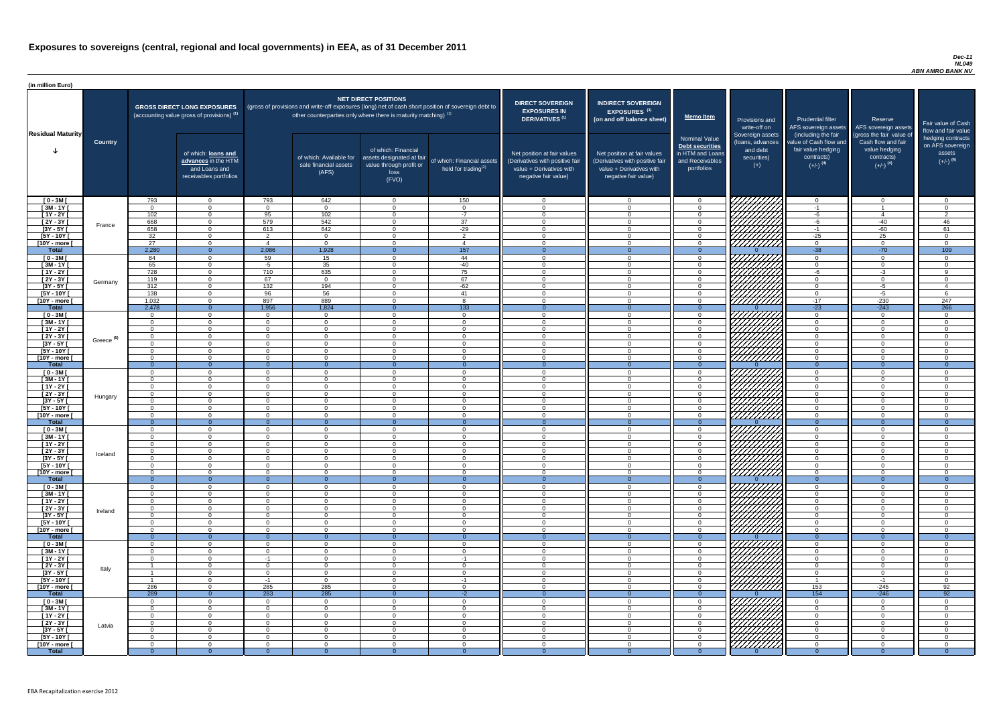#### *Dec-11 NL049 ABN AMRO BANK NV*

| (in million Euro)               |                       |                            |                                                                                             |                            |                                                                            |                                                                                              |                                                                                                     |                                                                                                                    |                                                                                                                    |                                                                                              |                                                                          |                                                                                                             |                                                                                                         |                                                                           |
|---------------------------------|-----------------------|----------------------------|---------------------------------------------------------------------------------------------|----------------------------|----------------------------------------------------------------------------|----------------------------------------------------------------------------------------------|-----------------------------------------------------------------------------------------------------|--------------------------------------------------------------------------------------------------------------------|--------------------------------------------------------------------------------------------------------------------|----------------------------------------------------------------------------------------------|--------------------------------------------------------------------------|-------------------------------------------------------------------------------------------------------------|---------------------------------------------------------------------------------------------------------|---------------------------------------------------------------------------|
| <b>Residual Maturity</b>        |                       |                            | <b>GROSS DIRECT LONG EXPOSURES</b><br>(accounting value gross of provisions) <sup>(1)</sup> |                            | other counterparties only where there is maturity matching) <sup>(1)</sup> | <b>NET DIRECT POSITIONS</b>                                                                  | (gross of provisions and write-off exposures (long) net of cash short position of sovereign debt to | <b>DIRECT SOVEREIGN</b><br><b>EXPOSURES IN</b><br>DERIVATIVES <sup>(1)</sup>                                       | <b>INDIRECT SOVEREIGN</b><br><b>EXPOSURES<sup>(3)</sup></b><br>(on and off balance sheet)                          | <b>Memo Item</b>                                                                             | Provisions and<br>write-off on                                           | <b>Prudential filter</b><br>AFS sovereign assets                                                            | Reserve<br>AFS sovereign assets                                                                         | Fair value of Cash<br>flow and fair value                                 |
|                                 | <b>Country</b>        |                            | of which: loans and<br>advances in the HTM<br>and Loans and<br>receivables portfolios       |                            | of which: Available for<br>sale financial assets<br>(AFS)                  | of which: Financial<br>assets designated at fair<br>value through profit or<br>loss<br>(FVO) | of which: Financial assets<br>held for trading $(2)$                                                | Net position at fair values<br>(Derivatives with positive fair<br>value + Derivatives with<br>negative fair value) | Net position at fair values<br>(Derivatives with positive fair<br>value + Derivatives with<br>negative fair value) | <b>Nominal Value</b><br>Debt securities<br>in HTM and Loans<br>and Receivables<br>portfolios | Sovereign assets<br>(loans, advances<br>and debt<br>securities)<br>$(+)$ | (including the fair<br>value of Cash flow and<br>fair value hedging<br>contracts)<br>$(+/-)$ <sup>(4)</sup> | (gross the fair value of<br>Cash flow and fair<br>value hedging<br>contracts)<br>$(+/-)$ <sup>(4)</sup> | hedging contracts<br>on AFS sovereign<br>assets<br>$(+/-)$ <sup>(4)</sup> |
| $[0 - 3M]$                      |                       | 793                        | $\Omega$                                                                                    | 793<br>$\cap$              | 642                                                                        | $\Omega$<br>$\cap$                                                                           | 150                                                                                                 | $\Omega$<br>$\cap$                                                                                                 | $\Omega$<br>$\Omega$                                                                                               | - 0<br>$\cap$                                                                                | 777777777                                                                | $\overline{0}$                                                                                              | $\Omega$                                                                                                | $\overline{0}$                                                            |
| $[3M - 1Y]$<br>$[1Y - 2Y]$      |                       | $\Omega$<br>102            | $\Omega$<br>$\Omega$                                                                        | 95                         | $\Omega$<br>102                                                            | $\cap$                                                                                       | $\Omega$<br>$-7$                                                                                    | $\Omega$                                                                                                           | $\Omega$                                                                                                           | $\cap$                                                                                       | 777777777                                                                | $-1$<br>-6                                                                                                  | $\mathbf{\Delta}$                                                                                       | $\Omega$<br>2                                                             |
| $[2Y - 3Y]$                     |                       | 668                        | $\overline{0}$                                                                              | 579                        | 542                                                                        | $\cap$                                                                                       | $\overline{37}$                                                                                     | $\Omega$                                                                                                           | $\Omega$                                                                                                           | $\Omega$                                                                                     |                                                                          | -6                                                                                                          | $-40$                                                                                                   | 46                                                                        |
| $[3Y - 5Y]$                     | France                | 658                        | $\overline{0}$                                                                              | 613                        | 642                                                                        | $\cap$                                                                                       | $-29$                                                                                               | $\Omega$                                                                                                           | $\Omega$                                                                                                           | $\Omega$                                                                                     | <u>ДДДД</u>                                                              | $-1$                                                                                                        | $-60$                                                                                                   | 61                                                                        |
| $[5Y - 10Y]$                    |                       | 32                         | $\overline{0}$                                                                              | $\overline{2}$             | $\Omega$                                                                   | $\Omega$                                                                                     | 2                                                                                                   | $\Omega$                                                                                                           | $\Omega$                                                                                                           | $\Omega$                                                                                     |                                                                          | $-25$                                                                                                       | 25                                                                                                      | $\Omega$                                                                  |
| [10Y - more [<br><b>Total</b>   |                       | 27<br>2,280                | $\overline{0}$<br>$\overline{0}$                                                            | $\overline{4}$<br>2,086    | $\Omega$<br>1,928                                                          | $\Omega$                                                                                     | $\overline{4}$<br>157                                                                               | $\Omega$                                                                                                           | $\Omega$                                                                                                           | $\Omega$<br>$\Omega$                                                                         | 77777777                                                                 | $\overline{0}$<br>$-38$                                                                                     | $\overline{0}$<br>$-70$                                                                                 | $\overline{0}$<br>109                                                     |
| $[0 - 3M]$                      |                       | 84                         | $\overline{0}$                                                                              | 59                         | 15                                                                         | $\Omega$                                                                                     | 44                                                                                                  | $\Omega$                                                                                                           | $\Omega$                                                                                                           | $\cap$                                                                                       |                                                                          | $\Omega$                                                                                                    | $\overline{0}$                                                                                          | $\Omega$                                                                  |
| $[3M - 1Y]$                     |                       | 65                         | $\overline{0}$                                                                              | -5                         | 35                                                                         | $\Omega$                                                                                     | $-40$                                                                                               | - 0                                                                                                                | $\Omega$                                                                                                           | $\cap$                                                                                       |                                                                          | $\Omega$                                                                                                    | $\overline{0}$                                                                                          | $\Omega$                                                                  |
| $[1Y - 2Y]$                     |                       | 728                        | $\Omega$                                                                                    | 710                        | 635                                                                        | $\Omega$                                                                                     | 75                                                                                                  | $\cap$                                                                                                             | $\Omega$                                                                                                           | $\cap$                                                                                       | HAAAA                                                                    | -6                                                                                                          | $-3$                                                                                                    | Q                                                                         |
| [2Y - 3Y [                      | Germany               | 119                        | $\overline{0}$                                                                              | 67                         | $\Omega$                                                                   | $\Omega$                                                                                     | 67                                                                                                  | $\cap$                                                                                                             | $\Omega$                                                                                                           | $\cap$                                                                                       |                                                                          | $\cap$                                                                                                      | $\overline{0}$                                                                                          | $\Omega$                                                                  |
| $[3Y - 5Y]$<br>$[5Y - 10Y]$     |                       | 312<br>138                 | $\Omega$<br>$\overline{0}$                                                                  | 132<br>96                  | 194<br>56                                                                  | $\Omega$<br>$\Omega$                                                                         | $-62$<br>41                                                                                         | $\Omega$<br>$\cap$                                                                                                 | $\Omega$<br>$\Omega$                                                                                               | $\cap$<br>$\cap$                                                                             |                                                                          | $\Omega$<br>$\Omega$                                                                                        | $-5$<br>$-5$                                                                                            | $\overline{4}$<br>-6                                                      |
| [10Y - more [                   |                       | 1,032                      | $\Omega$                                                                                    | 897                        | 889                                                                        | $\cap$                                                                                       | - 8                                                                                                 | $\cap$                                                                                                             | $\cap$                                                                                                             | $\cap$                                                                                       | HHHH                                                                     | $-17$                                                                                                       | $-230$                                                                                                  | 247                                                                       |
| <b>Total</b>                    |                       | 2,478                      | $\overline{0}$                                                                              | 1,956                      | 1,824                                                                      | $\Omega$                                                                                     | 133                                                                                                 | - 0                                                                                                                | $\Omega$                                                                                                           | $\Omega$                                                                                     |                                                                          | $-23$                                                                                                       | $-243$                                                                                                  | 266                                                                       |
| $[0 - 3M]$                      |                       | $\Omega$                   | $\Omega$                                                                                    | $\Omega$                   | $\Omega$                                                                   | $\Omega$                                                                                     | $\Omega$                                                                                            | $\cap$                                                                                                             | $\Omega$                                                                                                           | $\cap$                                                                                       |                                                                          | $\cap$                                                                                                      | $\overline{0}$                                                                                          | $\Omega$                                                                  |
| $[3M - 1Y]$                     |                       | $\Omega$                   | $\Omega$                                                                                    | $\Omega$                   | $\Omega$                                                                   | $\cap$                                                                                       | $\Omega$                                                                                            | $\Omega$                                                                                                           | $\Omega$                                                                                                           | $\Omega$                                                                                     |                                                                          | $\Omega$                                                                                                    | $\Omega$                                                                                                | $\Omega$                                                                  |
| $\boxed{1Y - 2Y}$<br>[2Y - 3Y [ |                       | $\Omega$<br>$\Omega$       | $\Omega$<br>$\Omega$                                                                        | $\Omega$<br>$\Omega$       | $\Omega$<br>$\Omega$                                                       | $\cap$                                                                                       | $\Omega$<br>$\cap$                                                                                  | $\Omega$                                                                                                           | $\Omega$<br>$\Omega$                                                                                               |                                                                                              | <i>VIIIIII</i> A                                                         | $\Omega$                                                                                                    | $\Omega$<br>$\Omega$                                                                                    | $\Omega$                                                                  |
| $[3Y - 5Y]$                     | Greece <sup>(5)</sup> |                            |                                                                                             |                            |                                                                            |                                                                                              |                                                                                                     |                                                                                                                    |                                                                                                                    |                                                                                              |                                                                          |                                                                                                             |                                                                                                         |                                                                           |
| $[5Y - 10Y]$                    |                       | - 0                        |                                                                                             | $\Omega$                   | $\Omega$                                                                   |                                                                                              | $\Omega$                                                                                            |                                                                                                                    | $\Omega$                                                                                                           |                                                                                              | <i>UMMI</i>                                                              |                                                                                                             | $\Omega$                                                                                                |                                                                           |
| [10Y - more [                   |                       | - 0                        |                                                                                             | $\Omega$                   | $\Omega$                                                                   |                                                                                              | $\Omega$                                                                                            |                                                                                                                    | $\Omega$                                                                                                           |                                                                                              | ///////////                                                              | റ                                                                                                           | $\Omega$                                                                                                |                                                                           |
| <b>Total</b>                    |                       | $\Omega$<br>- റ            | $\Omega$<br>$\Omega$                                                                        | $\Omega$<br>$\Omega$       | $\Omega$<br>$\Omega$                                                       | $\Omega$                                                                                     | $\Omega$<br>$\Omega$                                                                                | $\Omega$                                                                                                           | $\Omega$<br>$\Omega$                                                                                               | $\Omega$<br>$\Omega$                                                                         |                                                                          | $\Omega$<br>$\Omega$                                                                                        | $\Omega$<br>$\Omega$                                                                                    | $\Omega$                                                                  |
| $[0 - 3M]$<br>$\sqrt{3M-1Y}$    |                       | - റ                        | $\Omega$                                                                                    | $\Omega$                   | $\Omega$                                                                   | $\cap$                                                                                       | $\Omega$                                                                                            | $\Omega$                                                                                                           | $\Omega$                                                                                                           | $\cap$                                                                                       |                                                                          | $\Omega$                                                                                                    | $\Omega$                                                                                                | $\Omega$                                                                  |
| $[1Y - 2Y]$                     |                       | $\Omega$                   | $\Omega$                                                                                    | $\Omega$                   | $\Omega$                                                                   | $\Omega$                                                                                     | $\Omega$                                                                                            | $\Omega$                                                                                                           | $\Omega$                                                                                                           | $\Omega$                                                                                     |                                                                          | $\overline{0}$                                                                                              | $\Omega$                                                                                                | $\Omega$                                                                  |
| $[2Y - 3Y]$                     | Hungary               | $\Omega$                   | $\Omega$                                                                                    | $\Omega$                   | $\Omega$                                                                   | $\Omega$                                                                                     | $\Omega$                                                                                            | $\Omega$                                                                                                           | $\Omega$                                                                                                           | $\Omega$                                                                                     | 77                                                                       | $\Omega$                                                                                                    | $\Omega$                                                                                                | $\Omega$                                                                  |
| $[3Y - 5Y]$                     |                       | $\Omega$                   | $\Omega$                                                                                    | $\Omega$                   | $\Omega$                                                                   | $\Omega$                                                                                     | $\Omega$                                                                                            | $\Omega$                                                                                                           | $\Omega$                                                                                                           | $\Omega$                                                                                     |                                                                          | $\Omega$                                                                                                    | $\Omega$                                                                                                | $\Omega$                                                                  |
| $[5Y - 10Y]$<br>[10Y - more [   |                       | $\Omega$<br>$\Omega$       | $\Omega$<br>$\Omega$                                                                        | $\Omega$<br>$\Omega$       | $\Omega$<br>$\Omega$                                                       | $\Omega$<br>$\Omega$                                                                         | $\Omega$<br>$\overline{0}$                                                                          | $\Omega$<br>- 0                                                                                                    | $\Omega$<br>$\Omega$                                                                                               | $\Omega$<br>$\Omega$                                                                         | //////////<br>777777777                                                  | $\Omega$<br>$\overline{0}$                                                                                  | $\Omega$<br>$\overline{0}$                                                                              | $\Omega$<br>$\Omega$                                                      |
| <b>Total</b>                    |                       | $\Omega$                   | $\overline{0}$                                                                              | $\Omega$                   | $\Omega$                                                                   | $\Omega$                                                                                     | $\overline{0}$                                                                                      | $\Omega$                                                                                                           | $\Omega$                                                                                                           | $\Omega$                                                                                     |                                                                          | $\overline{0}$                                                                                              | $\Omega$                                                                                                | $\Omega$                                                                  |
| $[0 - 3M]$                      |                       | $\overline{0}$             | $\Omega$                                                                                    | $\Omega$                   | $\Omega$                                                                   | $\Omega$                                                                                     | $\overline{0}$                                                                                      | $\Omega$                                                                                                           | $\overline{0}$                                                                                                     | $\Omega$                                                                                     |                                                                          | $\overline{0}$                                                                                              | $\overline{0}$                                                                                          | $\Omega$                                                                  |
| $1$ 3M - 1Y                     |                       | - 0                        | $\Omega$                                                                                    | $\Omega$                   | $\Omega$                                                                   | $\Omega$                                                                                     | $\Omega$                                                                                            | $\Omega$                                                                                                           | $\Omega$                                                                                                           | $\Omega$                                                                                     | 777777777                                                                | - 0                                                                                                         | $\Omega$                                                                                                | $\Omega$                                                                  |
| $[1Y - 2Y]$                     |                       | $\overline{0}$             | $\Omega$                                                                                    | $\Omega$                   | $\Omega$<br>$\Omega$                                                       | $\Omega$<br>$\Omega$                                                                         | $\Omega$                                                                                            | $\Omega$<br>$\Omega$                                                                                               | $\Omega$<br>$\Omega$                                                                                               | $\Omega$<br>$\Omega$                                                                         |                                                                          | $\Omega$<br>- 0                                                                                             | $\overline{0}$                                                                                          | $\Omega$                                                                  |
| $[2Y - 3Y]$<br>$[3Y - 5Y]$      | Iceland               | $\overline{0}$<br>$\Omega$ | $\overline{0}$<br>$\Omega$                                                                  | $\overline{0}$<br>$\Omega$ | $\Omega$                                                                   | - റ                                                                                          | $\overline{0}$<br>$\Omega$                                                                          | - റ                                                                                                                | $\Omega$                                                                                                           | - 0                                                                                          | 77777777.                                                                | $\Omega$                                                                                                    | $\overline{0}$<br>$\overline{0}$                                                                        | $\Omega$<br>$\Omega$                                                      |
| $[5Y - 10Y]$                    |                       | $\Omega$                   | $\Omega$                                                                                    | $\Omega$                   | $\Omega$                                                                   | $\Omega$                                                                                     | $\Omega$                                                                                            | $\cap$                                                                                                             | $\Omega$                                                                                                           | $\cap$                                                                                       |                                                                          | $\cap$                                                                                                      | $\Omega$                                                                                                | $\Omega$                                                                  |
| [10Y - more [                   |                       | $\Omega$                   | $\Omega$                                                                                    | - റ                        | $\Omega$                                                                   | - റ                                                                                          | $\Omega$                                                                                            | $\cap$                                                                                                             | $\Omega$                                                                                                           | റ                                                                                            | 77777777                                                                 | $\Omega$                                                                                                    | $\Omega$                                                                                                | $\Omega$                                                                  |
| <b>Total</b>                    |                       | - റ                        | $\overline{0}$                                                                              | $\Omega$                   | - 0                                                                        | $\cap$                                                                                       | $\overline{0}$                                                                                      | $\Omega$                                                                                                           | $\Omega$                                                                                                           | $\Omega$<br>$\cap$                                                                           |                                                                          | $\Omega$<br>$\Omega$                                                                                        | $\overline{0}$                                                                                          | $\overline{0}$<br>$\Omega$                                                |
| $[0 - 3M]$<br>$[3M - 1Y]$       |                       | $\Omega$<br>$\Omega$       | $\Omega$<br>$\Omega$                                                                        | $\Omega$<br>$\Omega$       | $\Omega$<br>$\Omega$                                                       | $\Omega$                                                                                     | $\Omega$<br>$\overline{0}$                                                                          | $\Omega$                                                                                                           | $\Omega$<br>$\Omega$                                                                                               | $\cap$                                                                                       |                                                                          | $\Omega$                                                                                                    | $\Omega$<br>$\overline{0}$                                                                              | $\Omega$                                                                  |
| $[1Y - 2Y]$                     |                       | $\Omega$                   | $\Omega$                                                                                    | $\Omega$                   | $\Omega$                                                                   | $\Omega$                                                                                     | $\Omega$                                                                                            | $\Omega$                                                                                                           | $\Omega$                                                                                                           | $\Omega$                                                                                     |                                                                          | $\Omega$                                                                                                    | $\overline{0}$                                                                                          | $\Omega$                                                                  |
| $[2Y - 3Y]$                     | Ireland               | $\Omega$                   | $\Omega$                                                                                    | $\Omega$                   | $\Omega$                                                                   | $\cap$                                                                                       | $\Omega$                                                                                            | $\Omega$                                                                                                           | $\Omega$                                                                                                           |                                                                                              |                                                                          | $\cap$                                                                                                      | $\Omega$                                                                                                |                                                                           |
| $[3Y - 5Y]$                     |                       | $\Omega$                   | $\Omega$                                                                                    | $\Omega$                   | $\Omega$                                                                   | $\Omega$                                                                                     | $\Omega$                                                                                            | $\Omega$                                                                                                           | $\Omega$                                                                                                           |                                                                                              |                                                                          | $\cap$                                                                                                      | $\Omega$                                                                                                |                                                                           |
| $[5Y - 10Y]$<br>[10Y - more [   |                       | $\Omega$<br>$\Omega$       | $\Omega$<br>$\cap$                                                                          | $\Omega$<br>$\Omega$       | $\Omega$<br>$\Omega$                                                       | $\cap$<br>$\Omega$                                                                           | $\Omega$<br>$\Omega$                                                                                | $\Omega$                                                                                                           | $\Omega$<br>$\Omega$                                                                                               |                                                                                              | an dhe                                                                   | $\cap$                                                                                                      | $\Omega$<br>$\Omega$                                                                                    |                                                                           |
| <b>Total</b>                    |                       | $\Omega$                   | $\Omega$                                                                                    | $\Omega$                   | $\Omega$                                                                   | $\Omega$                                                                                     | $\Omega$                                                                                            |                                                                                                                    | $\Omega$                                                                                                           | $\Omega$                                                                                     |                                                                          | $\Omega$                                                                                                    | $\Omega$                                                                                                | $\theta$                                                                  |
| $[0 - 3M]$                      |                       | $\Omega$                   | $\cap$                                                                                      | $\Omega$                   | $\Omega$                                                                   | $\Omega$                                                                                     | $\Omega$                                                                                            | $\Omega$                                                                                                           | $\Omega$                                                                                                           |                                                                                              | 777777777                                                                | $\Omega$                                                                                                    | $\Omega$                                                                                                |                                                                           |
| $[3M - 1Y]$                     |                       | $\Omega$                   | $\Omega$                                                                                    | $\Omega$                   | $\Omega$                                                                   | $\Omega$                                                                                     | $\overline{0}$                                                                                      | $\Omega$                                                                                                           | $\Omega$                                                                                                           |                                                                                              | V////////                                                                | $\Omega$                                                                                                    | $\Omega$                                                                                                | $\Omega$                                                                  |
| $[1Y - 2Y]$                     |                       | - റ                        | $\Omega$<br>$\Omega$                                                                        | -1<br>$\Omega$             | $\Omega$                                                                   | $\Omega$<br>$\Omega$                                                                         | $-1$                                                                                                | $\Omega$<br>$\Omega$                                                                                               | $\Omega$<br>$\Omega$                                                                                               | $\Omega$<br>$\Omega$                                                                         | //////////                                                               | $\Omega$<br>$\Omega$                                                                                        | $\Omega$                                                                                                | $\Omega$<br>$\Omega$                                                      |
| $[2Y - 3Y]$<br>$[3Y - 5Y]$      | Italy                 |                            | $\Omega$                                                                                    | $\Omega$                   | $\Omega$<br>$\Omega$                                                       | $\Omega$                                                                                     | $\Omega$<br>$\Omega$                                                                                | $\Omega$                                                                                                           | $\Omega$                                                                                                           | $\Omega$                                                                                     | 777777777                                                                | $\Omega$                                                                                                    | $\Omega$<br>$\overline{0}$                                                                              | $\Omega$                                                                  |
| $[5Y - 10Y]$                    |                       |                            | $\Omega$                                                                                    | $-1$                       | $\Omega$                                                                   | $\Omega$                                                                                     | $-1$                                                                                                | $\Omega$                                                                                                           | $\Omega$                                                                                                           | $\Omega$                                                                                     | 77777777                                                                 |                                                                                                             | -1                                                                                                      | $\Omega$                                                                  |
| [10Y - more [                   |                       | 286                        | $\Omega$                                                                                    | 285                        | 285                                                                        | $\Omega$                                                                                     | $\overline{0}$                                                                                      | $\Omega$                                                                                                           | $\Omega$                                                                                                           | $\cap$                                                                                       | ////////////                                                             | 153                                                                                                         | $-245$                                                                                                  | 92                                                                        |
| <b>Total</b>                    |                       | 289                        | $\overline{0}$                                                                              | 283                        | 285                                                                        | $\Omega$                                                                                     | $-2$                                                                                                | $\Omega$                                                                                                           | $\Omega$                                                                                                           | $\Omega$                                                                                     |                                                                          | 154                                                                                                         | $-246$                                                                                                  | 92                                                                        |
| $[0 - 3M]$<br>$[3M-1Y]$         |                       | $\Omega$<br>$\overline{0}$ | $\Omega$<br>- 0                                                                             | $\Omega$<br>$\Omega$       | $\Omega$<br>$\Omega$                                                       | $\Omega$<br>$\Omega$                                                                         | $\Omega$<br>$\Omega$                                                                                | $\Omega$<br>$\Omega$                                                                                               | $\Omega$<br>$\Omega$                                                                                               | $\Omega$<br>$\Omega$                                                                         | <i>VIIIIIIII</i>                                                         | $\Omega$<br>- 0                                                                                             | $\Omega$<br>$\overline{0}$                                                                              | $\Omega$                                                                  |
| $[1Y - 2Y]$                     |                       | $\overline{0}$             | $\Omega$                                                                                    | $\Omega$                   | $\Omega$                                                                   | $\Omega$                                                                                     | $\overline{0}$                                                                                      | $\Omega$                                                                                                           | $\Omega$                                                                                                           | $\Omega$                                                                                     |                                                                          | $\Omega$                                                                                                    | $\overline{0}$                                                                                          | $\Omega$                                                                  |
| [2Y - 3Y [                      | Latvia                | $\overline{0}$             | $\Omega$                                                                                    | $\overline{0}$             | $\Omega$                                                                   | $\Omega$                                                                                     | $\overline{0}$                                                                                      | $\overline{0}$                                                                                                     | $\Omega$                                                                                                           | - 0                                                                                          |                                                                          | $\overline{0}$                                                                                              | $\overline{0}$                                                                                          | $\Omega$                                                                  |
| $[3Y - 5Y]$                     |                       | $\Omega$                   | $\Omega$                                                                                    | $\overline{0}$             | $\Omega$                                                                   | $\overline{0}$                                                                               | $\overline{0}$                                                                                      | - 0                                                                                                                | $\Omega$                                                                                                           | $\Omega$                                                                                     |                                                                          | $\overline{0}$                                                                                              | $\overline{0}$                                                                                          | - 0                                                                       |
| $[5Y - 10Y]$<br>[10Y - more [   |                       | $\Omega$<br>$\Omega$       | $\overline{0}$<br>$\overline{0}$                                                            | $\Omega$<br>$\Omega$       | $\Omega$<br>$\Omega$                                                       | $\Omega$<br>$\overline{0}$                                                                   | $\overline{0}$<br>$\overline{0}$                                                                    | - 0<br>- 0                                                                                                         | $\Omega$<br>$\Omega$                                                                                               | . റ<br>$\Omega$                                                                              | HANA<br>HANA                                                             | $\Omega$<br>$\overline{0}$                                                                                  | $\overline{0}$<br>$\overline{0}$                                                                        | $\Omega$<br>$\Omega$                                                      |
| <b>Total</b>                    |                       | - 0                        | $\Omega$                                                                                    | $\overline{0}$             | - 0                                                                        |                                                                                              |                                                                                                     |                                                                                                                    |                                                                                                                    |                                                                                              |                                                                          |                                                                                                             |                                                                                                         |                                                                           |
|                                 |                       |                            |                                                                                             |                            |                                                                            |                                                                                              |                                                                                                     |                                                                                                                    |                                                                                                                    |                                                                                              |                                                                          |                                                                                                             |                                                                                                         |                                                                           |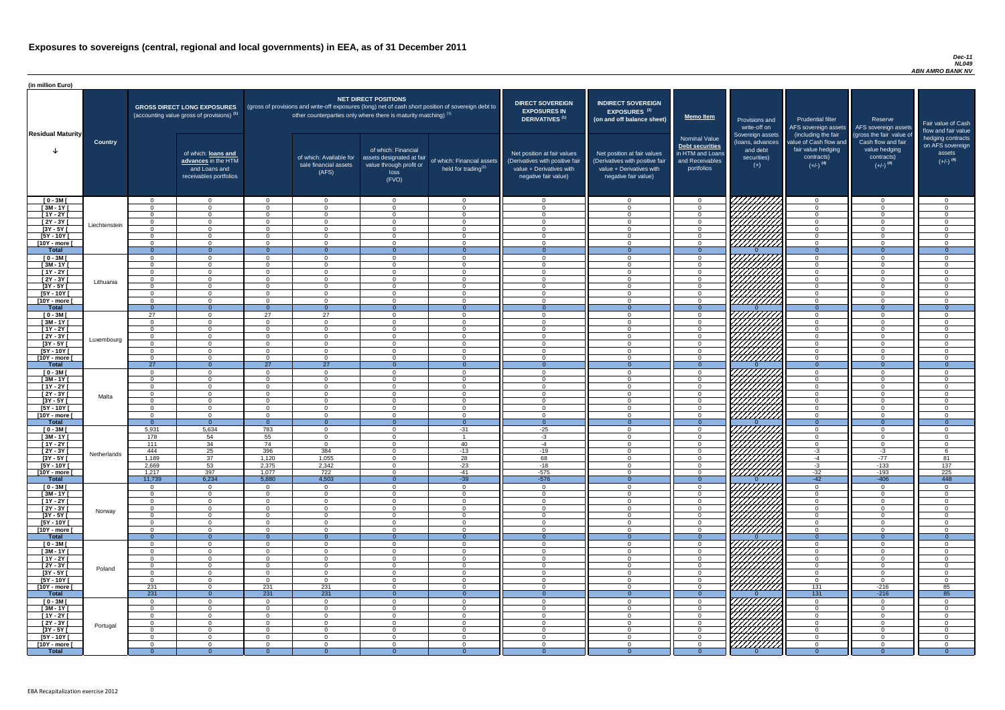#### *Dec-11 NL049 ABN AMRO BANK NV*

| <b>DIRECT SOVEREIGN</b><br><b>EXPOSURES IN</b><br><b>DERIVATIVES<sup>(1)</sup></b><br>Net position at fair values<br>(Derivatives with positive fair<br>value + Derivatives with<br>negative fair value) | <b>INDIRECT SOVEREIGN</b><br><b>EXPOSURES<sup>(3)</sup></b><br>(on and off balance sheet)<br>Net position at fair values<br>(Derivatives with positive fair<br>$value + Derivative$ s with<br>negative fair value) | <b>Memo Item</b><br><b>Nominal Value</b><br>Debt securities<br>in HTM and Loans<br>and Receivables<br>portfolios | Provisions and<br>write-off on<br>Sovereign assets<br>(loans, advances<br>and debt<br>securities)<br>$(+)$ | <b>Prudential filter</b><br>AFS sovereign assets<br>(including the fair<br>value of Cash flow and<br>fair value hedging<br>contracts)<br>$(+/-)$ <sup>(4)</sup> | Reserve<br>AFS sovereign assets<br>(gross the fair value of<br>Cash flow and fair<br>value hedging<br>contracts)<br>$(+/-)$ <sup>(4)</sup> | Fair value of Cash<br>flow and fair value<br>hedging contracts<br>on AFS sovereign<br>assets<br>$(+/-)$ <sup>(4)</sup> |
|----------------------------------------------------------------------------------------------------------------------------------------------------------------------------------------------------------|--------------------------------------------------------------------------------------------------------------------------------------------------------------------------------------------------------------------|------------------------------------------------------------------------------------------------------------------|------------------------------------------------------------------------------------------------------------|-----------------------------------------------------------------------------------------------------------------------------------------------------------------|--------------------------------------------------------------------------------------------------------------------------------------------|------------------------------------------------------------------------------------------------------------------------|
| $\mathbf 0$                                                                                                                                                                                              | $\overline{0}$                                                                                                                                                                                                     | $\mathbf 0$                                                                                                      |                                                                                                            | $\overline{0}$                                                                                                                                                  | $\overline{0}$                                                                                                                             | $\mathbf 0$                                                                                                            |
| $\mathbf 0$                                                                                                                                                                                              | $\mathbf 0$                                                                                                                                                                                                        | $\mathbf 0$                                                                                                      |                                                                                                            | $\mathbf 0$                                                                                                                                                     | $\mathbf 0$                                                                                                                                | $\mathbf 0$                                                                                                            |
| $\mathbf 0$                                                                                                                                                                                              | $\mathbf 0$                                                                                                                                                                                                        | $\mathbf 0$                                                                                                      |                                                                                                            | $\mathbf 0$                                                                                                                                                     | $\overline{0}$                                                                                                                             | $\mathbf 0$                                                                                                            |
| $\mathbf 0$                                                                                                                                                                                              | $\mathbf 0$                                                                                                                                                                                                        | $\pmb{0}$                                                                                                        |                                                                                                            | $\mathbf 0$                                                                                                                                                     | $\mathbf 0$                                                                                                                                | $\pmb{0}$                                                                                                              |
| $\pmb{0}$<br>$\mathbf 0$                                                                                                                                                                                 | $\mathbf 0$<br>$\mathbf 0$                                                                                                                                                                                         | $\pmb{0}$<br>$\mathbf 0$                                                                                         |                                                                                                            | $\mathbf 0$<br>$\mathbf 0$                                                                                                                                      | $\pmb{0}$<br>$\mathbf 0$                                                                                                                   | $\pmb{0}$<br>$\mathbf 0$                                                                                               |
| $\mathbf 0$                                                                                                                                                                                              | $\mathbf 0$                                                                                                                                                                                                        | $\pmb{0}$                                                                                                        |                                                                                                            | $\mathbf 0$                                                                                                                                                     | $\mathbf 0$                                                                                                                                | $\mathbf 0$                                                                                                            |
| $\mathbf{0}$                                                                                                                                                                                             | $\overline{0}$                                                                                                                                                                                                     | $\overline{0}$                                                                                                   | 0                                                                                                          | $\overline{0}$                                                                                                                                                  | $\overline{0}$                                                                                                                             | $\overline{0}$                                                                                                         |
| $\mathbf 0$                                                                                                                                                                                              | $\mathbf 0$                                                                                                                                                                                                        | $\pmb{0}$                                                                                                        |                                                                                                            | $\mathbf 0$                                                                                                                                                     | $\mathbf 0$                                                                                                                                | $\mathbf 0$                                                                                                            |
| $\mathbf 0$                                                                                                                                                                                              | $\mathbf 0$                                                                                                                                                                                                        | $\pmb{0}$                                                                                                        |                                                                                                            | $\mathbf 0$                                                                                                                                                     | $\mathbf 0$                                                                                                                                | $\mathbf 0$                                                                                                            |
| $\mathbf 0$                                                                                                                                                                                              | $\mathbf 0$                                                                                                                                                                                                        | $\pmb{0}$                                                                                                        |                                                                                                            | $\mathbf 0$                                                                                                                                                     | $\mathbf 0$                                                                                                                                | $\mathbf 0$                                                                                                            |
| $\mathbf 0$<br>$\pmb{0}$                                                                                                                                                                                 | $\mathbf 0$<br>$\mathbf 0$                                                                                                                                                                                         | $\mathbf 0$<br>$\mathbf 0$                                                                                       |                                                                                                            | $\mathbf 0$<br>$\mathbf 0$                                                                                                                                      | $\mathbf 0$<br>$\mathbf 0$                                                                                                                 | $\mathbf 0$<br>$\mathbf 0$                                                                                             |
| $\mathbf 0$                                                                                                                                                                                              | $\mathbf 0$                                                                                                                                                                                                        | $\mathbf 0$                                                                                                      |                                                                                                            | $\mathbf 0$                                                                                                                                                     | $\mathbf 0$                                                                                                                                | $\mathbf 0$                                                                                                            |
| $\mathbf 0$                                                                                                                                                                                              | $\mathbf 0$                                                                                                                                                                                                        | $\mathbf 0$                                                                                                      |                                                                                                            | $\mathbf 0$                                                                                                                                                     | $\mathbf 0$                                                                                                                                | $\mathbf 0$                                                                                                            |
| $\mathbf{0}$                                                                                                                                                                                             | $\overline{0}$                                                                                                                                                                                                     | $\overline{0}$                                                                                                   | $\Omega$                                                                                                   | $\mathbf{0}$                                                                                                                                                    | $\overline{0}$                                                                                                                             | $\overline{0}$                                                                                                         |
| $\mathbf 0$                                                                                                                                                                                              | $\mathbf 0$                                                                                                                                                                                                        | $\pmb{0}$                                                                                                        |                                                                                                            | $\mathbf 0$                                                                                                                                                     | $\mathbf 0$                                                                                                                                | $\mathbf 0$                                                                                                            |
| $\mathbf 0$<br>$\mathbf 0$                                                                                                                                                                               | $\mathbf 0$<br>$\mathbf 0$                                                                                                                                                                                         | $\pmb{0}$<br>$\pmb{0}$                                                                                           |                                                                                                            | $\mathbf 0$<br>$\mathbf 0$                                                                                                                                      | $\mathbf 0$<br>$\mathbf 0$                                                                                                                 | $\mathbf 0$<br>$\mathbf 0$                                                                                             |
| $\mathbf 0$                                                                                                                                                                                              | 0                                                                                                                                                                                                                  | $\mathbf 0$                                                                                                      |                                                                                                            | $\mathbf 0$                                                                                                                                                     | $\mathbf 0$                                                                                                                                | $\mathbf 0$                                                                                                            |
| $\mathbf 0$                                                                                                                                                                                              | $\mathbf 0$                                                                                                                                                                                                        | 0                                                                                                                |                                                                                                            | 0                                                                                                                                                               | $\Omega$                                                                                                                                   | $\mathbf 0$                                                                                                            |
| 0                                                                                                                                                                                                        | 0                                                                                                                                                                                                                  | 0                                                                                                                |                                                                                                            | 0                                                                                                                                                               | 0                                                                                                                                          | 0                                                                                                                      |
| $\mathbf 0$                                                                                                                                                                                              | 0                                                                                                                                                                                                                  | 0                                                                                                                |                                                                                                            | 0                                                                                                                                                               | 0                                                                                                                                          | $\mathbf 0$                                                                                                            |
| $\overline{0}$<br>$\mathbf 0$                                                                                                                                                                            | $\overline{0}$<br>$\mathbf 0$                                                                                                                                                                                      | $\overline{0}$<br>0                                                                                              | $\Omega$                                                                                                   | $\overline{0}$<br>$\mathbf 0$                                                                                                                                   | $\overline{0}$<br>0                                                                                                                        | $\overline{0}$<br>0                                                                                                    |
| $\pmb{0}$                                                                                                                                                                                                | $\mathbf 0$                                                                                                                                                                                                        | $\mathbf 0$                                                                                                      |                                                                                                            | $\mathbf 0$                                                                                                                                                     | 0                                                                                                                                          | $\mathbf 0$                                                                                                            |
| $\mathbf 0$                                                                                                                                                                                              | $\mathbf 0$                                                                                                                                                                                                        | 0                                                                                                                |                                                                                                            | $\mathbf 0$                                                                                                                                                     | 0                                                                                                                                          | $\mathbf 0$                                                                                                            |
| $\mathbf 0$                                                                                                                                                                                              | $\mathbf 0$                                                                                                                                                                                                        | 0                                                                                                                |                                                                                                            | $\mathbf 0$                                                                                                                                                     | 0                                                                                                                                          | 0                                                                                                                      |
| $\mathbf 0$                                                                                                                                                                                              | $\mathbf 0$                                                                                                                                                                                                        | 0                                                                                                                |                                                                                                            | $\mathbf 0$                                                                                                                                                     | 0                                                                                                                                          | 0                                                                                                                      |
| $\mathbf 0$<br>$\mathbf 0$                                                                                                                                                                               | $\mathbf 0$<br>$\mathbf 0$                                                                                                                                                                                         | $\mathsf 0$<br>0                                                                                                 |                                                                                                            | $\mathbf 0$<br>$\mathbf 0$                                                                                                                                      | $\mathbf 0$<br>0                                                                                                                           | 0<br>0                                                                                                                 |
| $\mathbf{0}$                                                                                                                                                                                             | $\overline{0}$                                                                                                                                                                                                     | $\overline{0}$                                                                                                   | $\Omega$                                                                                                   | $\overline{0}$                                                                                                                                                  | $\overline{0}$                                                                                                                             | $\overline{0}$                                                                                                         |
| $-25$                                                                                                                                                                                                    | $\mathbf 0$                                                                                                                                                                                                        | $\pmb{0}$                                                                                                        |                                                                                                            | $\mathbf 0$                                                                                                                                                     | 0                                                                                                                                          | 0                                                                                                                      |
| $-3$                                                                                                                                                                                                     | 0                                                                                                                                                                                                                  | $\pmb{0}$                                                                                                        |                                                                                                            | $\mathbf 0$                                                                                                                                                     | 0                                                                                                                                          | $\mathbf 0$                                                                                                            |
| $-4$                                                                                                                                                                                                     | $\mathbf 0$                                                                                                                                                                                                        | $\pmb{0}$                                                                                                        |                                                                                                            | $\mathbf 0$<br>$-3$                                                                                                                                             | $\mathsf 0$                                                                                                                                | $\pmb{0}$                                                                                                              |
| $-19$<br>68                                                                                                                                                                                              | $\mathbf 0$<br>$\mathbf 0$                                                                                                                                                                                         | $\pmb{0}$<br>$\pmb{0}$                                                                                           |                                                                                                            | $-4$                                                                                                                                                            | $-3$<br>$-77$                                                                                                                              | 6<br>81                                                                                                                |
| $-18$                                                                                                                                                                                                    | $\mathbf 0$                                                                                                                                                                                                        | $\pmb{0}$                                                                                                        |                                                                                                            | $-3$                                                                                                                                                            | $-133$                                                                                                                                     | 137                                                                                                                    |
| $-575$                                                                                                                                                                                                   | $\mathbf 0$                                                                                                                                                                                                        | $\mathsf 0$                                                                                                      |                                                                                                            | $-32$                                                                                                                                                           | $-193$                                                                                                                                     | 225                                                                                                                    |
| $-576$                                                                                                                                                                                                   | $\overline{0}$                                                                                                                                                                                                     | $\overline{0}$                                                                                                   | $\mathbf 0$                                                                                                | $-42$                                                                                                                                                           | $-406$                                                                                                                                     | 448                                                                                                                    |
| $\mathbf 0$<br>$\pmb{0}$                                                                                                                                                                                 | $\mathbf 0$<br>$\mathbf 0$                                                                                                                                                                                         | 0<br>$\mathsf 0$                                                                                                 |                                                                                                            | $\overline{0}$<br>$\mathbf 0$                                                                                                                                   | 0<br>0                                                                                                                                     | 0<br>$\pmb{0}$                                                                                                         |
| $\boldsymbol{0}$                                                                                                                                                                                         | 0                                                                                                                                                                                                                  | 0                                                                                                                |                                                                                                            | 0                                                                                                                                                               | $\mathbf 0$                                                                                                                                | $\pmb{0}$                                                                                                              |
| $\mathbf 0$                                                                                                                                                                                              | 0                                                                                                                                                                                                                  | 0                                                                                                                |                                                                                                            | 0                                                                                                                                                               | 0                                                                                                                                          | 0                                                                                                                      |
| $\mathbf 0$                                                                                                                                                                                              | $\mathbf 0$                                                                                                                                                                                                        | 0                                                                                                                |                                                                                                            | $\mathbf 0$                                                                                                                                                     | 0                                                                                                                                          | 0                                                                                                                      |
| 0                                                                                                                                                                                                        | 0                                                                                                                                                                                                                  | 0                                                                                                                |                                                                                                            | 0                                                                                                                                                               | 0                                                                                                                                          | $\mathbf 0$                                                                                                            |
| $\mathbf 0$<br>$\overline{0}$                                                                                                                                                                            | $\boldsymbol{0}$<br>$\overline{0}$                                                                                                                                                                                 | 0<br>$\overline{0}$                                                                                              | $\Omega$                                                                                                   | $\mathbf 0$<br>$\mathbf{0}$                                                                                                                                     | 0<br>$\overline{0}$                                                                                                                        | $\mathbf 0$<br>$\overline{0}$                                                                                          |
| $\mathbf 0$                                                                                                                                                                                              | 0                                                                                                                                                                                                                  | $\mathbf 0$                                                                                                      |                                                                                                            | 0                                                                                                                                                               | 0                                                                                                                                          | 0                                                                                                                      |
| $\pmb{0}$                                                                                                                                                                                                | $\mathbf 0$                                                                                                                                                                                                        | $\mathbf 0$                                                                                                      |                                                                                                            | $\mathbf 0$                                                                                                                                                     | 0                                                                                                                                          | $\mathbf 0$                                                                                                            |
| $\mathbf 0$                                                                                                                                                                                              | $\mathbf 0$                                                                                                                                                                                                        | $\mathbf 0$                                                                                                      |                                                                                                            | $\mathbf 0$                                                                                                                                                     | 0                                                                                                                                          | $\mathbf 0$                                                                                                            |
| 0                                                                                                                                                                                                        | 0                                                                                                                                                                                                                  | 0                                                                                                                |                                                                                                            | 0                                                                                                                                                               | 0                                                                                                                                          | $\mathbf 0$                                                                                                            |
| $\mathbf 0$<br>$\pmb{0}$                                                                                                                                                                                 | $\mathbf 0$<br>$\mathbf 0$                                                                                                                                                                                         | 0<br>$\pmb{0}$                                                                                                   |                                                                                                            | $\mathbf 0$<br>$\overline{0}$                                                                                                                                   | 0<br>$\mathbf 0$                                                                                                                           | $\mathbf 0$<br>$\pmb{0}$                                                                                               |
| $\mathbf 0$                                                                                                                                                                                              | $\mathbf 0$                                                                                                                                                                                                        | 0                                                                                                                |                                                                                                            | 131                                                                                                                                                             | $-216$                                                                                                                                     | 85                                                                                                                     |
| $\mathbf{0}$                                                                                                                                                                                             | $\overline{0}$                                                                                                                                                                                                     | $\overline{0}$                                                                                                   | $\Omega$                                                                                                   | 131                                                                                                                                                             | $-216$                                                                                                                                     | 85                                                                                                                     |
| $\mathbf 0$                                                                                                                                                                                              | $\mathbf 0$                                                                                                                                                                                                        | 0                                                                                                                |                                                                                                            | $\mathbf 0$                                                                                                                                                     | 0                                                                                                                                          | 0                                                                                                                      |
| $\Omega$                                                                                                                                                                                                 | $\Omega$                                                                                                                                                                                                           | $\Omega$                                                                                                         |                                                                                                            | $\Omega$                                                                                                                                                        | 0                                                                                                                                          | $\mathbf 0$                                                                                                            |
| $\mathbf 0$<br>$\mathbf 0$                                                                                                                                                                               | $\mathbf 0$<br>$\mathbf 0$                                                                                                                                                                                         | $\pmb{0}$<br>$\pmb{0}$                                                                                           |                                                                                                            | $\mathbf 0$<br>$\mathbf 0$                                                                                                                                      | $\mathbf 0$<br>$\overline{0}$                                                                                                              | $\pmb{0}$<br>$\mathbf 0$                                                                                               |
| $\mathbf 0$                                                                                                                                                                                              | $\mathbf 0$                                                                                                                                                                                                        | $\mathbf 0$                                                                                                      |                                                                                                            | $\mathbf 0$                                                                                                                                                     | $\overline{0}$                                                                                                                             | $\mathbf 0$                                                                                                            |
| $\mathbf 0$                                                                                                                                                                                              | $\mathbf 0$                                                                                                                                                                                                        | $\mathbf 0$                                                                                                      |                                                                                                            | $\overline{0}$                                                                                                                                                  | $\mathbf 0$                                                                                                                                | $\mathbf 0$                                                                                                            |
| $\mathbf 0$                                                                                                                                                                                              | $\mathbf 0$                                                                                                                                                                                                        | $\mathbf 0$                                                                                                      |                                                                                                            | $\mathbf 0$                                                                                                                                                     | $\mathbf 0$                                                                                                                                | $\overline{0}$                                                                                                         |
| $\overline{0}$                                                                                                                                                                                           | $\overline{0}$                                                                                                                                                                                                     | $\overline{0}$                                                                                                   | $\overline{0}$                                                                                             | $\overline{0}$                                                                                                                                                  | $\overline{0}$                                                                                                                             | $\overline{0}$                                                                                                         |

| (in million Euro)                   |                |                              |                                                                                             |                       |                                                                   |                                                                                              |                                                                                                     |                                                                                                                    |                                                                                                                    |                                                                                              |                                                                             |                                                                                                             |                                                                                                         |                                            |
|-------------------------------------|----------------|------------------------------|---------------------------------------------------------------------------------------------|-----------------------|-------------------------------------------------------------------|----------------------------------------------------------------------------------------------|-----------------------------------------------------------------------------------------------------|--------------------------------------------------------------------------------------------------------------------|--------------------------------------------------------------------------------------------------------------------|----------------------------------------------------------------------------------------------|-----------------------------------------------------------------------------|-------------------------------------------------------------------------------------------------------------|---------------------------------------------------------------------------------------------------------|--------------------------------------------|
| <b>Residual Maturity</b>            |                |                              | <b>GROSS DIRECT LONG EXPOSURES</b><br>(accounting value gross of provisions) <sup>(1)</sup> |                       | other counterparties only where there is maturity matching) $(1)$ | <b>NET DIRECT POSITIONS</b>                                                                  | (gross of provisions and write-off exposures (long) net of cash short position of sovereign debt to | <b>DIRECT SOVEREIGN</b><br><b>EXPOSURES IN</b><br>DERIVATIVES <sup>(1)</sup>                                       | <b>INDIRECT SOVEREIGN</b><br>EXPOSURES <sup>(3)</sup><br>(on and off balance sheet)                                | <u>Memo Item</u>                                                                             | Provisions and<br>write-off on                                              | <b>Prudential filter</b><br>AFS sovereign assets                                                            | Reserve<br>AFS sovereign assets                                                                         | Fair value<br>flow and fa                  |
|                                     | <b>Country</b> |                              | of which: loans and<br>advances in the HTM<br>and Loans and<br>receivables portfolios       |                       | of which: Available for<br>sale financial assets<br>(AFS)         | of which: Financial<br>assets designated at fair<br>value through profit or<br>loss<br>(FVO) | of which: Financial assets<br>held for trading <sup>(2)</sup>                                       | Net position at fair values<br>(Derivatives with positive fair<br>value + Derivatives with<br>negative fair value) | Net position at fair values<br>(Derivatives with positive fair<br>value + Derivatives with<br>negative fair value) | <b>Nominal Value</b><br>Debt securities<br>in HTM and Loans<br>and Receivables<br>portfolios | Sovereign assets<br>(loans, advances<br>and debt<br>securities)<br>$^{(+)}$ | (including the fair<br>value of Cash flow and<br>fair value hedging<br>contracts)<br>$(+/-)$ <sup>(4)</sup> | (gross the fair value of<br>Cash flow and fair<br>value hedging<br>contracts)<br>$(+/-)$ <sup>(4)</sup> | hedging co<br>on AFS so<br>asse<br>$(+/-)$ |
| $[0 - 3M]$                          |                | $\Omega$                     | $\Omega$                                                                                    | $\Omega$              | $\overline{0}$                                                    | $\Omega$                                                                                     | $\Omega$                                                                                            | $\overline{0}$                                                                                                     | $\overline{0}$                                                                                                     | $\overline{0}$                                                                               | 777777777                                                                   | $\overline{0}$                                                                                              | $\overline{0}$                                                                                          | $\overline{0}$                             |
| $[3M - 1Y]$                         |                | $\cap$                       | $\Omega$                                                                                    | $\Omega$              | $\Omega$                                                          | $\cap$                                                                                       | $\cap$                                                                                              | $\Omega$                                                                                                           | $\Omega$                                                                                                           | $\overline{0}$                                                                               |                                                                             | $\Omega$                                                                                                    | $\Omega$                                                                                                | $\overline{0}$                             |
| $[1Y - 2Y]$<br>$[2Y - 3Y]$          |                | $\cap$<br>$\Omega$           | $\Omega$<br>$\Omega$                                                                        | $\cap$<br>$\cap$      | $\Omega$<br>$\overline{0}$                                        | $\cap$<br>$\Omega$                                                                           | $\cap$<br>$\Omega$                                                                                  | $\Omega$<br>$\Omega$                                                                                               | $\Omega$<br>$\overline{0}$                                                                                         | $\overline{0}$<br>$\overline{0}$                                                             |                                                                             | $\Omega$<br>$\Omega$                                                                                        | $\Omega$<br>$\overline{0}$                                                                              | $\overline{0}$<br>$\overline{0}$           |
| $\overline{[3Y - 5Y]}$              | Liechtenstein  | $\cap$                       | $\Omega$                                                                                    | $\Omega$              | $\Omega$                                                          | $\cap$                                                                                       | $\cap$                                                                                              | $\Omega$                                                                                                           | $\Omega$                                                                                                           | $\overline{0}$                                                                               | UNITA<br>UNITA                                                              | $\Omega$                                                                                                    | $\Omega$                                                                                                |                                            |
| [5Y - 10Y [                         |                | $\Omega$                     | $\Omega$                                                                                    | $\Omega$              | $\overline{0}$                                                    | $\Omega$                                                                                     | $\Omega$                                                                                            | $\Omega$                                                                                                           | $\Omega$                                                                                                           | $\overline{0}$                                                                               |                                                                             | $\Omega$                                                                                                    | $\Omega$                                                                                                | $\Omega$                                   |
| [10Y - more [                       |                | $\Omega$<br>$\overline{0}$   | $\Omega$<br>$\Omega$                                                                        | $\Omega$<br>$\Omega$  | $\overline{0}$<br>$\Omega$                                        | $\Omega$<br>$\Omega$                                                                         | $\Omega$                                                                                            | $\Omega$<br>$\Omega$                                                                                               | $\Omega$                                                                                                           | $\overline{0}$                                                                               |                                                                             | $\overline{0}$<br>$\Omega$                                                                                  | $\overline{0}$                                                                                          | - 0                                        |
| <b>Total</b><br>$[0 - 3M]$          |                | $\Omega$                     | $\Omega$                                                                                    | $\cap$                | $\overline{0}$                                                    | $\Omega$                                                                                     | $\overline{0}$<br>$\Omega$                                                                          | $\Omega$                                                                                                           | $\Omega$<br>$\Omega$                                                                                               | $\overline{0}$<br>$\overline{0}$                                                             |                                                                             | $\overline{0}$                                                                                              | $\Omega$<br>$\Omega$                                                                                    | $\overline{0}$<br>$\Omega$                 |
| $[3M - 1Y]$                         |                | $\Omega$                     | $\Omega$                                                                                    | $\cap$                | $\Omega$                                                          | $\Omega$                                                                                     | $\cap$                                                                                              | $\Omega$                                                                                                           | $\Omega$                                                                                                           | $\overline{0}$                                                                               | UHHHA.                                                                      | $\Omega$                                                                                                    | $\Omega$                                                                                                | $\Omega$                                   |
| $[1Y - 2Y]$                         |                | $\cap$                       | $\Omega$                                                                                    | $\Omega$              | $\Omega$                                                          | $\cap$                                                                                       |                                                                                                     | $\Omega$                                                                                                           | $\Omega$                                                                                                           | $\overline{0}$                                                                               | HAAA<br>HAAA                                                                | $\Omega$                                                                                                    | $\Omega$                                                                                                | $\Omega$                                   |
| $[2Y - 3Y]$                         | Lithuania      | $\Omega$<br>$\cap$           | $\Omega$                                                                                    | $\Omega$<br>$\Omega$  | $\Omega$                                                          | $\Omega$<br>$\Omega$                                                                         | $\Omega$                                                                                            | $\Omega$<br>$\Omega$                                                                                               | $\Omega$                                                                                                           | $\overline{0}$                                                                               |                                                                             | $\Omega$<br>$\Omega$                                                                                        | $\overline{0}$                                                                                          | $\Omega$                                   |
| $[3Y - 5Y]$<br>$[5Y - 10Y]$         |                | $\cap$                       | $\Omega$<br>$\Omega$                                                                        | $\cap$                | $\Omega$<br>$\Omega$                                              | $\cap$                                                                                       | $\cap$                                                                                              | $\Omega$                                                                                                           | $\overline{0}$<br>$\Omega$                                                                                         | $\overline{0}$<br>$\Omega$                                                                   |                                                                             | $\Omega$                                                                                                    | $\overline{0}$<br>$\Omega$                                                                              | $\Omega$<br>$\overline{0}$                 |
| [10Y - more [                       |                | $\cap$                       | $\Omega$                                                                                    | $\cap$                | $\overline{0}$                                                    | $\cap$                                                                                       | $\cap$                                                                                              | $\Omega$                                                                                                           | - റ                                                                                                                | $\overline{0}$                                                                               |                                                                             | $\Omega$                                                                                                    | $\overline{0}$                                                                                          | $\overline{0}$                             |
| <b>Total</b>                        |                | $\Omega$                     | $\Omega$                                                                                    | - റ                   | $\Omega$                                                          | - വ                                                                                          | $\Omega$                                                                                            | $\Omega$                                                                                                           | $\Omega$                                                                                                           | $\Omega$                                                                                     |                                                                             | $\Omega$                                                                                                    | $\overline{0}$                                                                                          | $\overline{0}$                             |
| $[0 - 3M]$                          |                | 27<br>$\cap$                 | $\Omega$<br>$\Omega$                                                                        | 27<br>$\cap$          | 27<br>$\Omega$                                                    | റ<br>$\cap$                                                                                  | $\cap$<br>$\cap$                                                                                    | $\Omega$<br>$\cap$                                                                                                 | റ<br>$\Omega$                                                                                                      | $\overline{0}$<br>$\overline{0}$                                                             | FIFIFIA                                                                     | $\Omega$<br>$\Omega$                                                                                        | $\Omega$                                                                                                | $\overline{0}$                             |
| $[3M - 1Y]$<br>$[1Y - 2Y]$          |                | $\Omega$                     | $\Omega$                                                                                    | $\Omega$              | $\Omega$                                                          | $\Omega$                                                                                     | $\cap$                                                                                              | $\Omega$                                                                                                           | $\overline{0}$                                                                                                     | $\overline{0}$                                                                               |                                                                             | $\Omega$                                                                                                    | $\Omega$<br>$\overline{0}$                                                                              | $\Omega$<br>$\overline{0}$                 |
| $[2Y - 3Y]$                         |                | $\Omega$                     | $\Omega$                                                                                    | $\cap$                | $\Omega$                                                          | $\Omega$                                                                                     | $\Omega$                                                                                            | $\Omega$                                                                                                           | $\Omega$                                                                                                           | $\overline{0}$                                                                               |                                                                             | $\Omega$                                                                                                    | $\Omega$                                                                                                | $\overline{0}$                             |
| [3Y - 5Y                            | Luxembourg     |                              |                                                                                             |                       |                                                                   |                                                                                              |                                                                                                     |                                                                                                                    |                                                                                                                    |                                                                                              | У <i>НННА</i>                                                               |                                                                                                             |                                                                                                         |                                            |
| $[5Y - 10Y]$                        |                | $\Omega$                     | $\Omega$<br>$\Omega$                                                                        | $\Omega$<br>$\Omega$  | $\Omega$<br>$\Omega$                                              | $\Omega$<br>$\Omega$                                                                         |                                                                                                     |                                                                                                                    | $\Omega$<br>$\Omega$                                                                                               | $\mathbf{0}$<br>$\Omega$                                                                     | <u>777777777</u>                                                            | $\Omega$<br>$\Omega$                                                                                        | $\Omega$<br>$\Omega$                                                                                    | $\mathbf{0}$<br>$\Omega$                   |
| $[10Y - more]$<br><b>Total</b>      |                | 27                           | $\Omega$                                                                                    | $\overline{27}$       | 27                                                                |                                                                                              | $\Omega$                                                                                            |                                                                                                                    | $\Omega$                                                                                                           |                                                                                              |                                                                             |                                                                                                             | $\Omega$                                                                                                | $\Omega$                                   |
| $[0 - 3M]$                          |                | $\Omega$                     | $\Omega$                                                                                    | $\Omega$              | $\Omega$                                                          | $\Omega$                                                                                     | $\Omega$                                                                                            | $\Omega$                                                                                                           | $\Omega$                                                                                                           | $\mathbf{0}$                                                                                 |                                                                             | $\Omega$                                                                                                    | $\Omega$                                                                                                | $\Omega$                                   |
| $[3M - 1Y]$                         |                | $\cap$                       | $\Omega$                                                                                    | $\Omega$              | $\Omega$                                                          | $\cap$                                                                                       | $\cap$                                                                                              | $\Omega$                                                                                                           | $\Omega$                                                                                                           | $\Omega$                                                                                     |                                                                             | $\Omega$                                                                                                    | $\Omega$                                                                                                |                                            |
| $[1Y - 2Y]$                         |                | $\Omega$<br>$\Omega$         | $\Omega$<br>$\Omega$                                                                        | $\Omega$<br>$\cap$    | $\Omega$<br>$\Omega$                                              | $\Omega$<br>$\Omega$                                                                         | $\Omega$<br>$\cap$                                                                                  | $\Omega$<br>$\Omega$                                                                                               | $\Omega$<br>$\Omega$                                                                                               | $\overline{0}$<br>$\Omega$                                                                   |                                                                             | $\Omega$<br>$\Omega$                                                                                        | $\Omega$                                                                                                | $\Omega$<br>$\Omega$                       |
| $[2Y - 3Y]$<br>$[3Y - 5Y]$          | Malta          |                              | $\Omega$                                                                                    | $\Omega$              | $\Omega$                                                          | $\Omega$                                                                                     | $\cap$                                                                                              | $\cap$                                                                                                             | $\Omega$                                                                                                           | $\Omega$                                                                                     |                                                                             | $\Omega$                                                                                                    | $\Omega$<br>$\Omega$                                                                                    |                                            |
| [5Y - 10Y [                         |                | $\cap$                       | $\Omega$                                                                                    | $\Omega$              | $\overline{0}$                                                    | $\Omega$                                                                                     | $\Omega$                                                                                            | $\Omega$                                                                                                           | $\Omega$                                                                                                           | $\overline{0}$                                                                               |                                                                             | $\Omega$                                                                                                    | $\overline{0}$                                                                                          |                                            |
| [10Y - more ]                       |                | $\cap$                       | $\Omega$                                                                                    | $\Omega$              | $\Omega$                                                          | $\Omega$                                                                                     | $\Omega$                                                                                            | $\Omega$                                                                                                           | $\Omega$                                                                                                           | $\Omega$                                                                                     | HAHA<br>HAHA                                                                | $\Omega$                                                                                                    | $\Omega$                                                                                                |                                            |
| <b>Total</b><br>$[0 - 3M]$          |                | $\Omega$<br>5,931            | $\Omega$<br>5,634                                                                           | $\overline{0}$<br>783 | $\Omega$<br>$\overline{0}$                                        | - 0<br>$\Omega$                                                                              | $\overline{0}$<br>$-31$                                                                             | - റ<br>$-25$                                                                                                       | $\Omega$<br>$\Omega$                                                                                               | $\Omega$<br>$\overline{0}$                                                                   |                                                                             | $\Omega$<br>$\Omega$                                                                                        | $\overline{0}$<br>$\overline{0}$                                                                        |                                            |
| $[3M - 1Y]$                         |                | 178                          | 54                                                                                          | 55                    | $\overline{0}$                                                    | $\Omega$                                                                                     | $\overline{\mathbf{1}}$                                                                             | $-3$                                                                                                               | $\Omega$                                                                                                           | $\overline{0}$                                                                               | 77777777                                                                    | $\Omega$                                                                                                    | $\Omega$                                                                                                |                                            |
| $[1Y - 2Y]$                         |                | 111                          | 34                                                                                          | 74                    | $\Omega$                                                          | $\Omega$                                                                                     | 40                                                                                                  | $-4$                                                                                                               | $\Omega$                                                                                                           | $\Omega$                                                                                     | 777                                                                         | $\Omega$                                                                                                    | $\Omega$                                                                                                | $\Omega$                                   |
| [2Y - 3Y [                          | Netherlands    | 444                          | 25                                                                                          | 396                   | 384                                                               | - 0                                                                                          | $-13$                                                                                               | $-19$                                                                                                              | $\Omega$                                                                                                           | $\mathbf 0$                                                                                  | 777777777                                                                   | $-3$                                                                                                        | $-3$                                                                                                    |                                            |
| $\overline{3Y - 5Y}$<br>[5Y - 10Y [ |                | 1,189<br>2,669               | 37<br>53                                                                                    | 1,120<br>2,375        | 1,055<br>2,342                                                    | - 0<br>$\cap$                                                                                | 28<br>$-23$                                                                                         | 68<br>$-18$                                                                                                        | $\Omega$<br>$\Omega$                                                                                               | $\mathbf{0}$<br>$\Omega$                                                                     |                                                                             | -4<br>$-3$                                                                                                  | $-77$<br>$-133$                                                                                         | 81<br>137                                  |
| [10Y - more [                       |                | 1,217                        | 397                                                                                         | 1,077                 | 722                                                               | $\cap$                                                                                       | $-41$                                                                                               | $-575$                                                                                                             | $\cap$                                                                                                             | $\Omega$                                                                                     | //////////                                                                  | $-32$                                                                                                       | $-193$                                                                                                  | 225                                        |
| <b>Total</b>                        |                | 11,739                       | 6,234                                                                                       | 5,880                 | 4,503                                                             | - 0                                                                                          | $-39$                                                                                               | $-576$                                                                                                             | - 0                                                                                                                |                                                                                              |                                                                             | $-42$                                                                                                       | $-406$                                                                                                  | 448                                        |
| $[0 - 3M]$                          |                | $\cap$                       | $\Omega$                                                                                    | $\Omega$              | $\overline{0}$                                                    | $\cap$                                                                                       | $\Omega$                                                                                            | $\Omega$                                                                                                           | $\Omega$                                                                                                           | $\Omega$                                                                                     |                                                                             | $\Omega$                                                                                                    | $\overline{0}$                                                                                          | $\Omega$                                   |
| $\sqrt{3M-1Y}$<br>$[1Y - 2Y]$       |                | $\Omega$<br>$\Omega$         | $\Omega$<br>$\Omega$                                                                        | - 0<br>$\Omega$       | $\overline{0}$<br>$\Omega$                                        | $\Omega$<br>$\Omega$                                                                         | . റ<br>$\cap$                                                                                       | $\Omega$<br>$\Omega$                                                                                               | $\Omega$<br>$\Omega$                                                                                               | $\overline{0}$<br>$\overline{0}$                                                             |                                                                             | $\overline{0}$<br>$\Omega$                                                                                  | $\Omega$<br>$\Omega$                                                                                    | - 0<br>$\Omega$                            |
| $[2Y - 3Y]$                         |                | $\cap$                       | $\Omega$                                                                                    | $\Omega$              | $\Omega$                                                          | $\Omega$                                                                                     | $\cap$                                                                                              | $\Omega$                                                                                                           | $\Omega$                                                                                                           | $\overline{0}$                                                                               |                                                                             | $\Omega$                                                                                                    | $\Omega$                                                                                                | $\Omega$                                   |
| $[3Y - 5Y]$                         | Norway         | $\Omega$                     | $\Omega$                                                                                    | $\Omega$              | $\overline{0}$                                                    | $\Omega$                                                                                     | $\Omega$                                                                                            | $\Omega$                                                                                                           | $\overline{0}$                                                                                                     | $\overline{0}$                                                                               | HAAAA<br>HAAAAA                                                             | $\overline{0}$                                                                                              | $\Omega$                                                                                                | $\Omega$                                   |
| $[5Y - 10Y]$                        |                | $\cap$                       | $\Omega$                                                                                    | - 0                   | $\Omega$                                                          | $\cap$                                                                                       | റ                                                                                                   | $\Omega$                                                                                                           | $\Omega$                                                                                                           | $\Omega$                                                                                     |                                                                             | $\Omega$                                                                                                    | $\Omega$                                                                                                | $\Omega$                                   |
| [10Y - more ]<br><b>Total</b>       |                |                              | $\Omega$<br>$\Omega$                                                                        | $\cap$                | $\Omega$<br>$\Omega$                                              | $\Omega$                                                                                     | $\Omega$                                                                                            |                                                                                                                    | $\Omega$<br>$\cap$                                                                                                 | $\Omega$                                                                                     |                                                                             | $\Omega$                                                                                                    | $\Omega$<br>$\Omega$                                                                                    | $\Omega$                                   |
| $[0 - 3M]$                          |                | $\cap$                       | $\Omega$                                                                                    | $\Omega$              | $\Omega$                                                          | $\cap$                                                                                       | $\cap$                                                                                              | $\Omega$                                                                                                           | $\Omega$                                                                                                           | $\Omega$                                                                                     |                                                                             | $\Omega$                                                                                                    | $\Omega$                                                                                                | - റ                                        |
| $[3M - 1Y]$                         |                | $\cap$                       | $\Omega$                                                                                    | $\Omega$              | $\Omega$                                                          | $\Omega$                                                                                     | $\cap$                                                                                              | $\cap$                                                                                                             | $\Omega$                                                                                                           | $\Omega$                                                                                     |                                                                             | $\Omega$                                                                                                    | $\Omega$                                                                                                |                                            |
| $[1Y - 2Y]$                         |                | $\cap$                       | $\overline{0}$                                                                              | $\Omega$              | $\Omega$                                                          | $\Omega$                                                                                     | $\Omega$                                                                                            | $\Omega$                                                                                                           | $\Omega$                                                                                                           | $\overline{0}$                                                                               |                                                                             | $\Omega$                                                                                                    | $\Omega$                                                                                                |                                            |
| $[2Y - 3Y]$<br>$[3Y - 5Y]$          | Poland         | $\cap$<br>$\cap$             | $\Omega$<br>$\Omega$                                                                        | $\Omega$<br>$\Omega$  | $\Omega$<br>$\Omega$                                              | $\cap$<br>$\cap$                                                                             | $\cap$<br>$\cap$                                                                                    | $\Omega$<br>$\cap$                                                                                                 | $\Omega$<br>$\Omega$                                                                                               | $\Omega$<br>$\Omega$                                                                         | HAHAHA KU                                                                   | $\Omega$<br>$\Omega$                                                                                        | $\Omega$<br>$\Omega$                                                                                    | $\Omega$<br>$\Omega$                       |
| $[5Y - 10Y]$                        |                | $\Omega$                     | $\Omega$                                                                                    | $\Omega$              | $\overline{0}$                                                    | $\Omega$                                                                                     | $\cap$                                                                                              | $\cap$                                                                                                             | $\Omega$                                                                                                           | $\overline{0}$                                                                               |                                                                             | $\Omega$                                                                                                    | $\overline{0}$                                                                                          | $\Omega$                                   |
| [10Y - more /                       |                | 231                          | $\Omega$                                                                                    | 231                   | 231                                                               | $\Omega$                                                                                     | $\cap$                                                                                              | $\cap$                                                                                                             | $\Omega$                                                                                                           | $\Omega$                                                                                     | VIIIIIIIII                                                                  | 131                                                                                                         | $-216$                                                                                                  | 85                                         |
| <b>Total</b>                        |                | $\overline{231}$<br>$\Omega$ | - 0                                                                                         | 231<br>$\Omega$       | 231                                                               | - റ                                                                                          | $\overline{0}$                                                                                      |                                                                                                                    | - റ<br>$\Omega$                                                                                                    | $\Omega$                                                                                     |                                                                             | $\overline{131}$                                                                                            | $-216$                                                                                                  | 85                                         |
| $[0 - 3M]$<br>$[3M - 1Y]$           |                |                              | $\Omega$<br>$\Omega$                                                                        | $\Omega$              | $\overline{0}$<br>$\overline{0}$                                  | $\Omega$<br>- 0                                                                              |                                                                                                     | $\Omega$<br>$\Omega$                                                                                               | $\overline{0}$                                                                                                     | $\overline{0}$                                                                               | 7777777777                                                                  | $\overline{0}$<br>$\mathbf 0$                                                                               | $\Omega$<br>$\Omega$                                                                                    | $\overline{0}$                             |
| $[1Y - 2Y]$                         |                | $\Omega$                     | $\Omega$                                                                                    | $\Omega$              | $\overline{0}$                                                    | $\Omega$                                                                                     | $\Omega$                                                                                            | $\Omega$                                                                                                           | $\Omega$                                                                                                           | $\Omega$                                                                                     |                                                                             | $\Omega$                                                                                                    | $\overline{0}$                                                                                          | $\overline{0}$                             |
| $[2Y - 3Y]$                         | Portugal       | $\Omega$                     | $\overline{0}$                                                                              | $\Omega$              | $\overline{0}$                                                    | - 0                                                                                          | $\Omega$                                                                                            | $\Omega$                                                                                                           | $\Omega$                                                                                                           | $\overline{0}$                                                                               |                                                                             | $\overline{0}$                                                                                              | $\Omega$                                                                                                | $\overline{0}$                             |
| $[3Y - 5Y]$<br>$[5Y - 10Y]$         |                | $\Omega$<br>$\Omega$         | $\Omega$<br>$\Omega$                                                                        | - റ<br>- റ            | $\Omega$<br>$\overline{0}$                                        | $\Omega$<br>$\Omega$                                                                         | $\Omega$                                                                                            | $\Omega$<br>$\Omega$                                                                                               | $\Omega$<br>$\Omega$                                                                                               | $\overline{0}$<br>$\overline{0}$                                                             | HANG SANG                                                                   | $\Omega$<br>$\Omega$                                                                                        | $\Omega$                                                                                                | $\overline{0}$                             |
| [10Y - more [                       |                | $\Omega$                     | $\Omega$                                                                                    | $\cap$                | $\overline{0}$                                                    | $\Omega$                                                                                     | റ                                                                                                   | . റ                                                                                                                | $\Omega$                                                                                                           | - 0                                                                                          |                                                                             | - 0                                                                                                         | $\Omega$<br>$\Omega$                                                                                    | $\overline{0}$<br>$\overline{\mathbf{0}}$  |
| <b>Total</b>                        |                | - റ                          |                                                                                             |                       |                                                                   |                                                                                              |                                                                                                     |                                                                                                                    |                                                                                                                    |                                                                                              |                                                                             |                                                                                                             |                                                                                                         | $\overline{\phantom{0}}$ 0                 |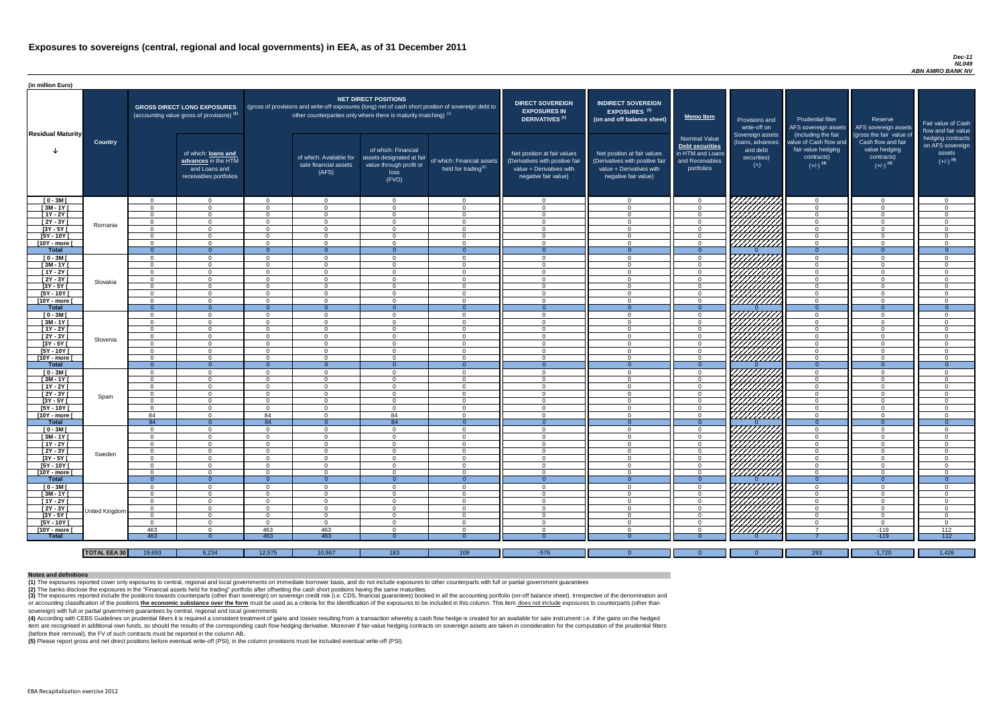#### *Dec-11 NL049 ABN AMRO BANK NV*

(4) According with CEBS Guidelines on prudential filters it is required a consistent treatment of gains and losses resulting from a transaction whereby a cash flow hedge is created for an available for sale instrument: i.e item are recognised in additional own funds, so should the results of the corresponding cash flow hedging derivative. Moreover if fair-value hedging contracts on sovereign assets are taken in consideration for the computat (before their removal), the FV of such contracts must be reported in the column AB.

| (in million Euro)             |                     |                      |                                                                                             |                      |                                                                   |                                                                                              |                                                                                                     |                                                                                                                    |                                                                                                                    |                                                                                              |                                                                          |                                                                                      |                                                                             |                                                                           |
|-------------------------------|---------------------|----------------------|---------------------------------------------------------------------------------------------|----------------------|-------------------------------------------------------------------|----------------------------------------------------------------------------------------------|-----------------------------------------------------------------------------------------------------|--------------------------------------------------------------------------------------------------------------------|--------------------------------------------------------------------------------------------------------------------|----------------------------------------------------------------------------------------------|--------------------------------------------------------------------------|--------------------------------------------------------------------------------------|-----------------------------------------------------------------------------|---------------------------------------------------------------------------|
| <b>Residual Maturity</b>      |                     |                      | <b>GROSS DIRECT LONG EXPOSURES</b><br>(accounting value gross of provisions) <sup>(1)</sup> |                      | other counterparties only where there is maturity matching) $(1)$ | <b>NET DIRECT POSITIONS</b>                                                                  | (gross of provisions and write-off exposures (long) net of cash short position of sovereign debt to | <b>DIRECT SOVEREIGN</b><br><b>EXPOSURES IN</b><br><b>DERIVATIVES (1)</b>                                           | <b>INDIRECT SOVEREIGN</b><br><b>EXPOSURES<sup>(3)</sup></b><br>(on and off balance sheet)                          | <b>Memo Item</b>                                                                             | Provisions and<br>write-off on                                           | <b>Prudential filter</b><br>AFS sovereign assets<br>(including the fair              | Reserve<br>AFS sovereign assets<br>(gross the fair value of                 | Fair value of Cash<br>flow and fair value                                 |
|                               | <b>Country</b>      |                      | of which: loans and<br>advances in the HTM<br>and Loans and<br>receivables portfolios       |                      | of which: Available for<br>sale financial assets<br>(AFS)         | of which: Financial<br>assets designated at fair<br>value through profit or<br>loss<br>(FVO) | of which: Financial assets<br>held for trading $(2)$                                                | Net position at fair values<br>(Derivatives with positive fair<br>value + Derivatives with<br>negative fair value) | Net position at fair values<br>(Derivatives with positive fair<br>value + Derivatives with<br>negative fair value) | <b>Nominal Value</b><br>Debt securities<br>in HTM and Loans<br>and Receivables<br>portfolios | Sovereign assets<br>(loans, advances<br>and debt<br>securities)<br>$(+)$ | value of Cash flow and<br>fair value hedging<br>contracts)<br>$(+/-)$ <sup>(4)</sup> | Cash flow and fair<br>value hedging<br>contracts)<br>$(+/-)$ <sup>(4)</sup> | hedging contracts<br>on AFS sovereign<br>assets<br>$(+/-)$ <sup>(4)</sup> |
| $[0 - 3M]$                    |                     | $\Omega$             | $\Omega$                                                                                    | _റ                   | $\Omega$                                                          | $\Omega$                                                                                     | $\Omega$                                                                                            | _റ                                                                                                                 | $\Omega$                                                                                                           | റ -                                                                                          | 7777777777777                                                            | - റ                                                                                  | $\Omega$                                                                    | റ                                                                         |
| $[3M - 1Y]$                   |                     | $\Omega$             | $\Omega$                                                                                    | $\cap$               | $\Omega$                                                          | $\cap$                                                                                       | $\Omega$                                                                                            | $\Omega$                                                                                                           | $\Omega$                                                                                                           | $\Omega$                                                                                     |                                                                          | $\Omega$                                                                             | $\Omega$                                                                    | $\Omega$                                                                  |
| $[1Y - 2Y]$                   |                     | $\Omega$             | $\cap$                                                                                      | $\Omega$             | $\Omega$                                                          | $\cap$                                                                                       | $\Omega$                                                                                            | $\cap$                                                                                                             | $\Omega$                                                                                                           | $\Omega$                                                                                     |                                                                          | $\Omega$                                                                             | $\Omega$                                                                    |                                                                           |
| $[2Y - 3Y]$                   | Romania             | $\Omega$             | $\cap$                                                                                      | $\cap$               | $\Omega$                                                          | $\cap$                                                                                       | $\Omega$                                                                                            | $\cap$<br>$\Omega$                                                                                                 | $\Omega$                                                                                                           | $\Omega$                                                                                     | ШШ<br>ШШШ                                                                | $\Omega$<br>$\cap$                                                                   | $\Omega$                                                                    |                                                                           |
| $[3Y - 5Y]$<br>$[5Y - 10Y]$   |                     | $\Omega$<br>$\Omega$ | $\cap$                                                                                      | $\Omega$<br>$\Omega$ | $\Omega$<br>$\Omega$                                              | $\Omega$                                                                                     | $\Omega$<br>$\Omega$                                                                                | $\cap$                                                                                                             | $\Omega$<br>$\Omega$                                                                                               |                                                                                              |                                                                          | $\Omega$                                                                             | $\Omega$<br>$\Omega$                                                        |                                                                           |
| [10Y - more [                 |                     | $\Omega$             | റ                                                                                           | $\Omega$             | $\Omega$                                                          | $\cap$                                                                                       | $\Omega$                                                                                            | $\Omega$                                                                                                           | $\Omega$                                                                                                           | $\Omega$                                                                                     | ШШЛ                                                                      | $\Omega$                                                                             | $\Omega$                                                                    |                                                                           |
| Total                         |                     | $\Omega$             | $\Omega$                                                                                    |                      | $\Omega$                                                          |                                                                                              | $\Omega$                                                                                            |                                                                                                                    | $\Omega$                                                                                                           | $\Omega$                                                                                     |                                                                          | $\Omega$                                                                             | $\Omega$                                                                    | $\Omega$                                                                  |
| $[0 - 3M]$                    |                     | $\Omega$             | $\Omega$                                                                                    | $\Omega$             | $\Omega$                                                          | $\cap$                                                                                       | $\Omega$                                                                                            | $\cap$                                                                                                             | $\Omega$                                                                                                           | $\cap$                                                                                       | 7777777777                                                               | $\Omega$                                                                             | $\Omega$                                                                    | $\cap$                                                                    |
| $[3M-1Y]$                     |                     | $\Omega$             | $\Omega$                                                                                    | $\cap$               | $\Omega$                                                          | $\cap$                                                                                       | $\overline{0}$                                                                                      | $\Omega$                                                                                                           | $\Omega$                                                                                                           | $\Omega$                                                                                     | ,,,,,,,,,,,                                                              | $\Omega$                                                                             | $\Omega$                                                                    | $\cap$                                                                    |
| $[1Y - 2Y]$                   |                     | $\Omega$             | $\Omega$                                                                                    | $\cap$               | $\Omega$                                                          | $\cap$                                                                                       | $\overline{0}$                                                                                      | $\cap$                                                                                                             | $\Omega$                                                                                                           | $\Omega$                                                                                     | <u>VIIIIIIII</u>                                                         | $\Omega$                                                                             | $\Omega$                                                                    | $\cap$                                                                    |
| $[2Y - 3Y]$                   | Slovakia            | $\Omega$             | $\Omega$                                                                                    | $\Omega$             | $\Omega$                                                          | $\cap$                                                                                       | $\overline{0}$                                                                                      | $\Omega$                                                                                                           | $\Omega$                                                                                                           | $\Omega$                                                                                     | ШШ                                                                       | $\Omega$                                                                             | $\Omega$                                                                    | $\Omega$                                                                  |
| $[3Y - 5Y]$                   |                     | $\Omega$             | $\Omega$                                                                                    | $\Omega$             | $\Omega$                                                          | $\Omega$                                                                                     | $\overline{0}$                                                                                      | $\Omega$                                                                                                           | $\Omega$                                                                                                           | $\overline{0}$                                                                               |                                                                          | $\overline{0}$                                                                       | $\Omega$                                                                    | $\Omega$                                                                  |
| $[5Y - 10Y]$                  |                     | $\Omega$             | $\Omega$                                                                                    | $\Omega$             | $\Omega$                                                          | $\Omega$                                                                                     | $\Omega$                                                                                            | $\Omega$                                                                                                           | $\Omega$                                                                                                           | $\overline{0}$                                                                               | <u>UMMI</u>                                                              | $\overline{0}$                                                                       | $\Omega$                                                                    | $\cap$                                                                    |
| [10Y - more [                 |                     | $\Omega$             | $\Omega$                                                                                    | $\Omega$             | $\Omega$                                                          | $\Omega$                                                                                     | $\Omega$<br>$\Omega$                                                                                | $\Omega$                                                                                                           | $\Omega$                                                                                                           | $\Omega$                                                                                     |                                                                          | $\overline{0}$<br>$\overline{0}$                                                     | $\Omega$                                                                    | $\cap$                                                                    |
| <b>Total</b>                  |                     | - റ                  | $\overline{0}$                                                                              |                      | - 0                                                               |                                                                                              |                                                                                                     |                                                                                                                    |                                                                                                                    | $\Omega$                                                                                     |                                                                          |                                                                                      |                                                                             | $\Omega$                                                                  |
| $[0 - 3M]$<br>$[3M - 1Y]$     |                     | $\Omega$             | $\Omega$<br>$\Omega$                                                                        | $\Omega$<br>$\Omega$ | $\Omega$<br>$\Omega$                                              | $\Omega$<br>$\Omega$                                                                         | $\overline{0}$                                                                                      | $\Omega$<br>$\Omega$                                                                                               | $\Omega$<br>$\Omega$                                                                                               | $\Omega$<br>$\Omega$                                                                         | 7777777777                                                               | $\Omega$<br>$\Omega$                                                                 | $\Omega$<br>$\Omega$                                                        | $\Omega$<br>$\cap$                                                        |
| $[1Y - 2Y]$                   |                     | $\Omega$<br>$\Omega$ | $\Omega$                                                                                    | - റ                  | $\Omega$                                                          | $\Omega$                                                                                     | $\Omega$<br>$\Omega$                                                                                | - 0                                                                                                                | $\Omega$                                                                                                           | $\Omega$                                                                                     |                                                                          | $\Omega$                                                                             | $\Omega$                                                                    | $\Omega$                                                                  |
| $[2Y - 3Y]$                   |                     | $\Omega$             | $\Omega$                                                                                    | $\Omega$             | $\Omega$                                                          | $\Omega$                                                                                     | $\Omega$                                                                                            | $\cap$                                                                                                             | $\Omega$                                                                                                           | $\Omega$                                                                                     |                                                                          | $\Omega$                                                                             | $\Omega$                                                                    | $\cap$                                                                    |
| [3Y - 5Y [                    | Slovenia            |                      |                                                                                             |                      | - ( )                                                             |                                                                                              | 0                                                                                                   |                                                                                                                    |                                                                                                                    |                                                                                              | HAHARA SAHARA SERRA DA                                                   |                                                                                      | -0                                                                          |                                                                           |
| $[5Y - 10Y]$                  |                     | $\Omega$             | $\Omega$                                                                                    | - റ                  | $\Omega$                                                          | റ                                                                                            | $\overline{0}$                                                                                      | $\Omega$                                                                                                           | $\Omega$                                                                                                           | - റ                                                                                          |                                                                          | $\Omega$                                                                             | $\overline{0}$                                                              | റ                                                                         |
| [10Y - more [                 |                     | $\Omega$             | $\Omega$                                                                                    | - റ                  | $\Omega$                                                          | $\Omega$                                                                                     | $\overline{0}$                                                                                      | $\cap$                                                                                                             | $\Omega$                                                                                                           | $\Omega$                                                                                     |                                                                          | $\cap$                                                                               | $\Omega$                                                                    | $\cap$                                                                    |
| <b>Total</b>                  |                     | - 0                  | $\overline{0}$                                                                              | $\Omega$             | $\Omega$                                                          | $\Omega$                                                                                     | $\overline{0}$                                                                                      | $\Omega$                                                                                                           | $\Omega$                                                                                                           | $\Omega$                                                                                     |                                                                          | $\Omega$                                                                             | $\overline{0}$                                                              | $\overline{0}$                                                            |
| $[0 - 3M]$                    |                     | $\Omega$             | $\Omega$                                                                                    | - റ                  | $\Omega$                                                          | $\Omega$                                                                                     | $\overline{0}$                                                                                      | $\Omega$                                                                                                           | $\Omega$                                                                                                           | $\Omega$                                                                                     |                                                                          | $\Omega$                                                                             | $\overline{0}$                                                              | $\cap$                                                                    |
| $[3M - 1Y]$                   |                     | $\Omega$             | $\Omega$                                                                                    | $\Omega$             | $\Omega$                                                          | $\Omega$                                                                                     | $\Omega$                                                                                            | $\Omega$                                                                                                           | $\Omega$                                                                                                           | $\Omega$                                                                                     |                                                                          | $\Omega$                                                                             | $\overline{0}$                                                              | $\cap$                                                                    |
| $[1Y - 2Y]$                   |                     | $\Omega$             | $\Omega$                                                                                    | $\Omega$             | $\Omega$                                                          | $\Omega$                                                                                     | $\Omega$                                                                                            | $\Omega$                                                                                                           | $\Omega$                                                                                                           | $\Omega$                                                                                     |                                                                          | $\Omega$                                                                             | $\Omega$                                                                    | $\Omega$                                                                  |
| $[2Y - 3Y]$                   | Spain               | $\Omega$             | $\Omega$                                                                                    | $\Omega$             | $\Omega$                                                          | $\Omega$                                                                                     | $\Omega$                                                                                            | $\Omega$                                                                                                           | $\Omega$                                                                                                           | $\Omega$                                                                                     |                                                                          | $\Omega$                                                                             | $\Omega$                                                                    | $\Omega$                                                                  |
| $[3Y - 5Y]$                   |                     | $\Omega$             | റ                                                                                           | $\Omega$             | $\Omega$                                                          | $\cap$                                                                                       | $\Omega$                                                                                            | $\Omega$                                                                                                           | $\Omega$                                                                                                           | $\Omega$                                                                                     |                                                                          | $\cap$                                                                               | $\Omega$                                                                    |                                                                           |
| $[5Y - 10Y]$                  |                     | - 0                  | $\Omega$                                                                                    | $\Omega$             | $\Omega$                                                          | $\Omega$                                                                                     | $\Omega$                                                                                            | $\Omega$                                                                                                           | $\Omega$                                                                                                           | $\Omega$                                                                                     |                                                                          | $\Omega$                                                                             | $\Omega$                                                                    | $\cap$                                                                    |
| [10Y - more [                 |                     | 84                   | $\Omega$                                                                                    | 84                   | $\Omega$                                                          | 84                                                                                           | $\Omega$                                                                                            | $\Omega$                                                                                                           | $\Omega$                                                                                                           | $\Omega$                                                                                     | UNITA<br>UNITA<br>UNITA                                                  | $\Omega$                                                                             | $\Omega$                                                                    | $\cap$                                                                    |
| Total                         |                     | 84<br>$\Omega$       | $\overline{0}$<br>$\Omega$                                                                  | 84<br>$\Omega$       | $\Omega$<br>$\Omega$                                              | 84<br>$\Omega$                                                                               | $\overline{0}$<br>$\overline{0}$                                                                    | $\Omega$<br>$\Omega$                                                                                               | $\Omega$<br>$\Omega$                                                                                               | $\Omega$<br>$\Omega$                                                                         | 7777777777                                                               | $\Omega$<br>$\Omega$                                                                 | $\theta$<br>$\Omega$                                                        | $\Omega$<br>$\cap$                                                        |
| $[0 - 3M]$<br>$[3M - 1Y]$     |                     | $\Omega$             | $\Omega$                                                                                    | $\Omega$             | $\Omega$                                                          | $\Omega$                                                                                     | $\overline{0}$                                                                                      | $\Omega$                                                                                                           | $\Omega$                                                                                                           | $\Omega$                                                                                     |                                                                          | $\Omega$                                                                             | $\Omega$                                                                    | $\Omega$                                                                  |
| $[1Y - 2Y]$                   |                     | $\overline{0}$       | $\Omega$                                                                                    | $\Omega$             | $\Omega$                                                          | $\Omega$                                                                                     | $\overline{0}$                                                                                      | $\Omega$                                                                                                           | $\Omega$                                                                                                           | $\Omega$                                                                                     | HAAAN<br>HAAAN                                                           | $\Omega$                                                                             | $\Omega$                                                                    | $\Omega$                                                                  |
| [2Y - 3Y]                     |                     | $\overline{0}$       | $\Omega$                                                                                    | $\Omega$             | $\Omega$                                                          | $\Omega$                                                                                     | $\overline{0}$                                                                                      | $\Omega$                                                                                                           | $\Omega$                                                                                                           | $\overline{0}$                                                                               |                                                                          | $\overline{0}$                                                                       | $\Omega$                                                                    | $\Omega$                                                                  |
| $[3Y - 5Y]$                   | Sweden              | $\Omega$             | $\Omega$                                                                                    | $\Omega$             | $\Omega$                                                          | $\Omega$                                                                                     | $\overline{0}$                                                                                      | $\Omega$                                                                                                           | $\Omega$                                                                                                           | $\Omega$                                                                                     |                                                                          | $\Omega$                                                                             | $\Omega$                                                                    | $\Omega$                                                                  |
| $[5Y - 10Y]$                  |                     | $\Omega$             | $\Omega$                                                                                    | $\Omega$             | $\Omega$                                                          | $\Omega$                                                                                     | $\overline{0}$                                                                                      | $\Omega$                                                                                                           | $\Omega$                                                                                                           | $\overline{0}$                                                                               |                                                                          | $\overline{0}$                                                                       | $\Omega$                                                                    | $\Omega$                                                                  |
| [10Y - more [                 |                     | $\Omega$             | $\Omega$                                                                                    | $\Omega$             | $\Omega$                                                          | $\Omega$                                                                                     | $\overline{0}$                                                                                      | $\Omega$                                                                                                           | $\mathbf{0}$                                                                                                       | $\overline{0}$                                                                               | 77777777                                                                 | $\overline{0}$                                                                       | $\overline{0}$                                                              | $\Omega$                                                                  |
| <b>Total</b>                  |                     | $\Omega$             | $\overline{0}$                                                                              | $\Omega$             | - 0                                                               |                                                                                              | $\overline{0}$                                                                                      | $\overline{0}$                                                                                                     |                                                                                                                    | $\Omega$                                                                                     |                                                                          | $\Omega$                                                                             | $\Omega$                                                                    | $\Omega$                                                                  |
| $[0 - 3M]$                    |                     | $\Omega$             | $\Omega$                                                                                    | $\Omega$             | $\Omega$                                                          | $\Omega$                                                                                     | $\Omega$                                                                                            | $\Omega$                                                                                                           | $\Omega$                                                                                                           | $\Omega$                                                                                     | ZZZZZZZZZZ<br>CZZZZZZZZZZZZZ                                             | $\Omega$                                                                             | $\Omega$                                                                    | $\Omega$                                                                  |
| $[3M - 1Y]$                   |                     | - 0                  | $\Omega$                                                                                    | $\Omega$             | $\Omega$                                                          | $\Omega$                                                                                     | $\Omega$                                                                                            | $\Omega$                                                                                                           | $\Omega$                                                                                                           | $\Omega$                                                                                     |                                                                          | $\overline{0}$                                                                       | $\Omega$                                                                    | $\Omega$                                                                  |
| $[1Y - 2Y]$                   |                     | $\Omega$             | $\Omega$                                                                                    | $\Omega$             | $\Omega$                                                          | $\Omega$                                                                                     | $\overline{0}$                                                                                      | $\Omega$                                                                                                           | $\Omega$                                                                                                           | $\Omega$                                                                                     | MANA<br>MANA                                                             | $\Omega$                                                                             | $\Omega$                                                                    | - റ                                                                       |
| $[2Y - 3Y]$                   | United Kingdom      | $\Omega$             | $\Omega$                                                                                    | $\Omega$             | $\Omega$                                                          | $\Omega$                                                                                     | $\overline{0}$                                                                                      | $\Omega$                                                                                                           | $\Omega$                                                                                                           | $\Omega$                                                                                     |                                                                          | $\Omega$                                                                             | $\Omega$                                                                    | $\Omega$                                                                  |
| $[3Y - 5Y]$                   |                     | $\Omega$             | $\overline{0}$                                                                              | $\Omega$             | $\Omega$                                                          | $\Omega$                                                                                     | $\overline{0}$                                                                                      | - 0                                                                                                                | $\Omega$                                                                                                           | $\Omega$                                                                                     |                                                                          | $\overline{0}$                                                                       | $\overline{0}$                                                              | $\Omega$                                                                  |
| $[5Y - 10Y]$                  |                     | $\Omega$             | $\Omega$<br>$\cap$                                                                          | $\Omega$             | $\Omega$                                                          | റ<br>$\cap$                                                                                  | $\Omega$                                                                                            | റ<br>$\cap$                                                                                                        | $\Omega$<br>$\Omega$                                                                                               | $\Omega$<br>$\cap$                                                                           |                                                                          | $\Omega$<br>$\overline{7}$                                                           | $\overline{0}$                                                              | - റ                                                                       |
| [10Y - more [<br><b>Total</b> |                     | 463<br>463           |                                                                                             | 463<br>463           | 463<br>463                                                        |                                                                                              | $\Omega$                                                                                            |                                                                                                                    |                                                                                                                    |                                                                                              | <u> 777777777</u>                                                        |                                                                                      | $-119$<br>$-119$                                                            | 112<br>112                                                                |
|                               |                     |                      |                                                                                             |                      |                                                                   |                                                                                              |                                                                                                     |                                                                                                                    |                                                                                                                    |                                                                                              |                                                                          |                                                                                      |                                                                             |                                                                           |
|                               | <b>TOTAL EEA 30</b> | 19,693               | 6,234                                                                                       | 12,575               | 10,867                                                            | 183                                                                                          | 109                                                                                                 | $-576$                                                                                                             |                                                                                                                    | $\Omega$                                                                                     | $\Omega$                                                                 | 293                                                                                  | $-1,720$                                                                    | 1,426                                                                     |

(3) The exposures reported include the positions towards counterparts (other than sovereign) on sovereign credit risk (i.e. CDS, financial guarantees) booked in all the accounting portfolio (on-off balance sheet). Irrespec or accounting classification of the positions the economic substance over the form must be used as a criteria for the identification of the exposures to be included in this column. This item does not include exposures to c sovereign) with full or partial government guarantees by central, regional and local governments

**(5)** Please report gross and net direct positions before eventual write-off (PSI); in the column provisions must be included eventual write-off (PSI).

#### **Notes and definitions**

**(1)** The exposures reported cover only exposures to central, regional and local governments on immediate borrower basis, and do not include exposures to other counterparts with full or partial government guarantees **(2)** The banks disclose the exposures in the "Financial assets held for trading" portfolio after offsetting the cash short positions having the same maturities.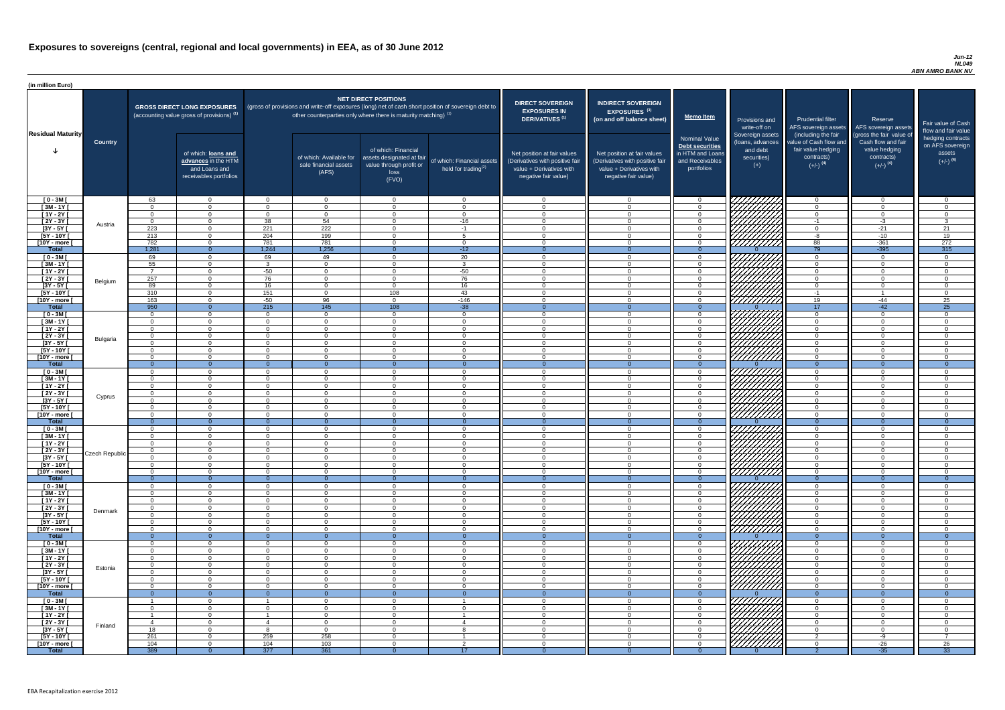#### *Jun-12 NL049 ABN AMRO BANK NV*

| (in million Euro)             |                 |                      |                                                                                             |                      |                                                                            |                                                                                              |                                                                                                     |                                                                                                                    |                                                                                                                    |                                                                                                     |                                                                                                                      |                                                                                                             |                                                                                                         |                                                                           |
|-------------------------------|-----------------|----------------------|---------------------------------------------------------------------------------------------|----------------------|----------------------------------------------------------------------------|----------------------------------------------------------------------------------------------|-----------------------------------------------------------------------------------------------------|--------------------------------------------------------------------------------------------------------------------|--------------------------------------------------------------------------------------------------------------------|-----------------------------------------------------------------------------------------------------|----------------------------------------------------------------------------------------------------------------------|-------------------------------------------------------------------------------------------------------------|---------------------------------------------------------------------------------------------------------|---------------------------------------------------------------------------|
| <b>Residual Maturity</b>      |                 |                      | <b>GROSS DIRECT LONG EXPOSURES</b><br>(accounting value gross of provisions) <sup>(1)</sup> |                      | other counterparties only where there is maturity matching) <sup>(1)</sup> | <b>NET DIRECT POSITIONS</b>                                                                  | (gross of provisions and write-off exposures (long) net of cash short position of sovereign debt to | <b>DIRECT SOVEREIGN</b><br><b>EXPOSURES IN</b><br>DERIVATIVES <sup>(1)</sup>                                       | <b>INDIRECT SOVEREIGN</b><br><b>EXPOSURES<sup>(3)</sup></b><br>(on and off balance sheet)                          | <b>Memo Item</b>                                                                                    | Provisions and<br>write-off on                                                                                       | <b>Prudential filter</b>                                                                                    | Reserve<br>AFS sovereign assets AFS sovereign assets                                                    | Fair value of Cash<br>flow and fair value                                 |
|                               | <b>Country</b>  |                      | of which: loans and<br>advances in the HTM<br>and Loans and<br>receivables portfolios       |                      | of which: Available for<br>sale financial assets<br>(AFS)                  | of which: Financial<br>assets designated at fair<br>value through profit or<br>loss<br>(FVO) | of which: Financial assets<br>held for trading $(2)$                                                | Net position at fair values<br>(Derivatives with positive fair<br>value + Derivatives with<br>negative fair value) | Net position at fair values<br>(Derivatives with positive fair<br>value + Derivatives with<br>negative fair value) | <b>Nominal Value</b><br><b>Debt securities</b><br>in HTM and Loans<br>and Receivables<br>portfolios | Sovereign assets<br>(loans, advances<br>and debt<br>securities)<br>$(+)$                                             | (including the fair<br>value of Cash flow and<br>fair value hedging<br>contracts)<br>$(+/-)$ <sup>(4)</sup> | (gross the fair value of<br>Cash flow and fair<br>value hedging<br>contracts)<br>$(+/-)$ <sup>(4)</sup> | hedging contracts<br>on AFS sovereign<br>assets<br>$(+/-)$ <sup>(4)</sup> |
| $[0 - 3M]$                    |                 | 63                   | $\overline{0}$                                                                              | $\cap$               | $\Omega$                                                                   | $\Omega$                                                                                     | $\overline{0}$                                                                                      | $\cap$                                                                                                             | $\Omega$                                                                                                           | $\Omega$                                                                                            | 7777777                                                                                                              | $\Omega$                                                                                                    | $\Omega$                                                                                                | $\cap$                                                                    |
| $[3M - 1Y]$<br>$[1Y - 2Y]$    |                 | $\cap$<br>$\Omega$   | $\overline{0}$<br>$\Omega$                                                                  | $\Omega$<br>$\Omega$ | $\Omega$<br>$\Omega$                                                       | $\Omega$<br>$\Omega$                                                                         | $\overline{0}$<br>$\overline{0}$                                                                    | $\Omega$<br>$\cap$                                                                                                 | $\cap$<br>$\Omega$                                                                                                 | $\Omega$<br>$\Omega$                                                                                | ШШН,                                                                                                                 | $\Omega$<br>$\overline{0}$                                                                                  | $\overline{0}$<br>$\overline{0}$                                                                        | $\cap$<br>$\cap$                                                          |
| $[2Y - 3Y]$                   |                 | $\Omega$             | $\Omega$                                                                                    | 38                   | 54                                                                         | $\Omega$                                                                                     | $-16$                                                                                               | $\cap$                                                                                                             |                                                                                                                    | $\Omega$                                                                                            |                                                                                                                      | $-1$                                                                                                        | $-3$                                                                                                    | $\mathcal{R}$                                                             |
| $[3Y - 5Y]$                   | Austria         | 223                  | $\Omega$                                                                                    | 221                  | $\overline{222}$                                                           | $\Omega$                                                                                     | $-1$                                                                                                | $\cap$                                                                                                             |                                                                                                                    | $\Omega$                                                                                            | HAAAN.                                                                                                               | $\Omega$                                                                                                    | $-21$                                                                                                   | 21                                                                        |
| $[5Y - 10Y]$                  |                 | 213                  | $\Omega$                                                                                    | 204                  | 199                                                                        | $\Omega$                                                                                     | $5\overline{5}$                                                                                     | $\cap$                                                                                                             |                                                                                                                    | $\Omega$                                                                                            |                                                                                                                      | -8                                                                                                          | $-10$                                                                                                   | 19                                                                        |
| [10Y - more [<br><b>Total</b> |                 | 782<br>1,281         | $\Omega$<br>$\Omega$                                                                        | 781<br>1,244         | 781<br>1,256                                                               | $\Omega$<br>$\Omega$                                                                         | $\Omega$<br>$-12$                                                                                   | $\cap$<br>$\Omega$                                                                                                 | $\Omega$<br>$\Omega$                                                                                               | $\Omega$<br>$\Omega$                                                                                |                                                                                                                      | 88<br>$\overline{79}$                                                                                       | $-361$<br>$-395$                                                                                        | 272<br>315                                                                |
| $[0 - 3M]$                    |                 | 69                   | $\Omega$                                                                                    | 69                   | 49                                                                         | $\Omega$                                                                                     | 20                                                                                                  | $\cap$                                                                                                             | $\Omega$                                                                                                           | $\Omega$                                                                                            | 777777777                                                                                                            | $\Omega$                                                                                                    | $\Omega$                                                                                                |                                                                           |
| $\sqrt{3M-1Y}$                |                 | 55                   | $\Omega$                                                                                    |                      | $\Omega$                                                                   | $\Omega$                                                                                     | $\overline{3}$                                                                                      | $\cap$                                                                                                             | $\Omega$                                                                                                           | $\Omega$                                                                                            | HAAA<br>HAAA                                                                                                         | $\Omega$                                                                                                    | $\Omega$                                                                                                | $\cap$                                                                    |
| $[1Y - 2Y]$                   |                 |                      | $\overline{0}$                                                                              | $-50$                | $\Omega$                                                                   | $\Omega$                                                                                     | $-50$                                                                                               | $\cap$                                                                                                             | $\Omega$                                                                                                           | $\overline{0}$                                                                                      |                                                                                                                      | $\Omega$                                                                                                    | $\Omega$                                                                                                | $\cap$                                                                    |
| $[2Y - 3Y]$<br>$[3Y - 5Y]$    | Belgium         | 257<br>89            | $\overline{0}$<br>$\overline{0}$                                                            | 76<br>16             | $\Omega$<br>$\Omega$                                                       | $\Omega$<br>$\Omega$                                                                         | 76<br>16                                                                                            | $\cap$<br>$\cap$                                                                                                   | $\Omega$<br>$\Omega$                                                                                               | $\Omega$<br>$\Omega$                                                                                |                                                                                                                      | $\Omega$<br>$\overline{0}$                                                                                  | $\Omega$<br>$\Omega$                                                                                    | $\cap$<br>$\Omega$                                                        |
| $[5Y - 10Y]$                  |                 | 310                  | $\overline{0}$                                                                              | 151                  | $\overline{0}$                                                             | 108                                                                                          | 43                                                                                                  | $\Omega$                                                                                                           | $\Omega$                                                                                                           | $\overline{0}$                                                                                      |                                                                                                                      | $-1$                                                                                                        |                                                                                                         | - 0                                                                       |
| [10Y - more [                 |                 | 163                  | $\overline{0}$                                                                              | $-50$                | 96                                                                         | $\overline{0}$                                                                               | $-146$                                                                                              | $\cap$                                                                                                             | $\Omega$                                                                                                           | $\overline{0}$                                                                                      |                                                                                                                      | 19                                                                                                          | -44                                                                                                     | 25                                                                        |
| <b>Total</b>                  |                 | 950<br>$\Omega$      | $\Omega$                                                                                    | 215<br>$\Omega$      | $\overline{145}$                                                           | 108<br>$\Omega$                                                                              | $-38$                                                                                               | $\Omega$<br>$\Omega$                                                                                               | $\Omega$                                                                                                           | $\Omega$                                                                                            |                                                                                                                      | 17                                                                                                          | $-42$                                                                                                   | 25<br>$\cap$                                                              |
| $[0 - 3M]$<br>$[3M - 1Y]$     |                 | $\Omega$             | $\overline{0}$<br>$\overline{0}$                                                            | ∩                    | $\overline{0}$<br>$\Omega$                                                 | $\Omega$                                                                                     | $\overline{0}$<br>$\overline{0}$                                                                    | - 0                                                                                                                | $\cap$                                                                                                             | $\overline{0}$<br>$\overline{0}$                                                                    | HIIIIII                                                                                                              | $\overline{0}$<br>$\overline{0}$                                                                            | $\overline{0}$<br>$\Omega$                                                                              | $\Omega$                                                                  |
| $[1Y - 2Y]$                   |                 | $\Omega$             | $\Omega$                                                                                    |                      | $\Omega$                                                                   | $\Omega$                                                                                     | $\overline{0}$                                                                                      | - 0                                                                                                                |                                                                                                                    | $\Omega$                                                                                            |                                                                                                                      | $\Omega$                                                                                                    | $\Omega$                                                                                                | $\Omega$                                                                  |
| $[2Y - 3Y]$                   | <b>Bulgaria</b> | $\overline{0}$       | $\overline{0}$                                                                              | $\Omega$             | $\Omega$                                                                   | $\Omega$                                                                                     | $\overline{0}$                                                                                      | - 0                                                                                                                | $\Omega$                                                                                                           | $\Omega$                                                                                            | $\frac{1}{2}$                                                                                                        | $\Omega$                                                                                                    | $\Omega$                                                                                                | $\Omega$                                                                  |
| $[3Y - 5Y]$<br>$[5Y - 10Y]$   |                 | $\Omega$             | 0<br>$\Omega$                                                                               | $\Omega$             | -0<br>$\Omega$                                                             | $\Omega$                                                                                     | 0<br>$\Omega$                                                                                       | റ                                                                                                                  |                                                                                                                    | $\Omega$                                                                                            | . <i>\//////////</i>                                                                                                 | - 0<br>$\Omega$                                                                                             | 0<br>$\Omega$                                                                                           |                                                                           |
| $[10Y - more]$                |                 | . വ                  | $\Omega$                                                                                    | $\Omega$             | $\Omega$                                                                   | $\Omega$                                                                                     | $\Omega$                                                                                            | റ                                                                                                                  | $\cap$                                                                                                             | $\Omega$                                                                                            | 77777777                                                                                                             | $\overline{0}$                                                                                              | $\Omega$                                                                                                | $\cap$                                                                    |
| <b>Total</b>                  |                 |                      | $\Omega$                                                                                    |                      |                                                                            |                                                                                              | $\overline{0}$                                                                                      |                                                                                                                    |                                                                                                                    | -0                                                                                                  |                                                                                                                      | $\Omega$                                                                                                    |                                                                                                         |                                                                           |
| $[0 - 3M]$                    |                 | $\cap$               | $\Omega$                                                                                    | $\Omega$             | $\Omega$                                                                   | $\Omega$                                                                                     | $\overline{0}$                                                                                      | $\Omega$                                                                                                           | $\cap$                                                                                                             | $\Omega$                                                                                            |                                                                                                                      | $\Omega$                                                                                                    | $\Omega$                                                                                                | $\Omega$                                                                  |
| $[3M - 1Y]$<br>$[1Y - 2Y]$    |                 | $\Omega$<br>$\Omega$ | $\overline{0}$<br>$\overline{0}$                                                            | $\Omega$<br>$\Omega$ | $\Omega$<br>$\Omega$                                                       | $\Omega$<br>$\Omega$                                                                         | $\overline{0}$<br>$\overline{0}$                                                                    | $\Omega$<br>$\cap$                                                                                                 | $\Omega$<br>$\Omega$                                                                                               | $\overline{0}$<br>$\Omega$                                                                          |                                                                                                                      | $\overline{0}$<br>$\Omega$                                                                                  | $\Omega$<br>$\Omega$                                                                                    | $\cap$<br>$\Omega$                                                        |
| [2Y - 3Y [                    |                 | $\Omega$             | $\overline{0}$                                                                              | $\Omega$             | $\Omega$                                                                   | $\Omega$                                                                                     | $\overline{0}$                                                                                      | $\Omega$                                                                                                           | $\Omega$                                                                                                           | $\overline{0}$                                                                                      |                                                                                                                      | $\overline{0}$                                                                                              | $\Omega$                                                                                                | $\Omega$                                                                  |
| $[3Y - 5Y]$                   | Cyprus          |                      | $\Omega$                                                                                    | $\Omega$             | $\Omega$                                                                   | $\Omega$                                                                                     | $\Omega$                                                                                            | $\cap$                                                                                                             |                                                                                                                    | $\Omega$                                                                                            |                                                                                                                      | $\Omega$                                                                                                    | $\Omega$                                                                                                |                                                                           |
| [5Y - 10Y]                    |                 |                      | $\Omega$                                                                                    | $\Omega$             | $\Omega$                                                                   | $\Omega$                                                                                     | $\Omega$                                                                                            |                                                                                                                    |                                                                                                                    | $\Omega$                                                                                            |                                                                                                                      | $\Omega$                                                                                                    | $\Omega$                                                                                                |                                                                           |
| [10Y - more [<br><b>Total</b> |                 | $\cap$<br>$\Omega$   | $\Omega$<br>$\Omega$                                                                        | $\Omega$<br>$\Omega$ | $\Omega$<br>$\Omega$                                                       | $\cap$<br>$\Omega$                                                                           | $\Omega$<br>$\Omega$                                                                                | $\cap$                                                                                                             |                                                                                                                    | $\cap$<br>$\Omega$                                                                                  | 777777777                                                                                                            | $\Omega$<br>$\Omega$                                                                                        | $\Omega$<br>$\Omega$                                                                                    | $\Omega$                                                                  |
| $[0 - 3M]$                    |                 |                      | $\Omega$                                                                                    | $\Omega$             | $\Omega$                                                                   | $\Omega$                                                                                     | $\overline{0}$                                                                                      | റ                                                                                                                  |                                                                                                                    | $\Omega$                                                                                            |                                                                                                                      | $\Omega$                                                                                                    | $\Omega$                                                                                                |                                                                           |
| $[3M - 1Y]$                   |                 | $\Omega$             | $\Omega$                                                                                    | $\Omega$             | $\Omega$                                                                   | $\Omega$                                                                                     | $\overline{0}$                                                                                      | $\Omega$                                                                                                           | $\Omega$                                                                                                           | $\Omega$                                                                                            |                                                                                                                      | $\Omega$                                                                                                    | $\Omega$                                                                                                | $\cap$                                                                    |
| $[1Y - 2Y]$                   |                 | $\Omega$<br>$\Omega$ | $\Omega$<br>$\Omega$                                                                        | $\Omega$<br>$\Omega$ | $\Omega$<br>$\Omega$                                                       | $\Omega$<br>$\Omega$                                                                         | $\Omega$<br>$\Omega$                                                                                | $\Omega$<br>$\Omega$                                                                                               | $\Omega$<br>$\Omega$                                                                                               | $\Omega$<br>$\Omega$                                                                                |                                                                                                                      | $\Omega$<br>$\Omega$                                                                                        | $\Omega$<br>$\Omega$                                                                                    | $\cap$                                                                    |
| $[2Y - 3Y]$<br>$[3Y - 5Y]$    | Czech Republic  | $\cap$               | $\Omega$                                                                                    | $\Omega$             | $\Omega$                                                                   | $\Omega$                                                                                     | $\overline{0}$                                                                                      | $\cap$                                                                                                             | $\Omega$                                                                                                           | $\Omega$                                                                                            | ШШШ                                                                                                                  | $\Omega$                                                                                                    | $\Omega$                                                                                                | $\Omega$                                                                  |
| $[5Y - 10Y]$                  |                 | $\cap$               | $\Omega$                                                                                    | $\Omega$             | $\Omega$                                                                   | $\Omega$                                                                                     | $\overline{0}$                                                                                      | $\cap$                                                                                                             | $\Omega$                                                                                                           | $\Omega$                                                                                            |                                                                                                                      | $\Omega$                                                                                                    | $\Omega$                                                                                                | $\Omega$                                                                  |
| [10Y - more [                 |                 | $\Omega$             | $\Omega$                                                                                    | $\Omega$             | $\Omega$                                                                   | $\Omega$                                                                                     | $\Omega$                                                                                            | $\Omega$                                                                                                           | $\Omega$                                                                                                           | $\overline{0}$                                                                                      | <u>77777777</u>                                                                                                      | $\overline{0}$                                                                                              | $\Omega$                                                                                                | $\Omega$                                                                  |
| <b>Total</b><br>$[0 - 3M]$    |                 | $\Omega$             | $\Omega$<br>$\overline{0}$                                                                  | $\Omega$<br>$\Omega$ | $\Omega$<br>$\Omega$                                                       | $\Omega$                                                                                     | $\overline{0}$<br>$\overline{0}$                                                                    | $\Omega$                                                                                                           |                                                                                                                    | $\Omega$<br>$\Omega$                                                                                | ///////////                                                                                                          | $\overline{0}$<br>$\overline{0}$                                                                            | $\Omega$<br>$\Omega$                                                                                    | $\Omega$                                                                  |
| $1$ 3M - 1Y I                 |                 | $\Omega$             | $\overline{0}$                                                                              | O                    | $\Omega$                                                                   | $\Omega$                                                                                     | $\overline{0}$                                                                                      | - 0                                                                                                                |                                                                                                                    | $\Omega$                                                                                            |                                                                                                                      | $\overline{0}$                                                                                              | $\Omega$                                                                                                |                                                                           |
| $[1Y - 2Y]$                   |                 | 0                    | $\mathbf 0$                                                                                 |                      | $\Omega$                                                                   | $\Omega$                                                                                     | $\mathbf 0$                                                                                         | $\Omega$                                                                                                           |                                                                                                                    | $\mathbf{0}$                                                                                        |                                                                                                                      | $\overline{0}$                                                                                              | $\overline{0}$                                                                                          |                                                                           |
| $[2Y - 3Y]$                   | Denmark         | - 0                  | $\Omega$                                                                                    |                      | - 0                                                                        | $\Omega$                                                                                     | $\Omega$                                                                                            | - വ                                                                                                                |                                                                                                                    | $\Omega$                                                                                            |                                                                                                                      | $\Omega$                                                                                                    | $\Omega$                                                                                                |                                                                           |
| $[3Y - 5Y]$<br>[5Y - 10Y]     |                 | $\Omega$             | $\Omega$<br>$\overline{0}$                                                                  | $\Omega$<br>$\Omega$ | $\Omega$<br>- 0                                                            | $\Omega$<br>$\Omega$                                                                         | $\Omega$<br>$\overline{0}$                                                                          | - 0<br>- 0                                                                                                         | $\Omega$                                                                                                           | $\Omega$<br>$\Omega$                                                                                |                                                                                                                      | - 0<br>$\overline{0}$                                                                                       | $\Omega$<br>$\Omega$                                                                                    | $\Omega$                                                                  |
| [10Y - more [                 |                 | . വ                  | $\Omega$                                                                                    | $\cap$               | $\Omega$                                                                   | $\Omega$                                                                                     | $\Omega$                                                                                            | റ                                                                                                                  | $\cap$                                                                                                             | $\Omega$                                                                                            | 7777777777                                                                                                           | $\overline{0}$                                                                                              | $\Omega$                                                                                                | $\cap$                                                                    |
| <b>Total</b>                  |                 | റ                    | $\Omega$                                                                                    |                      | - 0                                                                        |                                                                                              | $\Omega$                                                                                            | - വ                                                                                                                |                                                                                                                    | $\Omega$                                                                                            |                                                                                                                      | $\Omega$                                                                                                    | $\Omega$                                                                                                |                                                                           |
| $[0 - 3M]$                    |                 | $\cap$               | $\overline{0}$                                                                              | $\Omega$             | $\Omega$                                                                   | $\Omega$                                                                                     | $\Omega$                                                                                            | $\Omega$<br>$\Omega$                                                                                               | $\cap$<br>$\Omega$                                                                                                 | $\Omega$                                                                                            |                                                                                                                      | $\overline{0}$                                                                                              | $\Omega$                                                                                                | $\cap$<br>$\Omega$                                                        |
| $\sqrt{3M-1Y}$<br>$[1Y - 2Y]$ |                 | $\Omega$<br>$\Omega$ | $\overline{0}$<br>$\Omega$                                                                  | $\Omega$<br>$\Omega$ | $\Omega$<br>$\Omega$                                                       | $\Omega$<br>$\Omega$                                                                         | $\overline{0}$<br>$\overline{0}$                                                                    | $\Omega$                                                                                                           | $\Omega$                                                                                                           | $\overline{0}$<br>$\Omega$                                                                          | 77777777                                                                                                             | $\overline{0}$<br>$\overline{0}$                                                                            | $\Omega$<br>$\Omega$                                                                                    | $\cap$                                                                    |
| [2Y - 3Y [                    |                 | $\Omega$             | $\overline{0}$                                                                              | $\Omega$             | $\Omega$                                                                   | $\overline{0}$                                                                               | $\overline{0}$                                                                                      | - 0                                                                                                                | $\Omega$                                                                                                           | $\overline{0}$                                                                                      |                                                                                                                      | $\overline{0}$                                                                                              | $\overline{0}$                                                                                          | $\Omega$                                                                  |
| $[3Y - 5Y]$                   | Estonia         |                      | $\Omega$                                                                                    | $\Omega$             | - 0                                                                        | $\Omega$                                                                                     | $\Omega$                                                                                            | റ                                                                                                                  | $\cap$                                                                                                             | $\Omega$                                                                                            |                                                                                                                      | $\Omega$                                                                                                    | $\Omega$                                                                                                | $\cap$                                                                    |
| $[5Y - 10Y]$                  |                 | $\Omega$<br>$\Omega$ | $\Omega$<br>$\Omega$                                                                        | $\Omega$<br>$\Omega$ | $\Omega$<br>$\Omega$                                                       | $\Omega$<br>$\Omega$                                                                         | $\Omega$<br>$\Omega$                                                                                | $\cap$<br>$\Omega$                                                                                                 | ∩                                                                                                                  | $\Omega$<br>$\Omega$                                                                                |                                                                                                                      | $\Omega$<br>$\Omega$                                                                                        | $\Omega$<br>$\Omega$                                                                                    | $\cap$                                                                    |
| [10Y - more [<br><b>Total</b> |                 |                      | $\Omega$                                                                                    |                      |                                                                            |                                                                                              |                                                                                                     |                                                                                                                    |                                                                                                                    |                                                                                                     | /////////                                                                                                            | $\Omega$                                                                                                    | $\theta$                                                                                                |                                                                           |
| $[0 - 3M]$                    |                 |                      | $\Omega$                                                                                    |                      | $\Omega$                                                                   | $\Omega$                                                                                     |                                                                                                     |                                                                                                                    |                                                                                                                    |                                                                                                     | <u>VIIIIIIII</u>                                                                                                     |                                                                                                             | $\Omega$                                                                                                |                                                                           |
| $[3M - 1Y]$                   |                 |                      | $\Omega$                                                                                    | $\Omega$             | $\overline{0}$                                                             | $\Omega$                                                                                     | $\Omega$                                                                                            | $\Omega$                                                                                                           | $\Omega$                                                                                                           | $\Omega$                                                                                            |                                                                                                                      | $\Omega$                                                                                                    | $\Omega$                                                                                                |                                                                           |
| $[1Y - 2Y]$                   |                 | - 1                  | $\overline{0}$<br>$\overline{0}$                                                            | $\overline{1}$<br>-4 | $\Omega$<br>$\overline{0}$                                                 | $\overline{0}$<br>$\Omega$                                                                   |                                                                                                     | $\Omega$<br>$\Omega$                                                                                               | $\Omega$<br>$\Omega$                                                                                               | $\Omega$<br>$\Omega$                                                                                |                                                                                                                      | $\Omega$<br>$\Omega$                                                                                        | $\overline{0}$<br>$\Omega$                                                                              | $\cap$<br>$\Omega$                                                        |
| $[2Y - 3Y]$<br>$[3Y - 5Y]$    | Finland         | 4<br>18              | $\overline{0}$                                                                              | 8                    | $\overline{0}$                                                             | $\overline{0}$                                                                               | $\overline{4}$<br>8                                                                                 | $\Omega$                                                                                                           | $\Omega$                                                                                                           | $\overline{0}$                                                                                      |                                                                                                                      | $\Omega$                                                                                                    | $\overline{0}$                                                                                          | $\Omega$                                                                  |
| [5Y - 10Y [                   |                 | 261                  | $\overline{0}$                                                                              | 259                  | 258                                                                        | $\overline{0}$                                                                               |                                                                                                     | $\Omega$                                                                                                           | $\Omega$                                                                                                           | $\overline{0}$                                                                                      | <b>College College College College College College College College College College College College College Colle</b> | $\mathcal{D}$                                                                                               | -9                                                                                                      | $\overline{7}$                                                            |
| [10Y - more [                 |                 | 104                  | $\overline{0}$                                                                              | 104                  | 103                                                                        | $\overline{0}$                                                                               | $\overline{2}$                                                                                      | $\cap$                                                                                                             | $\Omega$                                                                                                           | $\overline{0}$                                                                                      |                                                                                                                      | $\Omega$                                                                                                    | $-26$                                                                                                   | 26                                                                        |
| <b>Total</b>                  |                 | 389                  | $\overline{0}$                                                                              | 377                  | 361                                                                        | $\overline{0}$                                                                               | 17                                                                                                  | $\Omega$                                                                                                           |                                                                                                                    | $\Omega$                                                                                            |                                                                                                                      | $\overline{2}$                                                                                              | $-35$                                                                                                   | 33                                                                        |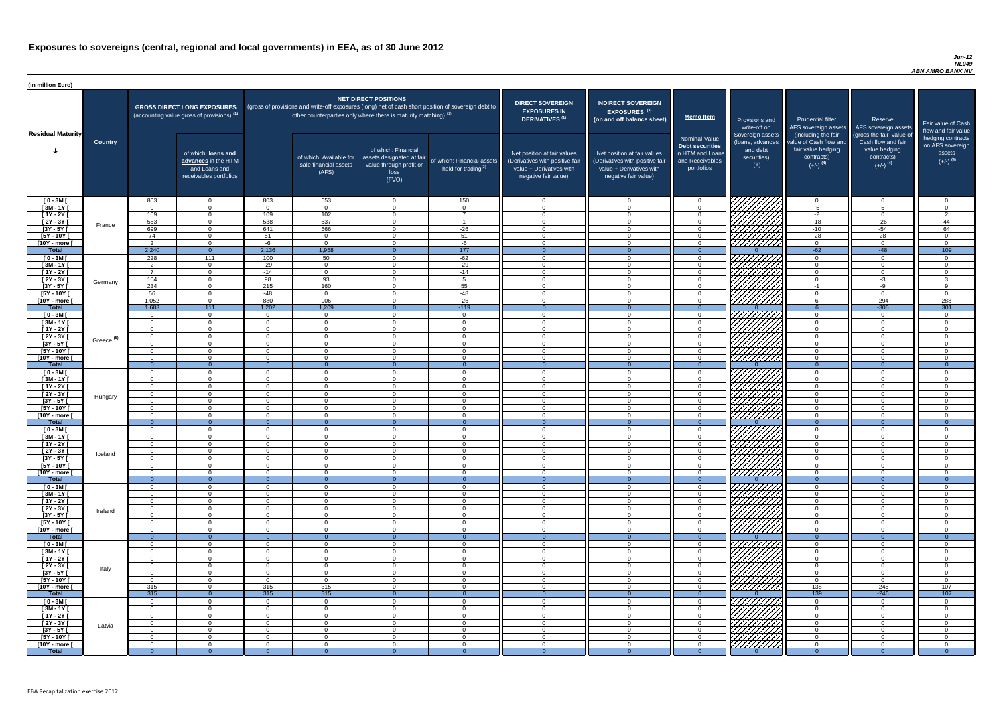#### *Jun-12 NL049 ABN AMRO BANK NV*

| (in million Euro)             |                       |                      |                                                                                             |                      |                                                                   |                                                                                              |                                                                                                     |                                                                                                                    |                                                                                                                    |                                                                                              |                                                                          |                                                                                      |                                                                                  |                                                                           |
|-------------------------------|-----------------------|----------------------|---------------------------------------------------------------------------------------------|----------------------|-------------------------------------------------------------------|----------------------------------------------------------------------------------------------|-----------------------------------------------------------------------------------------------------|--------------------------------------------------------------------------------------------------------------------|--------------------------------------------------------------------------------------------------------------------|----------------------------------------------------------------------------------------------|--------------------------------------------------------------------------|--------------------------------------------------------------------------------------|----------------------------------------------------------------------------------|---------------------------------------------------------------------------|
| <b>Residual Maturity</b>      |                       |                      | <b>GROSS DIRECT LONG EXPOSURES</b><br>(accounting value gross of provisions) <sup>(1)</sup> |                      | other counterparties only where there is maturity matching) $(1)$ | NET DIRECT POSITIONS                                                                         | (gross of provisions and write-off exposures (long) net of cash short position of sovereign debt to | <b>DIRECT SOVEREIGN</b><br><b>EXPOSURES IN</b><br><b>DERIVATIVES (1)</b>                                           | <b>INDIRECT SOVEREIGN</b><br><b>EXPOSURES<sup>(3)</sup></b><br>(on and off balance sheet)                          | <b>Memo Item</b>                                                                             | Provisions and<br>write-off on                                           | <b>Prudential filter</b><br>(including the fair                                      | Reserve<br>AFS sovereign assets AFS sovereign assets<br>(gross the fair value of | Fair value of Cash<br>flow and fair value                                 |
|                               | <b>Country</b>        |                      | of which: loans and<br>advances in the HTM<br>and Loans and<br>receivables portfolios       |                      | of which: Available for<br>sale financial assets<br>(AFS)         | of which: Financial<br>assets designated at fair<br>value through profit or<br>loss<br>(FVO) | of which: Financial assets<br>held for trading $^{(2)}$                                             | Net position at fair values<br>(Derivatives with positive fair<br>value + Derivatives with<br>negative fair value) | Net position at fair values<br>(Derivatives with positive fair<br>value + Derivatives with<br>negative fair value) | <b>Nominal Value</b><br>Debt securities<br>in HTM and Loans<br>and Receivables<br>portfolios | Sovereign assets<br>(Ioans, advances<br>and debt<br>securities)<br>$(+)$ | value of Cash flow and<br>fair value hedging<br>contracts)<br>$(+/-)$ <sup>(4)</sup> | Cash flow and fair<br>value hedging<br>contracts)<br>$(+/-)$ <sup>(4)</sup>      | hedging contracts<br>on AFS sovereign<br>assets<br>$(+/-)$ <sup>(4)</sup> |
| $[0 - 3M]$                    |                       | 803                  | $\overline{0}$                                                                              | 803                  | 653                                                               | $\Omega$                                                                                     | 150                                                                                                 | - 0                                                                                                                | $\cap$                                                                                                             | $\Omega$                                                                                     |                                                                          | $\overline{0}$                                                                       | $\Omega$                                                                         | $\Omega$                                                                  |
| $[3M - 1Y]$<br>$[1Y - 2Y]$    |                       | $\cap$<br>109        | $\Omega$<br>$\Omega$                                                                        | $\cap$<br>109        | $\Omega$<br>102                                                   | $\Omega$<br>$\Omega$                                                                         | $\overline{0}$<br>$\overline{7}$                                                                    | - 0<br>- വ                                                                                                         |                                                                                                                    | $\Omega$<br>$\Omega$                                                                         |                                                                          | $-5$<br>$-2$                                                                         | 5<br>$\Omega$                                                                    | $\Omega$<br>$\overline{2}$                                                |
| $[2Y - 3Y]$                   |                       | 553                  | $\Omega$                                                                                    | 538                  | 537                                                               | $\Omega$                                                                                     |                                                                                                     | $\cap$                                                                                                             | $\Omega$                                                                                                           | $\Omega$                                                                                     |                                                                          | $-18$                                                                                | $-26$                                                                            | 44                                                                        |
| $[3Y - 5Y]$                   | France                | 699                  | $\overline{0}$                                                                              | 641                  | 666                                                               | $\Omega$                                                                                     | $-26$                                                                                               | $\bigcap$                                                                                                          |                                                                                                                    | $\Omega$                                                                                     |                                                                          | $-10$                                                                                | $-54$                                                                            | 64                                                                        |
| $[5Y - 10Y]$                  |                       | 74                   | $\overline{0}$                                                                              | 51                   | $\Omega$                                                          | $\Omega$                                                                                     | 51                                                                                                  | $\cap$                                                                                                             |                                                                                                                    | $\Omega$                                                                                     |                                                                          | $-28$                                                                                | 28                                                                               | $\cap$                                                                    |
| [10Y - more [                 |                       | $\Omega$             | $\overline{0}$                                                                              | -6                   | $\overline{0}$                                                    | $\Omega$                                                                                     | $-6$                                                                                                | $\sqrt{ }$                                                                                                         | $\Omega$                                                                                                           | $\overline{0}$                                                                               | VIIIIIII                                                                 | $\overline{0}$                                                                       | $\Omega$                                                                         | $\Omega$                                                                  |
| Total                         |                       | 2,240<br>228         | $\overline{0}$                                                                              | 2,136                | 1,958<br>50                                                       | $\Omega$<br>$\Omega$                                                                         | 177                                                                                                 | $\overline{0}$<br>$\cap$                                                                                           | $\Omega$<br>$\Omega$                                                                                               | $\Omega$                                                                                     |                                                                          | $-62$                                                                                | $-48$<br>$\Omega$                                                                | 109<br>- റ                                                                |
| $[0 - 3M]$<br>$[3M-1Y]$       |                       | ົດ                   | 111<br>$\overline{0}$                                                                       | 100<br>$-29$         | $\overline{0}$                                                    | $\Omega$                                                                                     | $-62$<br>$-29$                                                                                      | $\cap$                                                                                                             |                                                                                                                    | $\overline{0}$<br>$\overline{0}$                                                             |                                                                          | $\overline{0}$<br>$\overline{0}$                                                     | $\Omega$                                                                         | $\cap$                                                                    |
| $[1Y - 2Y]$                   |                       |                      | $\overline{0}$                                                                              | $-14$                | $\overline{0}$                                                    | $\Omega$                                                                                     | $-14$                                                                                               | $\bigcap$                                                                                                          |                                                                                                                    | $\Omega$                                                                                     |                                                                          | $\overline{0}$                                                                       | $\Omega$                                                                         | $\cap$                                                                    |
| $[2Y - 3Y]$                   | Germany               | 104                  | $\overline{0}$                                                                              | 98                   | 93                                                                | $\Omega$                                                                                     | 5                                                                                                   | - 0                                                                                                                |                                                                                                                    | $\overline{0}$                                                                               |                                                                          | $\overline{0}$                                                                       | $-3$                                                                             | $\mathbf{3}$                                                              |
| $[3Y - 5Y]$                   |                       | 234                  | $\Omega$                                                                                    | $\overline{215}$     | 160                                                               |                                                                                              | 55                                                                                                  | $\bigcap$                                                                                                          |                                                                                                                    | $\Omega$                                                                                     | VIIIIIII                                                                 | $-1$                                                                                 | -9                                                                               | <b>q</b>                                                                  |
| $[5Y - 10Y]$<br>[10Y - more [ |                       | 56<br>1,052          | $\Omega$<br>$\Omega$                                                                        | $-48$<br>880         | $\overline{0}$<br>906                                             | $\Omega$                                                                                     | $-48$<br>$-26$                                                                                      | - 0<br>$\cap$                                                                                                      |                                                                                                                    | $\Omega$<br>$\Omega$                                                                         | 777777777<br>///////////                                                 | $\overline{0}$<br>-6                                                                 | $-294$                                                                           | - 0<br>288                                                                |
| <b>Total</b>                  |                       | 1,683                | $-111$                                                                                      | 1,202                | 1,209                                                             |                                                                                              | $-119$                                                                                              | - 0                                                                                                                |                                                                                                                    | $\Omega$                                                                                     |                                                                          |                                                                                      | $-306$                                                                           | 301                                                                       |
| $[0 - 3M]$                    |                       | $\cap$               | $\overline{0}$                                                                              | $\Omega$             | $\Omega$                                                          | $\Omega$                                                                                     | $\overline{0}$                                                                                      | $\cap$                                                                                                             |                                                                                                                    | $\Omega$                                                                                     | HHHHA                                                                    | $\overline{0}$                                                                       | $\cap$                                                                           | $\Omega$                                                                  |
| $[3M - 1Y]$                   |                       | $\cap$               | $\overline{0}$                                                                              | $\Omega$             | $\Omega$                                                          | $\Omega$                                                                                     | $\Omega$                                                                                            | $\bigcap$                                                                                                          | $\cap$                                                                                                             | $\Omega$                                                                                     |                                                                          | $\overline{0}$                                                                       | $\Omega$                                                                         | $\cap$                                                                    |
| $[1Y - 2Y]$                   |                       | റ                    | $\Omega$                                                                                    | $\cap$<br>$\cap$     | $\Omega$                                                          | $\Omega$<br>$\Omega$                                                                         | $\Omega$                                                                                            | - 0<br>$\cap$                                                                                                      | $\cap$<br>$\sqrt{ }$                                                                                               | $\overline{0}$                                                                               |                                                                          | $\overline{0}$                                                                       | $\Omega$<br>$\Omega$                                                             | $\overline{0}$<br>- റ                                                     |
| $[2Y - 3Y]$<br>$[3Y - 5Y]$    | Greece <sup>(5)</sup> | $\Omega$             | $\Omega$                                                                                    |                      | $\Omega$                                                          |                                                                                              | $\Omega$                                                                                            |                                                                                                                    |                                                                                                                    | $\overline{0}$                                                                               | <i>ШША</i>                                                               | $\Omega$<br>0                                                                        |                                                                                  |                                                                           |
| [5Y - 10Y [                   |                       | $\cap$               | $\Omega$                                                                                    | $\cap$               | $\overline{0}$                                                    | $\Omega$                                                                                     | $\Omega$                                                                                            | - 0                                                                                                                |                                                                                                                    | $\Omega$                                                                                     | <i>UMM</i>                                                               | $\overline{0}$                                                                       | $\Omega$                                                                         | - 0                                                                       |
| [10Y - more [                 |                       |                      | $\Omega$                                                                                    | $\Omega$             | $\Omega$                                                          | $\Omega$                                                                                     | $\Omega$                                                                                            | - 0                                                                                                                |                                                                                                                    | $\Omega$                                                                                     | 7777777777                                                               | $\Omega$                                                                             | $\Omega$                                                                         | ി                                                                         |
| <b>Total</b>                  |                       |                      | $\Omega$                                                                                    |                      |                                                                   |                                                                                              | $\Omega$                                                                                            |                                                                                                                    |                                                                                                                    |                                                                                              |                                                                          | $\Omega$                                                                             |                                                                                  |                                                                           |
| $[0 - 3M]$<br>$[3M - 1Y]$     |                       |                      | $\Omega$<br>$\Omega$                                                                        | $\cap$<br>$\Omega$   | $\Omega$<br>$\Omega$                                              | $\Omega$<br>$\Omega$                                                                         | $\Omega$<br>$\Omega$                                                                                | $\Omega$<br>- 0                                                                                                    | ∩                                                                                                                  | $\Omega$<br>$\Omega$                                                                         |                                                                          | $\overline{0}$<br>$\overline{0}$                                                     | $\Omega$<br>$\Omega$                                                             | $\Omega$<br>ി                                                             |
| $[1Y - 2Y]$                   |                       | $\Omega$             | $\Omega$                                                                                    | $\Omega$             | $\Omega$                                                          | $\Omega$                                                                                     | $\Omega$                                                                                            | - 0                                                                                                                | $\cap$                                                                                                             | $\Omega$                                                                                     |                                                                          | $\overline{0}$                                                                       | $\Omega$                                                                         | - 0                                                                       |
| $[2Y - 3Y]$                   | Hungary               | റ                    | $\Omega$                                                                                    | $\Omega$             | $\Omega$                                                          | $\Omega$                                                                                     | $\Omega$                                                                                            | - 0                                                                                                                | $\cap$                                                                                                             | $\Omega$                                                                                     |                                                                          | $\overline{0}$                                                                       | $\Omega$                                                                         | - 0                                                                       |
| $[3Y - 5Y]$                   |                       |                      | $\Omega$                                                                                    | $\cap$               | $\Omega$                                                          | $\Omega$                                                                                     | $\Omega$                                                                                            | റ                                                                                                                  | $\cap$                                                                                                             | $\Omega$                                                                                     |                                                                          | $\Omega$                                                                             | $\Omega$                                                                         | $\cap$                                                                    |
| $[5Y - 10Y]$                  |                       | $\cap$               | $\overline{0}$<br>$\Omega$                                                                  | $\Omega$<br>$\Omega$ | $\Omega$<br>$\Omega$                                              | $\Omega$<br>$\Omega$                                                                         | $\Omega$<br>$\Omega$                                                                                | $\cap$<br>$\cap$                                                                                                   | $\cap$<br>$\Omega$                                                                                                 | $\Omega$<br>$\Omega$                                                                         | HHHH                                                                     | $\Omega$<br>$\Omega$                                                                 | $\Omega$<br>$\Omega$                                                             | $\Omega$<br>$\cap$                                                        |
| [10Y - more [<br><b>Total</b> |                       | $\Omega$             | $\Omega$                                                                                    | $\Omega$             | $\Omega$                                                          | $\Omega$                                                                                     | $\Omega$                                                                                            | $\Omega$                                                                                                           |                                                                                                                    | $\Omega$                                                                                     |                                                                          | $\Omega$                                                                             | $\Omega$                                                                         | $\Omega$                                                                  |
| $[0 - 3M]$                    |                       | $\cap$               | $\Omega$                                                                                    | $\Omega$             | $\overline{0}$                                                    | $\Omega$                                                                                     | $\Omega$                                                                                            | $\Omega$                                                                                                           | $\cap$                                                                                                             | $\Omega$                                                                                     |                                                                          | $\overline{0}$                                                                       | $\Omega$                                                                         | - 0                                                                       |
| $[3M - 1Y]$                   |                       |                      | $\overline{0}$                                                                              | $\Omega$             | $\Omega$                                                          | $\Omega$                                                                                     | $\Omega$                                                                                            | - 0                                                                                                                |                                                                                                                    | $\Omega$                                                                                     | 7777                                                                     | $\overline{0}$                                                                       | $\Omega$                                                                         | $\Omega$                                                                  |
| $[1Y - 2Y]$                   |                       |                      | $\Omega$                                                                                    |                      | $\Omega$                                                          | $\Omega$                                                                                     | $\Omega$                                                                                            | - 0<br>- 0                                                                                                         |                                                                                                                    | $\Omega$                                                                                     |                                                                          | $\Omega$                                                                             | $\Omega$<br>$\Omega$                                                             | $\cap$<br>$\cap$                                                          |
| $[2Y - 3Y]$<br>$[3Y - 5Y]$    | Iceland               |                      | $\Omega$<br>$\Omega$                                                                        |                      | $\Omega$<br>$\Omega$                                              | $\Omega$<br>$\Omega$                                                                         | $\Omega$<br>$\Omega$                                                                                |                                                                                                                    |                                                                                                                    | $\Omega$<br>$\Omega$                                                                         |                                                                          | $\overline{0}$<br>$\Omega$                                                           |                                                                                  |                                                                           |
| [5Y - 10Y [                   |                       |                      | $\Omega$                                                                                    |                      | $\Omega$                                                          | $\Omega$                                                                                     | $\Omega$                                                                                            |                                                                                                                    |                                                                                                                    | $\Omega$                                                                                     |                                                                          | $\Omega$                                                                             |                                                                                  |                                                                           |
| [10Y - more [                 |                       |                      | $\Omega$                                                                                    |                      | റ                                                                 | $\Omega$                                                                                     | $\Omega$                                                                                            | - 0                                                                                                                |                                                                                                                    | $\Omega$                                                                                     | <u> 77777777</u>                                                         | $\overline{0}$                                                                       |                                                                                  | $\cap$                                                                    |
| <b>Total</b>                  |                       |                      | $\Omega$                                                                                    | $\Omega$             | $\Omega$                                                          |                                                                                              | $\Omega$                                                                                            | - 0<br>- വ                                                                                                         |                                                                                                                    | $\Omega$                                                                                     |                                                                          | $\Omega$                                                                             | $\Omega$<br>$\Omega$                                                             | $\Omega$<br>$\Omega$                                                      |
| $[0 - 3M]$<br>$[3M - 1Y]$     |                       |                      | $\Omega$<br>$\overline{0}$                                                                  | $\Omega$             | $\Omega$<br>$\Omega$                                              | $\Omega$<br>$\Omega$                                                                         | $\Omega$<br>$\overline{0}$                                                                          | - വ                                                                                                                |                                                                                                                    | $\Omega$<br>$\overline{0}$                                                                   | 777777777                                                                | $\overline{0}$<br>$\overline{0}$                                                     | $\Omega$                                                                         | $\cap$                                                                    |
| $[1Y - 2Y]$                   |                       | $\cap$               | $\overline{0}$                                                                              | $\Omega$             | $\Omega$                                                          | $\Omega$                                                                                     | $\Omega$                                                                                            | $\cap$                                                                                                             |                                                                                                                    | $\overline{0}$                                                                               | VIIIIIIII                                                                | $\overline{0}$                                                                       | $\Omega$                                                                         | $\cap$                                                                    |
| $[2Y - 3Y]$                   | Ireland               | $\cap$               | $\Omega$                                                                                    | $\Omega$             | $\Omega$                                                          | $\Omega$                                                                                     | $\Omega$                                                                                            | $\cap$                                                                                                             |                                                                                                                    | $\Omega$                                                                                     | VIIIIIIII                                                                | $\overline{0}$                                                                       | $\Omega$                                                                         | $\Omega$                                                                  |
| $[3Y - 5Y]$                   |                       | $\sqrt{ }$<br>$\cap$ | $\Omega$                                                                                    | $\cap$<br>$\cap$     | $\Omega$                                                          | $\Omega$<br>$\Omega$                                                                         | $\Omega$                                                                                            | - 0<br>$\cap$                                                                                                      | $\cap$<br>$\cap$                                                                                                   | $\overline{0}$                                                                               | VIIIIIIII<br>777777777                                                   | $\overline{0}$                                                                       | $\Omega$<br>$\Omega$                                                             | $\Omega$<br>$\Omega$                                                      |
| $[5Y - 10Y]$<br>[10Y - more ] |                       |                      | $\Omega$<br>$\Omega$                                                                        | $\Omega$             | $\Omega$<br>$\Omega$                                              | $\Omega$                                                                                     | $\Omega$<br>$\Omega$                                                                                | $\Omega$                                                                                                           |                                                                                                                    | $\overline{0}$<br>$\Omega$                                                                   | 77777777                                                                 | $\overline{0}$<br>$\overline{0}$                                                     | $\Omega$                                                                         | $\Omega$                                                                  |
| <b>Total</b>                  |                       |                      | $\Omega$                                                                                    |                      |                                                                   |                                                                                              |                                                                                                     | $\Omega$                                                                                                           |                                                                                                                    |                                                                                              |                                                                          | $\Omega$                                                                             |                                                                                  | $\Omega$                                                                  |
| $[0 - 3M]$                    |                       |                      | $\Omega$                                                                                    | ∩                    | $\Omega$                                                          | $\Omega$                                                                                     | $\Omega$                                                                                            | - 0                                                                                                                |                                                                                                                    | $\Omega$                                                                                     | 7777,                                                                    | $\overline{0}$                                                                       | $\Omega$                                                                         | $\cap$                                                                    |
| $[3M - 1Y]$                   |                       |                      | $\Omega$                                                                                    | $\cap$               | $\Omega$                                                          | $\Omega$                                                                                     | $\Omega$                                                                                            | - 0                                                                                                                |                                                                                                                    | $\Omega$                                                                                     |                                                                          | $\overline{0}$                                                                       | $\Omega$                                                                         | $\Omega$                                                                  |
| $[1Y - 2Y]$<br>$[2Y - 3Y]$    |                       | റ<br>$\cap$          | $\Omega$<br>$\Omega$                                                                        | $\Omega$<br>$\cap$   | $\Omega$<br>$\Omega$                                              | $\Omega$<br>$\Omega$                                                                         | $\Omega$<br>$\Omega$                                                                                | - 0<br>- 0                                                                                                         | $\cap$<br>$\cap$                                                                                                   | $\Omega$<br>$\Omega$                                                                         |                                                                          | $\overline{0}$<br>$\overline{0}$                                                     | $\Omega$<br>$\Omega$                                                             | - 0<br>$\Omega$                                                           |
| $[3Y - 5Y]$                   | Italy                 |                      | $\Omega$                                                                                    | $\cap$               | $\Omega$                                                          | $\Omega$                                                                                     | $\Omega$                                                                                            | $\cap$                                                                                                             | $\cap$                                                                                                             | $\Omega$                                                                                     | HAAAA<br>HAAAA                                                           | $\Omega$                                                                             | $\Omega$                                                                         | - 0                                                                       |
| $[5Y - 10Y]$                  |                       | റ                    | $\overline{0}$                                                                              | $\cap$               | $\Omega$                                                          | $\Omega$                                                                                     | $\Omega$                                                                                            | - 0                                                                                                                | $\cap$                                                                                                             | $\Omega$                                                                                     |                                                                          | $\overline{0}$                                                                       | $\Omega$                                                                         | - 0                                                                       |
| [10Y - more [                 |                       | 315                  | $\Omega$                                                                                    | 315                  | 315                                                               | $\Omega$                                                                                     | $\Omega$                                                                                            | $\cap$                                                                                                             | ∩                                                                                                                  | $\Omega$                                                                                     |                                                                          | 138                                                                                  | $-246$                                                                           | 107                                                                       |
| <b>Total</b>                  |                       | 315                  | $\Omega$<br>$\Omega$                                                                        | 315<br>$\Omega$      | 315<br>$\Omega$                                                   | $\Omega$                                                                                     | $\Omega$<br>$\Omega$                                                                                | $\cap$                                                                                                             |                                                                                                                    | $\Omega$                                                                                     | VIIIIIIII                                                                | 139<br>$\Omega$                                                                      | $-246$<br>$\cap$                                                                 | 107                                                                       |
| $[0 - 3M]$<br>$[3M - 1Y]$     |                       |                      | $\Omega$                                                                                    | $\cap$               | $\overline{0}$                                                    | $\Omega$                                                                                     | $\Omega$                                                                                            | $\Omega$                                                                                                           | $\cap$                                                                                                             | $\Omega$                                                                                     |                                                                          | $\overline{0}$                                                                       | $\Omega$                                                                         | $\Omega$                                                                  |
| $[1Y - 2Y]$                   |                       |                      | $\overline{0}$                                                                              | $\Omega$             | $\Omega$                                                          | $\Omega$                                                                                     | $\Omega$                                                                                            | - 0                                                                                                                |                                                                                                                    | $\Omega$                                                                                     |                                                                          | $\Omega$                                                                             | $\Omega$                                                                         | $\Omega$                                                                  |
| $[2Y - 3Y]$                   | Latvia                |                      | $\overline{0}$                                                                              |                      | $\Omega$                                                          | $\Omega$                                                                                     | $\Omega$                                                                                            | - 0                                                                                                                |                                                                                                                    | $\Omega$                                                                                     |                                                                          | $\Omega$                                                                             | $\Omega$                                                                         | $\Omega$                                                                  |
| $[3Y - 5Y]$                   |                       |                      | $\Omega$                                                                                    |                      | $\Omega$                                                          | $\Omega$                                                                                     | $\Omega$                                                                                            | $\cap$<br>$\cap$                                                                                                   |                                                                                                                    | $\Omega$                                                                                     |                                                                          | $\Omega$                                                                             | ∩                                                                                | $\cap$<br>$\Omega$                                                        |
| $[5Y - 10Y]$<br>[10Y - more [ |                       |                      | $\Omega$<br>$\Omega$                                                                        |                      | $\Omega$<br>- 0                                                   | $\Omega$<br>$\Omega$                                                                         | $\Omega$<br>$\Omega$                                                                                | $\cap$                                                                                                             |                                                                                                                    | $\Omega$<br>$\Omega$                                                                         | <b>SANARIA</b>                                                           | $\Omega$<br>$\overline{0}$                                                           |                                                                                  | $\Omega$                                                                  |
| <b>Total</b>                  |                       |                      | $\Omega$                                                                                    |                      | $\Omega$                                                          | $\Omega$                                                                                     | $\Omega$                                                                                            |                                                                                                                    |                                                                                                                    | $\Omega$                                                                                     |                                                                          | -0                                                                                   |                                                                                  | $\Omega$                                                                  |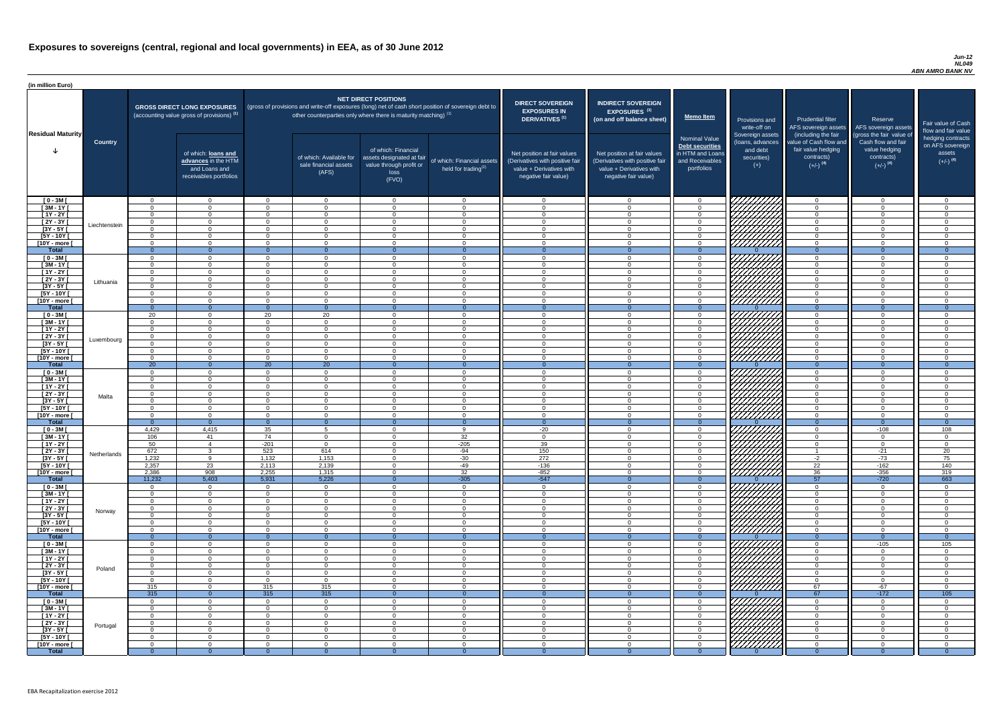#### *Jun-12 NL049 ABN AMRO BANK NV*

| <b>DIRECT SOVEREIGN</b><br><b>EXPOSURES IN</b><br><b>DERIVATIVES<sup>(1)</sup></b><br>Net position at fair values<br>(Derivatives with positive fair<br>value + Derivatives with<br>negative fair value) | <b>INDIRECT SOVEREIGN</b><br><b>EXPOSURES<sup>(3)</sup></b><br>(on and off balance sheet)<br>Net position at fair values<br>(Derivatives with positive fair<br>value + Derivatives with<br>negative fair value) | <b>Memo Item</b><br><b>Nominal Value</b><br>Debt securities<br>in HTM and Loans<br>and Receivables<br>portfolios | Provisions and<br>write-off on<br>Sovereign assets<br>(loans, advances<br>and debt<br>securities)<br>$(+)$ | <b>Prudential filter</b><br>AFS sovereign assets<br>(including the fair<br>value of Cash flow and<br>fair value hedging<br>contracts)<br>$(+/-)$ <sup>(4)</sup> | Reserve<br>AFS sovereign assets<br>(gross the fair value of<br>Cash flow and fair<br>value hedging<br>contracts)<br>$(+/-)$ <sup>(4)</sup> | Fair value of Cash<br>flow and fair value<br>hedging contracts<br>on AFS sovereign<br>assets<br>$(+/-)$ <sup>(4)</sup> |
|----------------------------------------------------------------------------------------------------------------------------------------------------------------------------------------------------------|-----------------------------------------------------------------------------------------------------------------------------------------------------------------------------------------------------------------|------------------------------------------------------------------------------------------------------------------|------------------------------------------------------------------------------------------------------------|-----------------------------------------------------------------------------------------------------------------------------------------------------------------|--------------------------------------------------------------------------------------------------------------------------------------------|------------------------------------------------------------------------------------------------------------------------|
| $\mathbf 0$                                                                                                                                                                                              | $\overline{0}$                                                                                                                                                                                                  | $\mathbf 0$                                                                                                      |                                                                                                            | $\overline{0}$                                                                                                                                                  | $\overline{0}$                                                                                                                             | $\mathbf 0$                                                                                                            |
| $\mathbf 0$                                                                                                                                                                                              | $\mathbf 0$                                                                                                                                                                                                     | $\mathbf 0$                                                                                                      |                                                                                                            | $\mathbf 0$                                                                                                                                                     | $\mathbf 0$                                                                                                                                | $\mathbf 0$                                                                                                            |
| $\mathbf 0$                                                                                                                                                                                              | $\mathbf 0$                                                                                                                                                                                                     | $\mathbf 0$                                                                                                      |                                                                                                            | $\mathbf 0$                                                                                                                                                     | $\mathbf 0$                                                                                                                                | $\mathbf 0$                                                                                                            |
| $\mathbf 0$                                                                                                                                                                                              | $\mathbf 0$                                                                                                                                                                                                     | $\pmb{0}$                                                                                                        |                                                                                                            | $\mathbf 0$                                                                                                                                                     | $\mathbf 0$                                                                                                                                | $\mathbf 0$                                                                                                            |
| $\pmb{0}$                                                                                                                                                                                                | $\mathbf 0$                                                                                                                                                                                                     | $\pmb{0}$                                                                                                        |                                                                                                            | $\mathbf 0$                                                                                                                                                     | $\pmb{0}$                                                                                                                                  | $\pmb{0}$                                                                                                              |
| $\mathbf 0$<br>$\mathbf 0$                                                                                                                                                                               | $\mathbf 0$<br>$\mathbf 0$                                                                                                                                                                                      | $\mathbf 0$<br>$\pmb{0}$                                                                                         |                                                                                                            | $\mathbf 0$<br>$\mathbf 0$                                                                                                                                      | $\mathbf 0$<br>$\mathbf 0$                                                                                                                 | $\mathbf 0$<br>$\mathbf 0$                                                                                             |
| $\mathbf{0}$                                                                                                                                                                                             | $\overline{0}$                                                                                                                                                                                                  | $\overline{0}$                                                                                                   | 0                                                                                                          | $\overline{0}$                                                                                                                                                  | $\overline{0}$                                                                                                                             | $\overline{0}$                                                                                                         |
| $\mathbf 0$                                                                                                                                                                                              | $\mathbf 0$                                                                                                                                                                                                     | $\pmb{0}$                                                                                                        |                                                                                                            | $\mathbf 0$                                                                                                                                                     | $\mathbf 0$                                                                                                                                | $\mathbf 0$                                                                                                            |
| $\mathbf 0$                                                                                                                                                                                              | $\mathbf 0$                                                                                                                                                                                                     | $\pmb{0}$                                                                                                        |                                                                                                            | $\mathbf 0$                                                                                                                                                     | $\mathbf 0$                                                                                                                                | $\mathbf 0$                                                                                                            |
| $\mathbf 0$                                                                                                                                                                                              | $\mathbf 0$                                                                                                                                                                                                     | $\pmb{0}$                                                                                                        |                                                                                                            | $\mathbf 0$                                                                                                                                                     | $\mathbf 0$                                                                                                                                | $\mathbf 0$                                                                                                            |
| $\mathbf 0$                                                                                                                                                                                              | $\mathbf 0$                                                                                                                                                                                                     | $\mathbf 0$                                                                                                      |                                                                                                            | $\mathbf 0$                                                                                                                                                     | $\mathbf 0$                                                                                                                                | $\mathbf 0$                                                                                                            |
| $\pmb{0}$<br>$\mathbf 0$                                                                                                                                                                                 | $\mathbf 0$<br>$\mathbf 0$                                                                                                                                                                                      | $\mathbf 0$<br>$\mathbf 0$                                                                                       |                                                                                                            | $\mathbf 0$<br>$\mathbf 0$                                                                                                                                      | $\mathbf 0$<br>$\mathbf 0$                                                                                                                 | $\mathbf 0$<br>$\mathbf 0$                                                                                             |
| $\mathbf 0$                                                                                                                                                                                              | $\mathbf 0$                                                                                                                                                                                                     | $\mathbf 0$                                                                                                      |                                                                                                            | $\mathbf 0$                                                                                                                                                     | $\mathbf 0$                                                                                                                                | $\mathbf 0$                                                                                                            |
| $\mathbf{0}$                                                                                                                                                                                             | $\overline{0}$                                                                                                                                                                                                  | $\overline{0}$                                                                                                   | $\Omega$                                                                                                   | $\mathbf{0}$                                                                                                                                                    | $\overline{0}$                                                                                                                             | $\overline{0}$                                                                                                         |
| $\mathbf 0$                                                                                                                                                                                              | $\mathbf 0$                                                                                                                                                                                                     | $\pmb{0}$                                                                                                        |                                                                                                            | $\mathbf 0$                                                                                                                                                     | $\mathbf 0$                                                                                                                                | $\mathbf 0$                                                                                                            |
| $\mathbf 0$                                                                                                                                                                                              | $\mathbf 0$                                                                                                                                                                                                     | $\pmb{0}$                                                                                                        |                                                                                                            | $\mathbf 0$                                                                                                                                                     | $\mathbf 0$                                                                                                                                | $\mathbf 0$                                                                                                            |
| $\mathbf 0$                                                                                                                                                                                              | $\mathbf 0$                                                                                                                                                                                                     | $\pmb{0}$                                                                                                        |                                                                                                            | $\mathbf 0$                                                                                                                                                     | $\mathbf 0$                                                                                                                                | $\mathbf 0$                                                                                                            |
| $\mathbf 0$                                                                                                                                                                                              | 0                                                                                                                                                                                                               | $\mathbf 0$                                                                                                      |                                                                                                            | $\mathbf 0$                                                                                                                                                     | $\mathbf 0$                                                                                                                                | 0                                                                                                                      |
| $\mathbf 0$<br>0                                                                                                                                                                                         | $\mathbf 0$<br>$\mathbf 0$                                                                                                                                                                                      | 0<br>0                                                                                                           |                                                                                                            | 0<br>0                                                                                                                                                          | $\Omega$<br>0                                                                                                                              | $\mathbf 0$<br>0                                                                                                       |
| $\pmb{0}$                                                                                                                                                                                                | 0                                                                                                                                                                                                               | 0                                                                                                                |                                                                                                            | 0                                                                                                                                                               | 0                                                                                                                                          | $\mathbf 0$                                                                                                            |
| $\mathbf{0}$                                                                                                                                                                                             | $\overline{0}$                                                                                                                                                                                                  | $\overline{0}$                                                                                                   | $\Omega$                                                                                                   | $\overline{0}$                                                                                                                                                  | $\overline{0}$                                                                                                                             | $\overline{0}$                                                                                                         |
| $\mathbf 0$                                                                                                                                                                                              | $\mathbf 0$                                                                                                                                                                                                     | $\pmb{0}$                                                                                                        |                                                                                                            | $\mathbf 0$                                                                                                                                                     | 0                                                                                                                                          | 0                                                                                                                      |
| $\pmb{0}$                                                                                                                                                                                                | $\mathbf 0$                                                                                                                                                                                                     | $\mathbf 0$                                                                                                      |                                                                                                            | $\mathbf 0$                                                                                                                                                     | 0                                                                                                                                          | $\mathbf 0$                                                                                                            |
| $\mathbf 0$                                                                                                                                                                                              | $\mathbf 0$                                                                                                                                                                                                     | $\mathbf 0$                                                                                                      |                                                                                                            | $\mathbf 0$                                                                                                                                                     | 0                                                                                                                                          | $\mathbf 0$                                                                                                            |
| $\mathbf 0$                                                                                                                                                                                              | $\mathbf 0$                                                                                                                                                                                                     | 0                                                                                                                |                                                                                                            | $\mathbf 0$                                                                                                                                                     | 0                                                                                                                                          | 0                                                                                                                      |
| $\mathbf 0$<br>$\mathbf 0$                                                                                                                                                                               | $\mathbf 0$<br>$\mathbf 0$                                                                                                                                                                                      | 0<br>$\mathsf 0$                                                                                                 |                                                                                                            | $\mathbf 0$<br>$\mathbf 0$                                                                                                                                      | 0<br>0                                                                                                                                     | 0<br>0                                                                                                                 |
| $\pmb{0}$                                                                                                                                                                                                | $\mathbf 0$                                                                                                                                                                                                     | 0                                                                                                                |                                                                                                            | $\mathbf 0$                                                                                                                                                     | $\mathbf 0$                                                                                                                                | 0                                                                                                                      |
| $\overline{0}$                                                                                                                                                                                           | $\overline{0}$                                                                                                                                                                                                  | $\overline{0}$                                                                                                   | $\Omega$                                                                                                   | $\overline{0}$                                                                                                                                                  | $\overline{0}$                                                                                                                             | $\overline{0}$                                                                                                         |
| $-20$                                                                                                                                                                                                    | $\mathbf 0$                                                                                                                                                                                                     | $\pmb{0}$                                                                                                        |                                                                                                            | $\mathbf 0$                                                                                                                                                     | $-108$                                                                                                                                     | 108                                                                                                                    |
| $\mathbf 0$                                                                                                                                                                                              | $\mathbf 0$                                                                                                                                                                                                     | $\pmb{0}$                                                                                                        |                                                                                                            | $\mathbf 0$                                                                                                                                                     | $\Omega$                                                                                                                                   | 0                                                                                                                      |
| 39                                                                                                                                                                                                       | $\mathbf 0$                                                                                                                                                                                                     | $\mathsf 0$                                                                                                      |                                                                                                            | $\pmb{0}$                                                                                                                                                       | $\mathsf 0$                                                                                                                                | $\pmb{0}$                                                                                                              |
| 150<br>272                                                                                                                                                                                               | $\mathbf 0$<br>$\mathbf 0$                                                                                                                                                                                      | $\pmb{0}$<br>$\pmb{0}$                                                                                           |                                                                                                            | $\mathbf{1}$<br>$-2$                                                                                                                                            | $-21$<br>$-73$                                                                                                                             | $\overline{20}$<br>$\overline{75}$                                                                                     |
| $-136$                                                                                                                                                                                                   | $\mathbf 0$                                                                                                                                                                                                     | $\mathsf 0$                                                                                                      |                                                                                                            | 22                                                                                                                                                              | $-162$                                                                                                                                     | 140                                                                                                                    |
| $-852$                                                                                                                                                                                                   | $\mathbf 0$                                                                                                                                                                                                     | $\mathsf 0$                                                                                                      |                                                                                                            | 36                                                                                                                                                              | $-356$                                                                                                                                     | 319                                                                                                                    |
| $-547$                                                                                                                                                                                                   | $\overline{0}$                                                                                                                                                                                                  | $\overline{0}$                                                                                                   | $\mathbf 0$                                                                                                | $\overline{57}$                                                                                                                                                 | $-720$                                                                                                                                     | 663                                                                                                                    |
| $\mathbf 0$                                                                                                                                                                                              | $\mathbf 0$                                                                                                                                                                                                     | 0                                                                                                                |                                                                                                            | $\mathbf 0$                                                                                                                                                     | $\mathbf 0$                                                                                                                                | 0                                                                                                                      |
| $\pmb{0}$                                                                                                                                                                                                | $\mathbf 0$                                                                                                                                                                                                     | $\mathsf 0$                                                                                                      |                                                                                                            | $\mathbf 0$                                                                                                                                                     | 0                                                                                                                                          | $\pmb{0}$                                                                                                              |
| $\mathbf 0$<br>$\mathbf 0$                                                                                                                                                                               | $\mathbf 0$                                                                                                                                                                                                     | 0<br>0                                                                                                           |                                                                                                            | $\mathbf 0$                                                                                                                                                     | $\mathbf 0$<br>0                                                                                                                           | 0<br>0                                                                                                                 |
| $\mathbf 0$                                                                                                                                                                                              | 0<br>$\mathbf 0$                                                                                                                                                                                                | 0                                                                                                                |                                                                                                            | 0<br>0                                                                                                                                                          | 0                                                                                                                                          | 0                                                                                                                      |
| $\mathbf 0$                                                                                                                                                                                              | 0                                                                                                                                                                                                               | 0                                                                                                                |                                                                                                            | 0                                                                                                                                                               | 0                                                                                                                                          | $\mathbf 0$                                                                                                            |
| $\mathbf 0$                                                                                                                                                                                              | $\boldsymbol{0}$                                                                                                                                                                                                | 0                                                                                                                |                                                                                                            | $\mathbf 0$                                                                                                                                                     | 0                                                                                                                                          | $\mathbf 0$                                                                                                            |
| $\overline{0}$                                                                                                                                                                                           | $\overline{0}$                                                                                                                                                                                                  | $\overline{0}$                                                                                                   | $\Omega$                                                                                                   | $\mathbf{0}$                                                                                                                                                    | $\overline{0}$                                                                                                                             | $\overline{0}$                                                                                                         |
| $\mathbf 0$                                                                                                                                                                                              | $\mathbf 0$                                                                                                                                                                                                     | $\mathbf 0$                                                                                                      |                                                                                                            | $\mathbf 0$                                                                                                                                                     | $-105$                                                                                                                                     | 105                                                                                                                    |
| $\pmb{0}$                                                                                                                                                                                                | $\mathbf 0$                                                                                                                                                                                                     | $\mathbf 0$                                                                                                      |                                                                                                            | $\mathbf 0$                                                                                                                                                     | 0                                                                                                                                          | 0                                                                                                                      |
| $\mathbf 0$<br>$\mathbf 0$                                                                                                                                                                               | $\mathbf 0$<br>0                                                                                                                                                                                                | $\mathbf 0$<br>$\pmb{0}$                                                                                         |                                                                                                            | $\mathbf 0$<br>0                                                                                                                                                | 0<br>0                                                                                                                                     | $\mathbf 0$<br>$\mathbf 0$                                                                                             |
| $\mathbf 0$                                                                                                                                                                                              | $\mathbf 0$                                                                                                                                                                                                     | 0                                                                                                                |                                                                                                            | $\mathbf 0$                                                                                                                                                     | 0                                                                                                                                          | 0                                                                                                                      |
| $\pmb{0}$                                                                                                                                                                                                | $\mathbf 0$                                                                                                                                                                                                     | $\pmb{0}$                                                                                                        |                                                                                                            | $\mathbf 0$                                                                                                                                                     | $\mathbf 0$                                                                                                                                | $\pmb{0}$                                                                                                              |
| $\mathbf 0$                                                                                                                                                                                              | $\mathbf 0$                                                                                                                                                                                                     | 0                                                                                                                |                                                                                                            | 67                                                                                                                                                              | $-67$                                                                                                                                      | 0                                                                                                                      |
| $\mathbf{0}$                                                                                                                                                                                             | $\overline{0}$                                                                                                                                                                                                  | $\overline{0}$                                                                                                   | $\Omega$                                                                                                   | 67                                                                                                                                                              | $-172$                                                                                                                                     | 105                                                                                                                    |
| $\mathbf 0$                                                                                                                                                                                              | $\mathbf 0$                                                                                                                                                                                                     | 0                                                                                                                |                                                                                                            | $\mathbf 0$                                                                                                                                                     | $\mathbf 0$                                                                                                                                | 0                                                                                                                      |
| $\Omega$<br>$\mathbf 0$                                                                                                                                                                                  | $\Omega$<br>$\mathbf 0$                                                                                                                                                                                         | $\Omega$<br>$\pmb{0}$                                                                                            |                                                                                                            | $\Omega$<br>$\mathbf 0$                                                                                                                                         | 0<br>$\mathbf 0$                                                                                                                           | $\mathbf 0$<br>$\pmb{0}$                                                                                               |
| $\mathbf 0$                                                                                                                                                                                              | $\mathbf 0$                                                                                                                                                                                                     | $\mathbf 0$                                                                                                      |                                                                                                            | $\mathbf 0$                                                                                                                                                     | $\overline{0}$                                                                                                                             | $\mathbf 0$                                                                                                            |
| $\mathbf 0$                                                                                                                                                                                              | $\mathbf 0$                                                                                                                                                                                                     | $\mathbf 0$                                                                                                      |                                                                                                            | $\mathbf 0$                                                                                                                                                     | $\overline{0}$                                                                                                                             | $\mathbf 0$                                                                                                            |
| $\mathbf 0$                                                                                                                                                                                              | $\mathbf 0$                                                                                                                                                                                                     | $\mathsf{O}\xspace$                                                                                              |                                                                                                            | $\overline{0}$                                                                                                                                                  | $\overline{0}$                                                                                                                             | $\mathbf 0$                                                                                                            |
| $\mathbf 0$                                                                                                                                                                                              | $\mathbf 0$                                                                                                                                                                                                     | $\mathbf 0$                                                                                                      |                                                                                                            | $\mathbf 0$                                                                                                                                                     | $\overline{0}$                                                                                                                             | $\overline{0}$                                                                                                         |
| $\overline{0}$                                                                                                                                                                                           | $\overline{0}$                                                                                                                                                                                                  | $\overline{0}$                                                                                                   | $\overline{0}$                                                                                             | $\overline{0}$                                                                                                                                                  | $\overline{0}$                                                                                                                             | $\overline{0}$                                                                                                         |

| (in million Euro)             |                |                             |                                                                                             |                          |                                                                                                                                                                             |                                                                                              |                                                               |                                                                                                                    |                                                                                                                    |                                                                                              |                                                                          |                                                                                                             |                                                                                                         |                                            |
|-------------------------------|----------------|-----------------------------|---------------------------------------------------------------------------------------------|--------------------------|-----------------------------------------------------------------------------------------------------------------------------------------------------------------------------|----------------------------------------------------------------------------------------------|---------------------------------------------------------------|--------------------------------------------------------------------------------------------------------------------|--------------------------------------------------------------------------------------------------------------------|----------------------------------------------------------------------------------------------|--------------------------------------------------------------------------|-------------------------------------------------------------------------------------------------------------|---------------------------------------------------------------------------------------------------------|--------------------------------------------|
| <b>Residual Maturity</b>      |                |                             | <b>GROSS DIRECT LONG EXPOSURES</b><br>(accounting value gross of provisions) <sup>(1)</sup> |                          | (gross of provisions and write-off exposures (long) net of cash short position of sovereign debt to<br>other counterparties only where there is maturity matching) $^{(1)}$ | <b>NET DIRECT POSITIONS</b>                                                                  |                                                               | <b>DIRECT SOVEREIGN</b><br><b>EXPOSURES IN</b><br><b>DERIVATIVES (1)</b>                                           | <b>INDIRECT SOVEREIGN</b><br><b>EXPOSURES<sup>(3)</sup></b><br>(on and off balance sheet)                          | <b>Memo Item</b>                                                                             | Provisions and<br>write-off on                                           | <b>Prudential filter</b><br>AFS sovereign assets                                                            | Reserve<br>AFS sovereign assets                                                                         | Fair value<br>flow and fa                  |
|                               | <b>Country</b> |                             | of which: loans and<br>advances in the HTM<br>and Loans and<br>receivables portfolios       |                          | of which: Available for<br>sale financial assets<br>(AFS)                                                                                                                   | of which: Financial<br>assets designated at fair<br>value through profit or<br>loss<br>(FVO) | of which: Financial assets<br>held for trading <sup>(2)</sup> | Net position at fair values<br>(Derivatives with positive fair<br>value + Derivatives with<br>negative fair value) | Net position at fair values<br>(Derivatives with positive fair<br>value + Derivatives with<br>negative fair value) | <b>Nominal Value</b><br>Debt securities<br>in HTM and Loans<br>and Receivables<br>portfolios | Sovereign assets<br>(loans, advances<br>and debt<br>securities)<br>$(+)$ | (including the fair<br>value of Cash flow and<br>fair value hedging<br>contracts)<br>$(+/-)$ <sup>(4)</sup> | (gross the fair value of<br>Cash flow and fair<br>value hedging<br>contracts)<br>$(+/-)$ <sup>(4)</sup> | hedging co<br>on AFS so<br>asse<br>$(+/-)$ |
| $[0 - 3M]$                    |                | $\cap$                      | $\overline{0}$                                                                              | $\cap$                   | $\overline{0}$                                                                                                                                                              | - റ                                                                                          | $\Omega$                                                      | $\Omega$                                                                                                           | $\Omega$                                                                                                           | - 0                                                                                          |                                                                          | $\Omega$                                                                                                    | $\overline{0}$                                                                                          | $\overline{0}$                             |
| $\sqrt{3M-1Y}$                |                | $\cap$                      | $\Omega$                                                                                    | $\cap$                   | $\Omega$<br>$\Omega$                                                                                                                                                        | - 0<br>$\cap$                                                                                | റ                                                             | റ                                                                                                                  | $\Omega$<br>$\Omega$                                                                                               | $\overline{0}$<br>$\Omega$                                                                   |                                                                          | $\Omega$                                                                                                    | $\Omega$                                                                                                | $\overline{0}$                             |
| $[1Y - 2Y]$<br>$[2Y - 3Y]$    |                | $\Omega$                    | $\Omega$<br>$\Omega$                                                                        | $\cap$                   | $\Omega$                                                                                                                                                                    | $\cap$                                                                                       | $\Omega$                                                      | $\Omega$                                                                                                           | $\Omega$                                                                                                           | $\Omega$                                                                                     |                                                                          | $\Omega$                                                                                                    | $\Omega$<br>$\overline{0}$                                                                              | $\overline{0}$<br>$\overline{0}$           |
| $[3Y - 5Y]$                   | Liechtenstein  | $\cap$                      | $\Omega$                                                                                    | $\Omega$                 | $\Omega$                                                                                                                                                                    | $\cap$                                                                                       | $\Omega$                                                      | $\cap$                                                                                                             | $\Omega$                                                                                                           | $\overline{0}$                                                                               | HAHA<br>HAHA                                                             | $\Omega$                                                                                                    | $\Omega$                                                                                                | $\overline{0}$                             |
| $[5Y - 10Y]$                  |                | $\cap$                      | $\Omega$                                                                                    | $\sqrt{ }$               | $\Omega$                                                                                                                                                                    | $\Omega$                                                                                     | $\Omega$                                                      | $\cap$                                                                                                             | $\Omega$                                                                                                           | $\overline{0}$                                                                               |                                                                          | $\Omega$                                                                                                    | $\Omega$                                                                                                | $\Omega$                                   |
| [10Y - more [<br><b>Total</b> |                | $\cap$<br>$\overline{0}$    | $\Omega$<br>$\Omega$                                                                        | $\cap$<br>$\overline{0}$ | $\Omega$<br>$\Omega$                                                                                                                                                        | _റ<br>- 0                                                                                    | $\Omega$<br>$\Omega$                                          | $\cap$<br>$\Omega$                                                                                                 | $\Omega$<br>$\Omega$                                                                                               | $\overline{0}$<br>$\overline{0}$                                                             |                                                                          | $\Omega$<br>$\Omega$                                                                                        | $\Omega$<br>$\Omega$                                                                                    | - 0<br>$\overline{0}$                      |
| $[0 - 3M]$                    |                | $\Omega$                    | $\Omega$                                                                                    | $\cap$                   | $\overline{0}$                                                                                                                                                              | $\Omega$                                                                                     | $\Omega$                                                      | $\Omega$                                                                                                           | $\Omega$                                                                                                           | $\overline{0}$                                                                               |                                                                          | $\Omega$                                                                                                    | $\Omega$                                                                                                | $\Omega$                                   |
| $[3M - 1Y]$                   |                | $\Omega$                    | $\Omega$                                                                                    | $\cap$                   | $\overline{0}$                                                                                                                                                              | $\Omega$                                                                                     | $\Omega$                                                      | $\Omega$                                                                                                           | $\overline{0}$                                                                                                     | $\overline{0}$                                                                               | HHHH                                                                     | $\Omega$                                                                                                    | $\overline{0}$                                                                                          | $\Omega$                                   |
| $[1Y - 2Y]$                   |                | $\Omega$                    | $\Omega$                                                                                    | റ                        | $\overline{0}$                                                                                                                                                              | $\cap$                                                                                       | $\Omega$                                                      | $\cap$                                                                                                             | $\Omega$                                                                                                           | $\Omega$                                                                                     |                                                                          | $\Omega$                                                                                                    | $\Omega$                                                                                                | $\overline{0}$                             |
| $[2Y - 3Y]$<br>$[3Y - 5Y]$    | Lithuania      | $\Omega$                    | $\Omega$<br>$\Omega$                                                                        | $\cap$<br>$\Omega$       | $\overline{0}$<br>$\mathbf{0}$                                                                                                                                              | $\cap$<br>$\cap$                                                                             | $\Omega$                                                      |                                                                                                                    | $\Omega$<br>$\Omega$                                                                                               | $\Omega$<br>$\mathbf 0$                                                                      | HAAAB                                                                    | $\Omega$<br>$\Omega$                                                                                        | $\overline{0}$<br>$\Omega$                                                                              | $\Omega$                                   |
| $[5Y - 10Y]$                  |                | $\cap$                      | $\Omega$                                                                                    | $\cap$                   | $\Omega$                                                                                                                                                                    | $\cap$                                                                                       | $\Omega$                                                      | $\cap$                                                                                                             | $\Omega$                                                                                                           | $\Omega$                                                                                     |                                                                          | $\Omega$                                                                                                    | $\overline{0}$                                                                                          | $\Omega$                                   |
| [10Y - more [                 |                | $\cap$                      | $\Omega$                                                                                    | $\sqrt{ }$               | $\Omega$                                                                                                                                                                    | $\cap$                                                                                       | റ                                                             | $\cap$                                                                                                             | $\Omega$                                                                                                           | $\Omega$                                                                                     |                                                                          | $\Omega$                                                                                                    | $\Omega$                                                                                                | $\overline{0}$                             |
| <b>Total</b><br>$[0 - 3M]$    |                | $\Omega$<br>$\overline{20}$ | $\Omega$<br>$\Omega$                                                                        | - ೧<br>20                | $\Omega$<br>20                                                                                                                                                              | $\cap$                                                                                       | $\Omega$<br>റ                                                 | $\Omega$                                                                                                           | $\Omega$<br>$\Omega$                                                                                               | $\Omega$<br>$\Omega$                                                                         | $\Omega$                                                                 | $\Omega$<br>$\cap$                                                                                          | $\overline{0}$<br>$\Omega$                                                                              | $\overline{0}$<br>$\overline{0}$           |
| $[3M-1Y]$                     |                | $\cap$                      | $\Omega$                                                                                    | $\cap$                   | $\Omega$                                                                                                                                                                    | $\cap$                                                                                       | $\cap$                                                        | $\cap$                                                                                                             | $\Omega$                                                                                                           | $\Omega$                                                                                     | HAAAN S                                                                  | $\Omega$                                                                                                    | $\Omega$                                                                                                | $\overline{0}$                             |
| $[1Y - 2Y]$                   |                | $\cap$                      | $\Omega$                                                                                    | $\cap$                   | $\Omega$                                                                                                                                                                    | $\cap$                                                                                       | $\cap$                                                        | $\cap$                                                                                                             | $\Omega$                                                                                                           | $\Omega$                                                                                     |                                                                          | $\Omega$                                                                                                    | $\overline{0}$                                                                                          | $\overline{0}$                             |
| $[2Y - 3Y]$                   | Luxembourg     | $\cap$                      | $\Omega$                                                                                    | $\Omega$                 | $\Omega$                                                                                                                                                                    | $\cap$                                                                                       | റ                                                             | $\cap$                                                                                                             | $\Omega$                                                                                                           | $\overline{0}$                                                                               |                                                                          | $\Omega$                                                                                                    | $\Omega$                                                                                                | $\Omega$                                   |
| $[3Y - 5Y]$<br>$[5Y - 10Y]$   |                | $\cap$                      | $\Omega$                                                                                    | ∩                        | $\Omega$                                                                                                                                                                    | $\cap$                                                                                       |                                                               |                                                                                                                    | $\Omega$                                                                                                           | $\Omega$                                                                                     |                                                                          | $\Omega$                                                                                                    | $\Omega$                                                                                                | $\Omega$                                   |
| [10Y - more                   |                |                             | $\Omega$                                                                                    | $\cap$                   | $\Omega$                                                                                                                                                                    | $\cap$                                                                                       |                                                               |                                                                                                                    | $\Omega$                                                                                                           | $\Omega$                                                                                     | 777777777                                                                | $\Omega$                                                                                                    | $\Omega$                                                                                                | $\Omega$                                   |
| <b>Total</b>                  |                | $\overline{20}$             | $\Omega$                                                                                    | $\overline{20}$          | 20                                                                                                                                                                          |                                                                                              | $\Omega$                                                      |                                                                                                                    | $\Omega$                                                                                                           |                                                                                              |                                                                          |                                                                                                             | $\Omega$                                                                                                |                                            |
| $[0 - 3M]$<br>$[3M - 1Y]$     |                | $\cap$                      | $\Omega$<br>$\Omega$                                                                        | $\cap$<br>$\cap$         | $\Omega$<br>$\Omega$                                                                                                                                                        | $\cap$<br>- വ                                                                                | $\Omega$<br>റ                                                 | $\cap$<br>$\cap$                                                                                                   | $\Omega$<br>$\Omega$                                                                                               | $\Omega$<br>$\Omega$                                                                         | FAAHAS<br>VAAHAS                                                         | $\Omega$<br>$\Omega$                                                                                        | $\Omega$<br>$\Omega$                                                                                    | $\Omega$<br>$\Omega$                       |
| $[1Y - 2Y]$                   |                | $\Omega$                    | $\Omega$                                                                                    | $\Omega$                 | $\Omega$                                                                                                                                                                    | - 0                                                                                          |                                                               | $\Omega$                                                                                                           | $\Omega$                                                                                                           | $\Omega$                                                                                     |                                                                          | $\Omega$                                                                                                    | $\overline{0}$                                                                                          | $\Omega$                                   |
| $[2Y - 3Y]$                   | Malta          | റ                           | $\Omega$                                                                                    | - 0                      | $\Omega$                                                                                                                                                                    | $\cap$                                                                                       | $\Omega$                                                      | $\Omega$                                                                                                           | $\Omega$                                                                                                           | $\Omega$                                                                                     |                                                                          | $\Omega$                                                                                                    | $\Omega$                                                                                                | $\Omega$                                   |
| $[3Y - 5Y]$                   |                | $\cap$                      | $\Omega$                                                                                    | റ<br>$\cap$              | $\Omega$                                                                                                                                                                    | $\cap$<br>$\Omega$                                                                           | $\Omega$                                                      | $\cap$<br>$\cap$                                                                                                   | $\Omega$                                                                                                           | $\Omega$                                                                                     | HIIII)                                                                   | $\Omega$                                                                                                    | $\Omega$                                                                                                | $\Omega$                                   |
| $[5Y - 10Y]$<br>[10Y - more [ |                | $\cap$                      | $\overline{0}$<br>$\Omega$                                                                  | $\cap$                   | $\Omega$<br>$\Omega$                                                                                                                                                        | $\Omega$                                                                                     | $\Omega$<br>$\Omega$                                          | $\cap$                                                                                                             | $\Omega$<br>$\Omega$                                                                                               | $\overline{0}$<br>$\Omega$                                                                   |                                                                          | $\Omega$<br>$\Omega$                                                                                        | $\overline{0}$<br>$\Omega$                                                                              |                                            |
| <b>Total</b>                  |                | $\Omega$                    | $\Omega$                                                                                    | $\Omega$                 | $\Omega$                                                                                                                                                                    | - 0                                                                                          | $\Omega$                                                      |                                                                                                                    | $\Omega$                                                                                                           |                                                                                              |                                                                          |                                                                                                             | $\Omega$                                                                                                |                                            |
| $[0 - 3M]$                    |                | 4,429                       | 4,415                                                                                       | 35                       | 5                                                                                                                                                                           | $\Omega$                                                                                     | $\mathsf{Q}$                                                  | $-20$                                                                                                              | $\Omega$                                                                                                           | $\Omega$                                                                                     |                                                                          | $\Omega$                                                                                                    | $-108$                                                                                                  | 108                                        |
| $[3M - 1Y]$<br>$[1Y - 2Y]$    |                | 106<br>50                   | 41<br>$\overline{4}$                                                                        | 74<br>$-201$             | $\overline{0}$<br>$\overline{0}$                                                                                                                                            | $\Omega$<br>$\Omega$                                                                         | 32<br>$-205$                                                  | $\cap$<br>39                                                                                                       | $\Omega$<br>$\Omega$                                                                                               | $\Omega$<br>$\Omega$                                                                         | VIIIIII)                                                                 | $\Omega$<br>$\Omega$                                                                                        | $\overline{0}$<br>$\Omega$                                                                              | $\Omega$                                   |
| $[2Y - 3Y]$                   |                | 672                         | $\mathbf{3}$                                                                                | 523                      | 614                                                                                                                                                                         | $\cap$                                                                                       | $-94$                                                         | 150                                                                                                                | $\Omega$                                                                                                           | $\Omega$                                                                                     | ドンフ                                                                      |                                                                                                             | $-21$                                                                                                   | 20                                         |
| $[3Y - 5Y]$                   | Netherlands    | ,232                        | $\mathbf{Q}$                                                                                | 1,132                    | 1,153                                                                                                                                                                       | - 0                                                                                          | $-30$                                                         | 272                                                                                                                | $\Omega$                                                                                                           | $\Omega$                                                                                     |                                                                          | $-2$                                                                                                        | $-73$                                                                                                   | 75                                         |
| [5Y - 10Y [<br>[10Y - more [  |                | 2,357<br>2,386              | 23<br>908                                                                                   | 2,113<br>2,255           | 2,139<br>1,315                                                                                                                                                              | $\Omega$<br>$\cap$                                                                           | $-49$<br>32                                                   | $-136$<br>$-852$                                                                                                   | $\Omega$<br>$\Omega$                                                                                               | $\Omega$<br>$\Omega$                                                                         | 777777777                                                                | 22<br>36                                                                                                    | $-162$<br>$-356$                                                                                        | 14C<br>319                                 |
| <b>Total</b>                  |                | 11,232                      | 5,403                                                                                       | 5,931                    | 5,226                                                                                                                                                                       |                                                                                              | $-305$                                                        | $-547$                                                                                                             | -0                                                                                                                 |                                                                                              |                                                                          | 57                                                                                                          | $-720$                                                                                                  | 663                                        |
| $[0 - 3M]$                    |                |                             | $\overline{0}$                                                                              | റ                        | $\overline{0}$                                                                                                                                                              | $\cap$                                                                                       | $\Omega$                                                      | $\cap$                                                                                                             | $\Omega$                                                                                                           | $\Omega$                                                                                     |                                                                          | $\Omega$                                                                                                    | $\overline{0}$                                                                                          | $\Omega$                                   |
| $[3M - 1Y]$                   |                | $\Omega$                    | $\overline{0}$                                                                              | $\Omega$<br>റ            | $\overline{0}$                                                                                                                                                              | $\cap$<br>റ                                                                                  | $\Omega$                                                      | $\Omega$                                                                                                           | $\Omega$                                                                                                           | $\overline{0}$                                                                               | HANA<br>HANA                                                             | $\mathbf 0$                                                                                                 | $\overline{0}$                                                                                          | $\Omega$                                   |
| $[1Y - 2Y]$<br>$[2Y - 3Y]$    |                | $\Omega$<br>$\cap$          | $\Omega$<br>$\Omega$                                                                        | റ                        | $\Omega$<br>$\Omega$                                                                                                                                                        | $\cap$                                                                                       | . റ<br>$\cap$                                                 | $\Omega$<br>$\cap$                                                                                                 | $\Omega$<br>$\Omega$                                                                                               | $\Omega$<br>$\Omega$                                                                         |                                                                          | $\Omega$<br>$\Omega$                                                                                        | $\overline{0}$<br>$\overline{0}$                                                                        | - 0<br>- 0                                 |
| $[3Y - 5Y]$                   | Norway         | $\Omega$                    | $\overline{0}$                                                                              | $\cap$                   | $\Omega$                                                                                                                                                                    | $\Omega$                                                                                     | $\Omega$                                                      | $\Omega$                                                                                                           | $\Omega$                                                                                                           | $\overline{0}$                                                                               |                                                                          | $\overline{0}$                                                                                              | $\overline{0}$                                                                                          | $\Omega$                                   |
| $[5Y - 10Y]$                  |                | $\Omega$                    | $\Omega$                                                                                    | റ                        | $\Omega$                                                                                                                                                                    | $\cap$                                                                                       | $\Omega$                                                      | $\Omega$                                                                                                           | $\Omega$                                                                                                           | $\Omega$                                                                                     | HHHH                                                                     | $\Omega$                                                                                                    | $\Omega$                                                                                                | $\Omega$                                   |
| [10Y - more [<br><b>Total</b> |                | $\cap$<br>$\Omega$          | $\Omega$<br>$\Omega$                                                                        | $\Omega$                 | $\Omega$<br>$\Omega$                                                                                                                                                        | $\cap$                                                                                       | $\Omega$<br>$\Omega$                                          |                                                                                                                    | $\Omega$<br>$\Omega$                                                                                               | $\Omega$                                                                                     |                                                                          | $\Omega$                                                                                                    | $\Omega$<br>$\Omega$                                                                                    | $\Omega$<br>$\overline{0}$                 |
| $[0 - 3M]$                    |                |                             | $\Omega$                                                                                    |                          | $\Omega$                                                                                                                                                                    | - വ                                                                                          |                                                               |                                                                                                                    | $\Omega$                                                                                                           | $\Omega$                                                                                     |                                                                          | $\Omega$                                                                                                    | $-105$                                                                                                  | 105                                        |
| $[3M - 1Y]$                   |                |                             | $\Omega$                                                                                    | $\cap$                   | $\Omega$                                                                                                                                                                    | $\Omega$                                                                                     | $\cap$                                                        | $\cap$                                                                                                             | $\Omega$                                                                                                           | $\Omega$                                                                                     |                                                                          | $\Omega$                                                                                                    | $\Omega$                                                                                                | $\overline{0}$                             |
| $[1Y - 2Y]$                   |                | $\cap$                      | $\Omega$                                                                                    | $\cap$<br>$\cap$         | $\Omega$<br>$\Omega$                                                                                                                                                        | - 0<br>- 0                                                                                   | $\Omega$<br>$\Omega$                                          | $\Omega$<br>$\Omega$                                                                                               | $\Omega$<br>$\Omega$                                                                                               | $\Omega$<br>$\Omega$                                                                         |                                                                          | $\Omega$<br>$\Omega$                                                                                        | $\overline{0}$                                                                                          | $\Omega$                                   |
| $[2Y - 3Y]$<br>$[3Y - 5Y]$    | Poland         | $\cap$                      | $\Omega$<br>$\Omega$                                                                        | $\cap$                   | $\Omega$                                                                                                                                                                    | $\cap$                                                                                       | $\Omega$                                                      | $\cap$                                                                                                             | $\Omega$                                                                                                           | $\Omega$                                                                                     | HAHAHA<br>HAAHA                                                          | $\Omega$                                                                                                    | $\Omega$<br>$\Omega$                                                                                    | $\Omega$                                   |
| $[5Y - 10Y]$                  |                | $\cap$                      | $\Omega$                                                                                    | - റ                      | $\Omega$                                                                                                                                                                    | $\cap$                                                                                       | - റ                                                           | $\cap$                                                                                                             | $\Omega$                                                                                                           | $\Omega$                                                                                     |                                                                          | $\Omega$                                                                                                    | $\Omega$                                                                                                | $\Omega$                                   |
| [10Y - more [                 |                | 315                         | $\Omega$                                                                                    | 315                      | 315                                                                                                                                                                         | $\cap$<br>- 0                                                                                | $\cap$                                                        |                                                                                                                    | $\Omega$                                                                                                           | $\Omega$                                                                                     |                                                                          | 67                                                                                                          | $-67$                                                                                                   | $\Omega$                                   |
| <b>Total</b><br>$10 - 3M$     |                | 315<br>$\Omega$             | - റ<br>$\Omega$                                                                             | 315<br>$\cap$            | 315<br>$\overline{0}$                                                                                                                                                       | $\cap$                                                                                       | $\Omega$                                                      |                                                                                                                    | $\Omega$<br>$\Omega$                                                                                               | $\Omega$                                                                                     | VIIIIIIIII                                                               | 67<br>$\Omega$                                                                                              | $-172$<br>$\Omega$                                                                                      | 105                                        |
| $[3M - 1Y]$                   |                | റ                           | $\Omega$                                                                                    | $\cap$                   | $\overline{0}$                                                                                                                                                              | - 0                                                                                          | $\Omega$                                                      | $\Omega$                                                                                                           | $\Omega$                                                                                                           | $\overline{0}$                                                                               |                                                                          | $\overline{0}$                                                                                              | $\overline{0}$                                                                                          | $\overline{0}$                             |
| $[1Y - 2Y]$                   |                |                             | $\Omega$                                                                                    | $\cap$                   | $\overline{0}$                                                                                                                                                              | $\Omega$                                                                                     | $\Omega$                                                      | $\Omega$                                                                                                           | $\overline{0}$                                                                                                     | $\overline{0}$                                                                               |                                                                          | $\mathbf 0$                                                                                                 | $\overline{0}$                                                                                          | $\overline{0}$                             |
| $[2Y - 3Y]$                   | Portugal       | $\Omega$<br>$\cap$          | $\Omega$<br>$\Omega$                                                                        | $\Omega$<br>$\cap$       | $\overline{0}$<br>$\Omega$                                                                                                                                                  | $\overline{0}$<br>- 0                                                                        | $\Omega$<br>$\Omega$                                          | - 0<br>റ                                                                                                           | $\overline{0}$<br>$\Omega$                                                                                         | $\overline{0}$<br>$\Omega$                                                                   |                                                                          | $\Omega$<br>$\Omega$                                                                                        | $\overline{0}$<br>$\Omega$                                                                              | $\overline{0}$                             |
| $[3Y - 5Y]$<br>$[5Y - 10Y]$   |                |                             | $\Omega$                                                                                    |                          | $\Omega$                                                                                                                                                                    | $\Omega$                                                                                     |                                                               | $\Omega$                                                                                                           | $\Omega$                                                                                                           | $\Omega$                                                                                     | HAHARA KALLADIAN KE                                                      | $\Omega$                                                                                                    | $\Omega$                                                                                                | $\overline{0}$<br>$\overline{0}$           |
| [10Y - more [                 |                | $\Omega$                    | $\Omega$                                                                                    |                          | $\overline{0}$                                                                                                                                                              | - 0                                                                                          |                                                               | - 0                                                                                                                | $\Omega$                                                                                                           | $\Omega$                                                                                     | 77777777                                                                 | $\Omega$                                                                                                    | $\Omega$                                                                                                | $\overline{0}$                             |
| <b>Total</b>                  |                |                             | $\Omega$                                                                                    |                          |                                                                                                                                                                             |                                                                                              |                                                               |                                                                                                                    |                                                                                                                    |                                                                                              | - 0                                                                      |                                                                                                             | $\Omega$                                                                                                | $\overline{0}$                             |